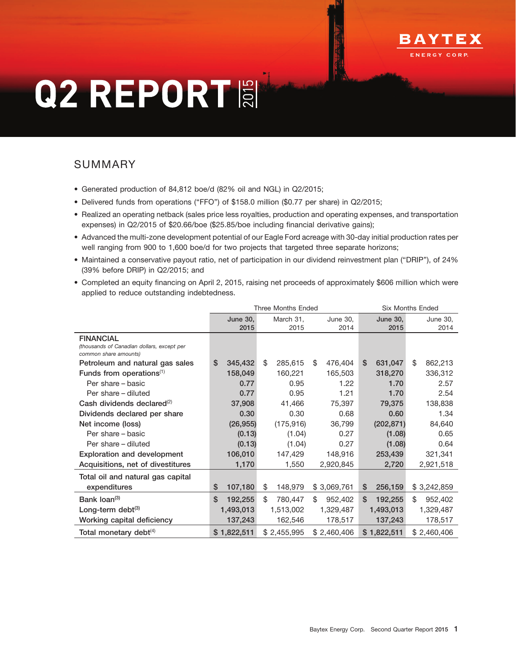# Q2 REPORTIS

# SUMMARY

- Generated production of 84,812 boe/d (82% oil and NGL) in Q2/2015;
- Delivered funds from operations ("FFO") of \$158.0 million (\$0.77 per share) in Q2/2015;
- Realized an operating netback (sales price less royalties, production and operating expenses, and transportation expenses) in Q2/2015 of \$20.66/boe (\$25.85/boe including financial derivative gains);
- Advanced the multi-zone development potential of our Eagle Ford acreage with 30-day initial production rates per well ranging from 900 to 1,600 boe/d for two projects that targeted three separate horizons;
- Maintained a conservative payout ratio, net of participation in our dividend reinvestment plan (''DRIP''), of 24% (39% before DRIP) in Q2/2015; and
- Completed an equity financing on April 2, 2015, raising net proceeds of approximately \$606 million which were applied to reduce outstanding indebtedness.

|                                                                     |                 | <b>Three Months Ended</b> |               | <b>Six Months Ended</b> |               |  |  |
|---------------------------------------------------------------------|-----------------|---------------------------|---------------|-------------------------|---------------|--|--|
|                                                                     | <b>June 30.</b> | March 31,                 | June 30.      | <b>June 30.</b>         | June 30.      |  |  |
|                                                                     | 2015            | 2015                      | 2014          | 2015                    | 2014          |  |  |
| <b>FINANCIAL</b>                                                    |                 |                           |               |                         |               |  |  |
| (thousands of Canadian dollars, except per<br>common share amounts) |                 |                           |               |                         |               |  |  |
| Petroleum and natural gas sales                                     | \$<br>345,432   | \$<br>285,615             | \$<br>476,404 | \$<br>631,047           | \$<br>862,213 |  |  |
| Funds from operations $(1)$                                         | 158,049         | 160,221                   | 165,503       | 318,270                 | 336,312       |  |  |
| Per share - basic                                                   | 0.77            | 0.95                      | 1.22          | 1.70                    | 2.57          |  |  |
| Per share - diluted                                                 | 0.77            | 0.95                      | 1.21          | 1.70                    | 2.54          |  |  |
| Cash dividends declared $^{(2)}$                                    | 37,908          | 41,466                    | 75,397        | 79,375                  | 138,838       |  |  |
| Dividends declared per share                                        | 0.30            | 0.30                      | 0.68          | 0.60                    | 1.34          |  |  |
| Net income (loss)                                                   | (26, 955)       | (175, 916)                | 36,799        | (202, 871)              | 84,640        |  |  |
| Per share – basic                                                   | (0.13)          | (1.04)                    | 0.27          | (1.08)                  | 0.65          |  |  |
| Per share - diluted                                                 | (0.13)          | (1.04)                    | 0.27          | (1.08)                  | 0.64          |  |  |
| <b>Exploration and development</b>                                  | 106,010         | 147,429                   | 148,916       | 253,439                 | 321,341       |  |  |
| Acquisitions, net of divestitures                                   | 1,170           | 1,550                     | 2,920,845     | 2,720                   | 2,921,518     |  |  |
| Total oil and natural gas capital                                   |                 |                           |               |                         |               |  |  |
| expenditures                                                        | \$<br>107,180   | \$<br>148,979             | \$3,069,761   | \$<br>256,159           | \$3,242,859   |  |  |
| Bank loan <sup>(3)</sup>                                            | \$<br>192,255   | \$<br>780,447             | \$<br>952,402 | \$<br>192,255           | \$<br>952,402 |  |  |
| Long-term debt $(3)$                                                | 1,493,013       | 1,513,002                 | 1,329,487     | 1,493,013               | 1,329,487     |  |  |
| Working capital deficiency                                          | 137,243         | 162,546                   | 178,517       | 137,243                 | 178,517       |  |  |
| Total monetary debt <sup>(4)</sup>                                  | \$1,822,511     | \$2,455,995               | \$2,460,406   | \$1,822,511             | \$2,460,406   |  |  |

30JUL2015164251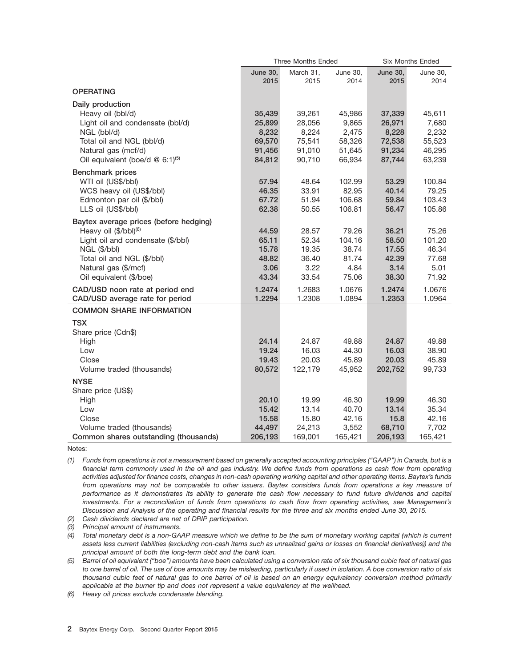|                                                       | <b>Three Months Ended</b><br><b>Six Months Ended</b> |                 |                 |                  |                 |  |  |
|-------------------------------------------------------|------------------------------------------------------|-----------------|-----------------|------------------|-----------------|--|--|
|                                                       | <b>June 30,</b>                                      | March 31,       | <b>June 30,</b> | <b>June 30,</b>  | June 30,        |  |  |
|                                                       | 2015                                                 | 2015            | 2014            | 2015             | 2014            |  |  |
| <b>OPERATING</b>                                      |                                                      |                 |                 |                  |                 |  |  |
|                                                       |                                                      |                 |                 |                  |                 |  |  |
| Daily production                                      |                                                      |                 |                 |                  |                 |  |  |
| Heavy oil (bbl/d)<br>Light oil and condensate (bbl/d) | 35,439                                               | 39,261          | 45,986          | 37,339<br>26,971 | 45,611<br>7,680 |  |  |
| NGL (bbl/d)                                           | 25,899<br>8,232                                      | 28,056<br>8,224 | 9,865<br>2,475  | 8,228            | 2,232           |  |  |
| Total oil and NGL (bbl/d)                             | 69,570                                               | 75,541          | 58,326          | 72,538           | 55,523          |  |  |
| Natural gas (mcf/d)                                   | 91,456                                               | 91,010          | 51,645          | 91,234           | 46,295          |  |  |
| Oil equivalent (boe/d $@$ 6:1) <sup>(5)</sup>         | 84,812                                               | 90,710          | 66,934          | 87,744           |                 |  |  |
|                                                       |                                                      |                 |                 |                  | 63,239          |  |  |
| <b>Benchmark prices</b>                               |                                                      |                 |                 |                  |                 |  |  |
| WTI oil (US\$/bbl)                                    | 57.94                                                | 48.64           | 102.99          | 53.29            | 100.84          |  |  |
| WCS heavy oil (US\$/bbl)                              | 46.35                                                | 33.91           | 82.95           | 40.14            | 79.25           |  |  |
| Edmonton par oil (\$/bbl)                             | 67.72                                                | 51.94           | 106.68          | 59.84            | 103.43          |  |  |
| LLS oil (US\$/bbl)                                    | 62.38                                                | 50.55           | 106.81          | 56.47            | 105.86          |  |  |
| Baytex average prices (before hedging)                |                                                      |                 |                 |                  |                 |  |  |
| Heavy oil (\$/bbl) <sup>(6)</sup>                     | 44.59                                                | 28.57           | 79.26           | 36.21            | 75.26           |  |  |
| Light oil and condensate (\$/bbl)                     | 65.11                                                | 52.34           | 104.16          | 58.50            | 101.20          |  |  |
| NGL (\$/bbl)                                          | 15.78                                                | 19.35           | 38.74           | 17.55            | 46.34           |  |  |
| Total oil and NGL (\$/bbl)                            | 48.82                                                | 36.40           | 81.74           | 42.39            | 77.68           |  |  |
| Natural gas (\$/mcf)                                  | 3.06                                                 | 3.22            | 4.84            | 3.14             | 5.01            |  |  |
| Oil equivalent (\$/boe)                               | 43.34                                                | 33.54           | 75.06           | 38.30            | 71.92           |  |  |
| CAD/USD noon rate at period end                       | 1.2474                                               | 1.2683          | 1.0676          | 1.2474           | 1.0676          |  |  |
| CAD/USD average rate for period                       | 1.2294                                               | 1.2308          | 1.0894          | 1.2353           | 1.0964          |  |  |
| <b>COMMON SHARE INFORMATION</b>                       |                                                      |                 |                 |                  |                 |  |  |
| <b>TSX</b>                                            |                                                      |                 |                 |                  |                 |  |  |
| Share price (Cdn\$)                                   |                                                      |                 |                 |                  |                 |  |  |
| High                                                  | 24.14                                                | 24.87           | 49.88           | 24.87            | 49.88           |  |  |
| Low                                                   | 19.24                                                | 16.03           | 44.30           | 16.03            | 38.90           |  |  |
| Close                                                 | 19.43                                                | 20.03           | 45.89           | 20.03            | 45.89           |  |  |
| Volume traded (thousands)                             | 80,572                                               | 122,179         | 45,952          | 202,752          | 99,733          |  |  |
|                                                       |                                                      |                 |                 |                  |                 |  |  |
| <b>NYSE</b>                                           |                                                      |                 |                 |                  |                 |  |  |
| Share price (US\$)                                    |                                                      |                 |                 |                  |                 |  |  |
| High                                                  | 20.10                                                | 19.99           | 46.30           | 19.99            | 46.30           |  |  |
| Low                                                   | 15.42                                                | 13.14           | 40.70           | 13.14            | 35.34           |  |  |
| Close                                                 | 15.58                                                | 15.80           | 42.16           | 15.8             | 42.16           |  |  |
| Volume traded (thousands)                             | 44,497                                               | 24,213          | 3,552           | 68,710           | 7,702           |  |  |
| Common shares outstanding (thousands)                 | 206,193                                              | 169,001         | 165,421         | 206,193          | 165,421         |  |  |

Notes:

*(1) Funds from operations is not a measurement based on generally accepted accounting principles (''GAAP'') in Canada, but is a financial term commonly used in the oil and gas industry. We define funds from operations as cash flow from operating activities adjusted for finance costs, changes in non-cash operating working capital and other operating items. Baytex's funds from operations may not be comparable to other issuers. Baytex considers funds from operations a key measure of performance as it demonstrates its ability to generate the cash flow necessary to fund future dividends and capital investments. For a reconciliation of funds from operations to cash flow from operating activities, see Management's Discussion and Analysis of the operating and financial results for the three and six months ended June 30, 2015.*

*(2) Cash dividends declared are net of DRIP participation.*

*(3) Principal amount of instruments.*

*(4) Total monetary debt is a non-GAAP measure which we define to be the sum of monetary working capital (which is current assets less current liabilities (excluding non-cash items such as unrealized gains or losses on financial derivatives)) and the principal amount of both the long-term debt and the bank loan.*

*(5) Barrel of oil equivalent (''boe'') amounts have been calculated using a conversion rate of six thousand cubic feet of natural gas to one barrel of oil. The use of boe amounts may be misleading, particularly if used in isolation. A boe conversion ratio of six thousand cubic feet of natural gas to one barrel of oil is based on an energy equivalency conversion method primarily applicable at the burner tip and does not represent a value equivalency at the wellhead.*

*(6) Heavy oil prices exclude condensate blending.*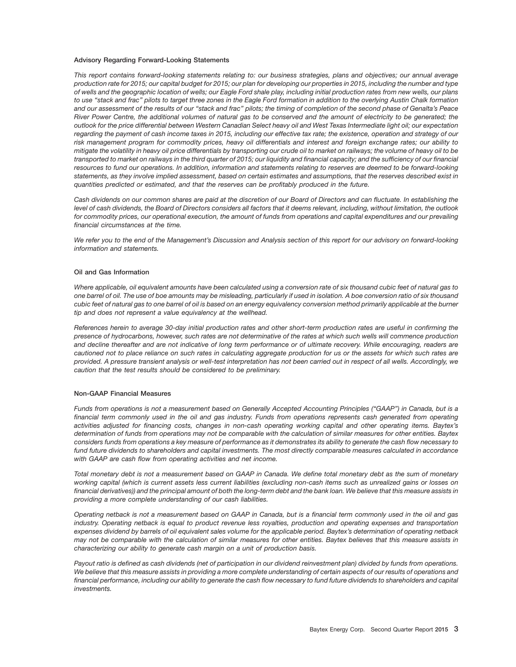#### **Advisory Regarding Forward-Looking Statements**

*This report contains forward-looking statements relating to: our business strategies, plans and objectives; our annual average production rate for 2015; our capital budget for 2015; our plan for developing our properties in 2015, including the number and type of wells and the geographic location of wells; our Eagle Ford shale play, including initial production rates from new wells, our plans to use ''stack and frac'' pilots to target three zones in the Eagle Ford formation in addition to the overlying Austin Chalk formation and our assessment of the results of our ''stack and frac'' pilots; the timing of completion of the second phase of Genalta's Peace River Power Centre, the additional volumes of natural gas to be conserved and the amount of electricity to be generated; the outlook for the price differential between Western Canadian Select heavy oil and West Texas Intermediate light oil; our expectation regarding the payment of cash income taxes in 2015, including our effective tax rate; the existence, operation and strategy of our risk management program for commodity prices, heavy oil differentials and interest and foreign exchange rates; our ability to mitigate the volatility in heavy oil price differentials by transporting our crude oil to market on railways; the volume of heavy oil to be transported to market on railways in the third quarter of 2015; our liquidity and financial capacity; and the sufficiency of our financial resources to fund our operations. In addition, information and statements relating to reserves are deemed to be forward-looking statements, as they involve implied assessment, based on certain estimates and assumptions, that the reserves described exist in quantities predicted or estimated, and that the reserves can be profitably produced in the future.*

*Cash dividends on our common shares are paid at the discretion of our Board of Directors and can fluctuate. In establishing the level of cash dividends, the Board of Directors considers all factors that it deems relevant, including, without limitation, the outlook for commodity prices, our operational execution, the amount of funds from operations and capital expenditures and our prevailing financial circumstances at the time.*

*We refer you to the end of the Management's Discussion and Analysis section of this report for our advisory on forward-looking information and statements.*

#### **Oil and Gas Information**

*Where applicable, oil equivalent amounts have been calculated using a conversion rate of six thousand cubic feet of natural gas to one barrel of oil. The use of boe amounts may be misleading, particularly if used in isolation. A boe conversion ratio of six thousand cubic feet of natural gas to one barrel of oil is based on an energy equivalency conversion method primarily applicable at the burner tip and does not represent a value equivalency at the wellhead.*

*References herein to average 30-day initial production rates and other short-term production rates are useful in confirming the presence of hydrocarbons, however, such rates are not determinative of the rates at which such wells will commence production and decline thereafter and are not indicative of long term performance or of ultimate recovery. While encouraging, readers are cautioned not to place reliance on such rates in calculating aggregate production for us or the assets for which such rates are provided. A pressure transient analysis or well-test interpretation has not been carried out in respect of all wells. Accordingly, we caution that the test results should be considered to be preliminary.*

#### **Non-GAAP Financial Measures**

*Funds from operations is not a measurement based on Generally Accepted Accounting Principles (''GAAP'') in Canada, but is a financial term commonly used in the oil and gas industry. Funds from operations represents cash generated from operating activities adjusted for financing costs, changes in non-cash operating working capital and other operating items. Baytex's determination of funds from operations may not be comparable with the calculation of similar measures for other entities. Baytex considers funds from operations a key measure of performance as it demonstrates its ability to generate the cash flow necessary to fund future dividends to shareholders and capital investments. The most directly comparable measures calculated in accordance with GAAP are cash flow from operating activities and net income.*

*Total monetary debt is not a measurement based on GAAP in Canada. We define total monetary debt as the sum of monetary working capital (which is current assets less current liabilities (excluding non-cash items such as unrealized gains or losses on financial derivatives)) and the principal amount of both the long-term debt and the bank loan. We believe that this measure assists in providing a more complete understanding of our cash liabilities.*

*Operating netback is not a measurement based on GAAP in Canada, but is a financial term commonly used in the oil and gas industry. Operating netback is equal to product revenue less royalties, production and operating expenses and transportation expenses dividend by barrels of oil equivalent sales volume for the applicable period. Baytex's determination of operating netback may not be comparable with the calculation of similar measures for other entities. Baytex believes that this measure assists in characterizing our ability to generate cash margin on a unit of production basis.*

*Payout ratio is defined as cash dividends (net of participation in our dividend reinvestment plan) divided by funds from operations. We believe that this measure assists in providing a more complete understanding of certain aspects of our results of operations and financial performance, including our ability to generate the cash flow necessary to fund future dividends to shareholders and capital investments.*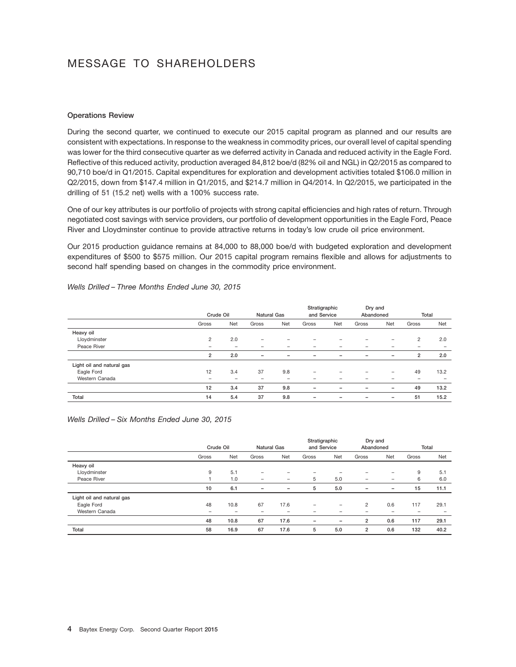# MESSAGE TO SHAREHOLDERS

#### **Operations Review**

During the second quarter, we continued to execute our 2015 capital program as planned and our results are consistent with expectations. In response to the weakness in commodity prices, our overall level of capital spending was lower for the third consecutive quarter as we deferred activity in Canada and reduced activity in the Eagle Ford. Reflective of this reduced activity, production averaged 84,812 boe/d (82% oil and NGL) in Q2/2015 as compared to 90,710 boe/d in Q1/2015. Capital expenditures for exploration and development activities totaled \$106.0 million in Q2/2015, down from \$147.4 million in Q1/2015, and \$214.7 million in Q4/2014. In Q2/2015, we participated in the drilling of 51 (15.2 net) wells with a 100% success rate.

One of our key attributes is our portfolio of projects with strong capital efficiencies and high rates of return. Through negotiated cost savings with service providers, our portfolio of development opportunities in the Eagle Ford, Peace River and Lloydminster continue to provide attractive returns in today's low crude oil price environment.

Our 2015 production guidance remains at 84,000 to 88,000 boe/d with budgeted exploration and development expenditures of \$500 to \$575 million. Our 2015 capital program remains flexible and allows for adjustments to second half spending based on changes in the commodity price environment.

|                           |                          | Crude Oil<br><b>Natural Gas</b> |       |                 | Stratigraphic<br>and Service |                          | Dry and<br>Abandoned     |                          | Total                    |                              |
|---------------------------|--------------------------|---------------------------------|-------|-----------------|------------------------------|--------------------------|--------------------------|--------------------------|--------------------------|------------------------------|
|                           | Gross                    | Net                             | Gross | Net             | Gross                        | Net                      | Gross                    | Net                      | Gross                    | Net                          |
| Heavy oil                 |                          |                                 |       |                 |                              |                          |                          |                          |                          |                              |
| Lloydminster              | 2                        | 2.0                             | -     | -               |                              |                          |                          |                          | $\overline{2}$           | 2.0                          |
| Peace River               |                          | -                               |       |                 |                              |                          |                          |                          | -                        | -                            |
|                           | $\overline{2}$           | 2.0                             | -     | -               |                              |                          |                          | $\overline{\phantom{0}}$ | $\overline{2}$           | 2.0                          |
| Light oil and natural gas |                          |                                 |       |                 |                              |                          |                          |                          |                          |                              |
| Eagle Ford                | 12                       | 3.4                             | 37    | 9.8             |                              |                          | -                        | $\overline{\phantom{0}}$ | 49                       | 13.2                         |
| Western Canada            | $\overline{\phantom{0}}$ | $\overline{\phantom{0}}$        | -     | $\qquad \qquad$ | -                            |                          |                          | -                        | $\overline{\phantom{0}}$ | $\qquad \qquad \blacksquare$ |
|                           | 12                       | 3.4                             | 37    | 9.8             | -                            | $\overline{\phantom{0}}$ | -                        | $\overline{\phantom{0}}$ | 49                       | 13.2                         |
| Total                     | 14                       | 5.4                             | 37    | 9.8             | $\qquad \qquad -$            | $\overline{\phantom{0}}$ | $\overline{\phantom{0}}$ | $\overline{\phantom{a}}$ | 51                       | 15.2                         |

*Wells Drilled – Three Months Ended June 30, 2015*

*Wells Drilled – Six Months Ended June 30, 2015*

|                           |                          |           |                          |                          |       |                          | Dry and                  |                          |       |       |
|---------------------------|--------------------------|-----------|--------------------------|--------------------------|-------|--------------------------|--------------------------|--------------------------|-------|-------|
|                           |                          | Crude Oil | <b>Natural Gas</b>       |                          |       | and Service              |                          | Abandoned                |       | Total |
|                           | Gross                    | Net       | Gross                    | Net                      | Gross | Net                      | Gross                    | Net                      | Gross | Net   |
| Heavy oil                 |                          |           |                          |                          |       |                          |                          |                          |       |       |
| Lloydminster              | 9                        | 5.1       | -                        |                          |       |                          |                          | $\overline{\phantom{0}}$ | 9     | 5.1   |
| Peace River               |                          | 1.0       | -                        | $\overline{\phantom{0}}$ | 5     | 5.0                      | ۰                        | -                        | 6     | 6.0   |
|                           | 10                       | 6.1       | $\overline{\phantom{0}}$ | $\overline{\phantom{a}}$ | 5     | 5.0                      | $\overline{\phantom{0}}$ | $\qquad \qquad$          | 15    | 11.1  |
| Light oil and natural gas |                          |           |                          |                          |       |                          |                          |                          |       |       |
| Eagle Ford                | 48                       | 10.8      | 67                       | 17.6                     | -     | $\overline{\phantom{0}}$ | 2                        | 0.6                      | 117   | 29.1  |
| Western Canada            | $\overline{\phantom{0}}$ |           |                          | $\overline{\phantom{0}}$ |       | -                        |                          | $\overline{\phantom{0}}$ | -     |       |
|                           | 48                       | 10.8      | 67                       | 17.6                     | -     | $\overline{\phantom{0}}$ | $\overline{2}$           | 0.6                      | 117   | 29.1  |
| Total                     | 58                       | 16.9      | 67                       | 17.6                     | 5     | 5.0                      | $\overline{2}$           | 0.6                      | 132   | 40.2  |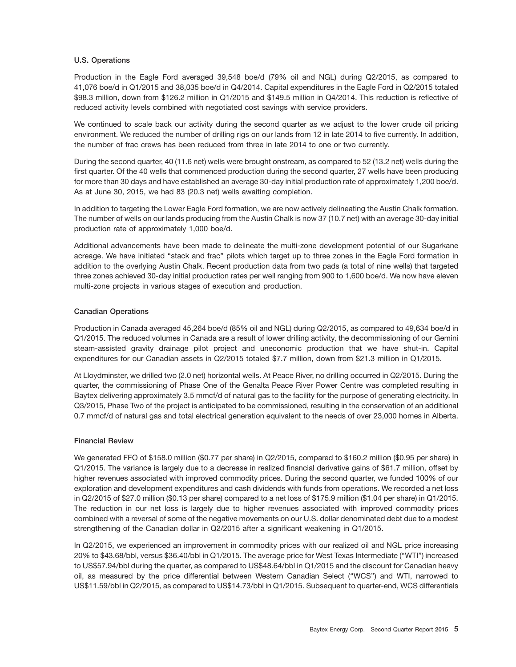#### **U.S. Operations**

Production in the Eagle Ford averaged 39,548 boe/d (79% oil and NGL) during Q2/2015, as compared to 41,076 boe/d in Q1/2015 and 38,035 boe/d in Q4/2014. Capital expenditures in the Eagle Ford in Q2/2015 totaled \$98.3 million, down from \$126.2 million in Q1/2015 and \$149.5 million in Q4/2014. This reduction is reflective of reduced activity levels combined with negotiated cost savings with service providers.

We continued to scale back our activity during the second quarter as we adjust to the lower crude oil pricing environment. We reduced the number of drilling rigs on our lands from 12 in late 2014 to five currently. In addition, the number of frac crews has been reduced from three in late 2014 to one or two currently.

During the second quarter, 40 (11.6 net) wells were brought onstream, as compared to 52 (13.2 net) wells during the first quarter. Of the 40 wells that commenced production during the second quarter, 27 wells have been producing for more than 30 days and have established an average 30-day initial production rate of approximately 1,200 boe/d. As at June 30, 2015, we had 83 (20.3 net) wells awaiting completion.

In addition to targeting the Lower Eagle Ford formation, we are now actively delineating the Austin Chalk formation. The number of wells on our lands producing from the Austin Chalk is now 37 (10.7 net) with an average 30-day initial production rate of approximately 1,000 boe/d.

Additional advancements have been made to delineate the multi-zone development potential of our Sugarkane acreage. We have initiated ''stack and frac'' pilots which target up to three zones in the Eagle Ford formation in addition to the overlying Austin Chalk. Recent production data from two pads (a total of nine wells) that targeted three zones achieved 30-day initial production rates per well ranging from 900 to 1,600 boe/d. We now have eleven multi-zone projects in various stages of execution and production.

#### **Canadian Operations**

Production in Canada averaged 45,264 boe/d (85% oil and NGL) during Q2/2015, as compared to 49,634 boe/d in Q1/2015. The reduced volumes in Canada are a result of lower drilling activity, the decommissioning of our Gemini steam-assisted gravity drainage pilot project and uneconomic production that we have shut-in. Capital expenditures for our Canadian assets in Q2/2015 totaled \$7.7 million, down from \$21.3 million in Q1/2015.

At Lloydminster, we drilled two (2.0 net) horizontal wells. At Peace River, no drilling occurred in Q2/2015. During the quarter, the commissioning of Phase One of the Genalta Peace River Power Centre was completed resulting in Baytex delivering approximately 3.5 mmcf/d of natural gas to the facility for the purpose of generating electricity. In Q3/2015, Phase Two of the project is anticipated to be commissioned, resulting in the conservation of an additional 0.7 mmcf/d of natural gas and total electrical generation equivalent to the needs of over 23,000 homes in Alberta.

#### **Financial Review**

We generated FFO of \$158.0 million (\$0.77 per share) in Q2/2015, compared to \$160.2 million (\$0.95 per share) in Q1/2015. The variance is largely due to a decrease in realized financial derivative gains of \$61.7 million, offset by higher revenues associated with improved commodity prices. During the second quarter, we funded 100% of our exploration and development expenditures and cash dividends with funds from operations. We recorded a net loss in Q2/2015 of \$27.0 million (\$0.13 per share) compared to a net loss of \$175.9 million (\$1.04 per share) in Q1/2015. The reduction in our net loss is largely due to higher revenues associated with improved commodity prices combined with a reversal of some of the negative movements on our U.S. dollar denominated debt due to a modest strengthening of the Canadian dollar in Q2/2015 after a significant weakening in Q1/2015.

In Q2/2015, we experienced an improvement in commodity prices with our realized oil and NGL price increasing 20% to \$43.68/bbl, versus \$36.40/bbl in Q1/2015. The average price for West Texas Intermediate (''WTI'') increased to US\$57.94/bbl during the quarter, as compared to US\$48.64/bbl in Q1/2015 and the discount for Canadian heavy oil, as measured by the price differential between Western Canadian Select (''WCS'') and WTI, narrowed to US\$11.59/bbl in Q2/2015, as compared to US\$14.73/bbl in Q1/2015. Subsequent to quarter-end, WCS differentials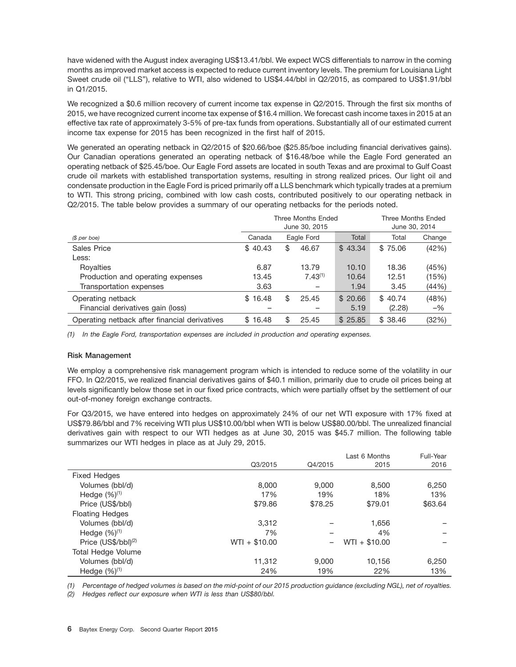have widened with the August index averaging US\$13.41/bbl. We expect WCS differentials to narrow in the coming months as improved market access is expected to reduce current inventory levels. The premium for Louisiana Light Sweet crude oil ("LLS"), relative to WTI, also widened to US\$4.44/bbl in Q2/2015, as compared to US\$1.91/bbl in Q1/2015.

We recognized a \$0.6 million recovery of current income tax expense in Q2/2015. Through the first six months of 2015, we have recognized current income tax expense of \$16.4 million. We forecast cash income taxes in 2015 at an effective tax rate of approximately 3-5% of pre-tax funds from operations. Substantially all of our estimated current income tax expense for 2015 has been recognized in the first half of 2015.

We generated an operating netback in Q2/2015 of \$20.66/boe (\$25.85/boe including financial derivatives gains). Our Canadian operations generated an operating netback of \$16.48/boe while the Eagle Ford generated an operating netback of \$25.45/boe. Our Eagle Ford assets are located in south Texas and are proximal to Gulf Coast crude oil markets with established transportation systems, resulting in strong realized prices. Our light oil and condensate production in the Eagle Ford is priced primarily off a LLS benchmark which typically trades at a premium to WTI. This strong pricing, combined with low cash costs, contributed positively to our operating netback in Q2/2015. The table below provides a summary of our operating netbacks for the periods noted.

|                                               |         |                     | Three Months Ended<br>June 30, 2015 |         | Three Months Ended<br>June 30, 2014 |        |  |
|-----------------------------------------------|---------|---------------------|-------------------------------------|---------|-------------------------------------|--------|--|
| (\$ per boe)                                  | Canada  | Total<br>Eagle Ford |                                     |         |                                     | Change |  |
| Sales Price                                   | \$40.43 | \$                  | 46.67                               | \$43.34 | \$75.06                             | (42%)  |  |
| Less:                                         |         |                     |                                     |         |                                     |        |  |
| Royalties                                     | 6.87    |                     | 13.79                               | 10.10   | 18.36                               | (45%)  |  |
| Production and operating expenses             | 13.45   |                     | $7.43^{(1)}$                        | 10.64   | 12.51                               | (15%)  |  |
| Transportation expenses                       | 3.63    |                     |                                     | 1.94    | 3.45                                | (44%)  |  |
| Operating netback                             | \$16.48 | \$                  | 25.45                               | \$20.66 | \$40.74                             | (48%)  |  |
| Financial derivatives gain (loss)             |         |                     |                                     | 5.19    | (2.28)                              | $-$ %  |  |
| Operating netback after financial derivatives | \$16.48 | \$                  | 25.45                               | \$25.85 | \$38,46                             | (32%)  |  |

*(1) In the Eagle Ford, transportation expenses are included in production and operating expenses.*

#### **Risk Management**

We employ a comprehensive risk management program which is intended to reduce some of the volatility in our FFO. In Q2/2015, we realized financial derivatives gains of \$40.1 million, primarily due to crude oil prices being at levels significantly below those set in our fixed price contracts, which were partially offset by the settlement of our out-of-money foreign exchange contracts.

For Q3/2015, we have entered into hedges on approximately 24% of our net WTI exposure with 17% fixed at US\$79.86/bbl and 7% receiving WTI plus US\$10.00/bbl when WTI is below US\$80.00/bbl. The unrealized financial derivatives gain with respect to our WTI hedges as at June 30, 2015 was \$45.7 million. The following table summarizes our WTI hedges in place as at July 29, 2015.

|                                 |                |         | Last 6 Months  | Full-Year |
|---------------------------------|----------------|---------|----------------|-----------|
|                                 | Q3/2015        | Q4/2015 | 2015           | 2016      |
| <b>Fixed Hedges</b>             |                |         |                |           |
| Volumes (bbl/d)                 | 8,000          | 9,000   | 8,500          | 6,250     |
| Hedge $(\frac{9}{1})^{(1)}$     | 17%            | 19%     | 18%            | 13%       |
| Price (US\$/bbl)                | \$79.86        | \$78.25 | \$79.01        | \$63.64   |
| <b>Floating Hedges</b>          |                |         |                |           |
| Volumes (bbl/d)                 | 3.312          |         | 1,656          |           |
| Hedge $(\frac{9}{1})^{(1)}$     | 7%             |         | 4%             |           |
| Price (US\$/bbl) <sup>(2)</sup> | $WTI + $10.00$ |         | $WTI + $10.00$ |           |
| <b>Total Hedge Volume</b>       |                |         |                |           |
| Volumes (bbl/d)                 | 11,312         | 9,000   | 10.156         | 6,250     |
| Hedge $(\frac{9}{1})^{(1)}$     | 24%            | 19%     | 22%            | 13%       |

*(1) Percentage of hedged volumes is based on the mid-point of our 2015 production guidance (excluding NGL), net of royalties.*

*(2) Hedges reflect our exposure when WTI is less than US\$80/bbl.*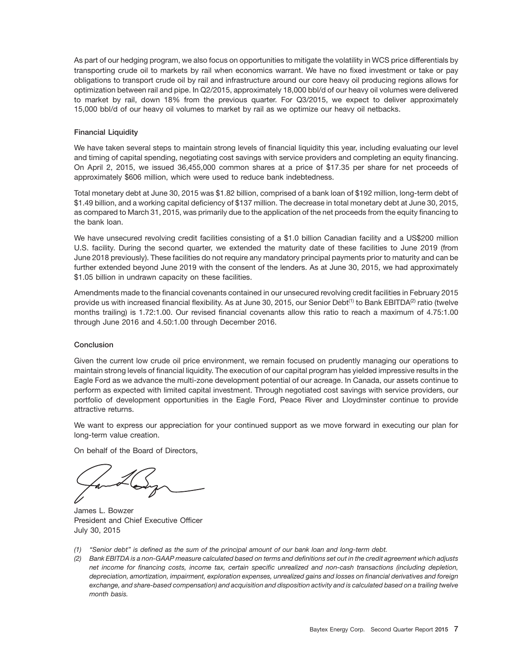As part of our hedging program, we also focus on opportunities to mitigate the volatility in WCS price differentials by transporting crude oil to markets by rail when economics warrant. We have no fixed investment or take or pay obligations to transport crude oil by rail and infrastructure around our core heavy oil producing regions allows for optimization between rail and pipe. In Q2/2015, approximately 18,000 bbl/d of our heavy oil volumes were delivered to market by rail, down 18% from the previous quarter. For Q3/2015, we expect to deliver approximately 15,000 bbl/d of our heavy oil volumes to market by rail as we optimize our heavy oil netbacks.

#### **Financial Liquidity**

We have taken several steps to maintain strong levels of financial liquidity this year, including evaluating our level and timing of capital spending, negotiating cost savings with service providers and completing an equity financing. On April 2, 2015, we issued 36,455,000 common shares at a price of \$17.35 per share for net proceeds of approximately \$606 million, which were used to reduce bank indebtedness.

Total monetary debt at June 30, 2015 was \$1.82 billion, comprised of a bank loan of \$192 million, long-term debt of \$1.49 billion, and a working capital deficiency of \$137 million. The decrease in total monetary debt at June 30, 2015, as compared to March 31, 2015, was primarily due to the application of the net proceeds from the equity financing to the bank loan.

We have unsecured revolving credit facilities consisting of a \$1.0 billion Canadian facility and a US\$200 million U.S. facility. During the second quarter, we extended the maturity date of these facilities to June 2019 (from June 2018 previously). These facilities do not require any mandatory principal payments prior to maturity and can be further extended beyond June 2019 with the consent of the lenders. As at June 30, 2015, we had approximately \$1.05 billion in undrawn capacity on these facilities.

Amendments made to the financial covenants contained in our unsecured revolving credit facilities in February 2015 provide us with increased financial flexibility. As at June 30, 2015, our Senior Debt<sup>(1)</sup> to Bank EBITDA<sup>(2)</sup> ratio (twelve months trailing) is 1.72:1.00. Our revised financial covenants allow this ratio to reach a maximum of 4.75:1.00 through June 2016 and 4.50:1.00 through December 2016.

#### **Conclusion**

Given the current low crude oil price environment, we remain focused on prudently managing our operations to maintain strong levels of financial liquidity. The execution of our capital program has yielded impressive results in the Eagle Ford as we advance the multi-zone development potential of our acreage. In Canada, our assets continue to perform as expected with limited capital investment. Through negotiated cost savings with service providers, our portfolio of development opportunities in the Eagle Ford, Peace River and Lloydminster continue to provide attractive returns.

We want to express our appreciation for your continued support as we move forward in executing our plan for long-term value creation.

On behalf of the Board of Directors,

James L. Bowzer President and Chief Executive Officer July 30, 2015

- *(1) ''Senior debt'' is defined as the sum of the principal amount of our bank loan and long-term debt.*
- *(2) Bank EBITDA is a non-GAAP measure calculated based on terms and definitions set out in the credit agreement which adjusts net income for financing costs, income tax, certain specific unrealized and non-cash transactions (including depletion, depreciation, amortization, impairment, exploration expenses, unrealized gains and losses on financial derivatives and foreign exchange, and share-based compensation) and acquisition and disposition activity and is calculated based on a trailing twelve month basis.*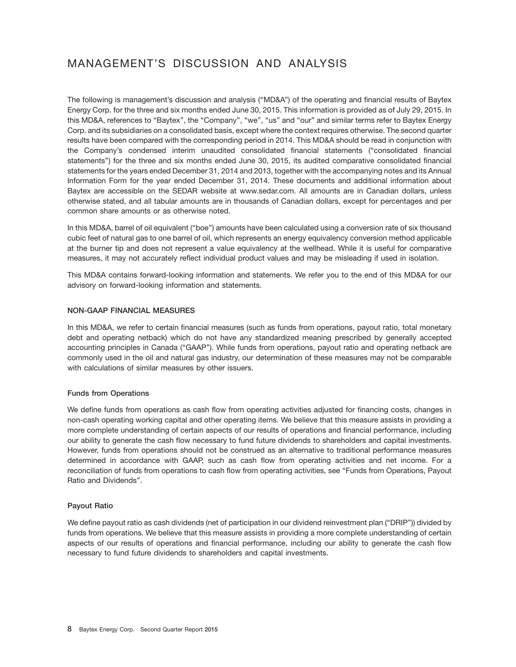# MANAGEMENT'S DISCUSSION AND ANALYSIS

The following is management's discussion and analysis (''MD&A'') of the operating and financial results of Baytex Energy Corp. for the three and six months ended June 30, 2015. This information is provided as of July 29, 2015. In this MD&A, references to "Baytex", the "Company", "we", "us" and "our" and similar terms refer to Baytex Energy Corp. and its subsidiaries on a consolidated basis, except where the context requires otherwise. The second quarter results have been compared with the corresponding period in 2014. This MD&A should be read in conjunction with the Company's condensed interim unaudited consolidated financial statements (''consolidated financial statements'') for the three and six months ended June 30, 2015, its audited comparative consolidated financial statements for the years ended December 31, 2014 and 2013, together with the accompanying notes and its Annual Information Form for the year ended December 31, 2014. These documents and additional information about Baytex are accessible on the SEDAR website at www.sedar.com. All amounts are in Canadian dollars, unless otherwise stated, and all tabular amounts are in thousands of Canadian dollars, except for percentages and per common share amounts or as otherwise noted.

In this MD&A, barrel of oil equivalent (''boe'') amounts have been calculated using a conversion rate of six thousand cubic feet of natural gas to one barrel of oil, which represents an energy equivalency conversion method applicable at the burner tip and does not represent a value equivalency at the wellhead. While it is useful for comparative measures, it may not accurately reflect individual product values and may be misleading if used in isolation.

This MD&A contains forward-looking information and statements. We refer you to the end of this MD&A for our advisory on forward-looking information and statements.

#### **NON-GAAP FINANCIAL MEASURES**

In this MD&A, we refer to certain financial measures (such as funds from operations, payout ratio, total monetary debt and operating netback) which do not have any standardized meaning prescribed by generally accepted accounting principles in Canada (''GAAP''). While funds from operations, payout ratio and operating netback are commonly used in the oil and natural gas industry, our determination of these measures may not be comparable with calculations of similar measures by other issuers.

#### **Funds from Operations**

We define funds from operations as cash flow from operating activities adjusted for financing costs, changes in non-cash operating working capital and other operating items. We believe that this measure assists in providing a more complete understanding of certain aspects of our results of operations and financial performance, including our ability to generate the cash flow necessary to fund future dividends to shareholders and capital investments. However, funds from operations should not be construed as an alternative to traditional performance measures determined in accordance with GAAP, such as cash flow from operating activities and net income. For a reconciliation of funds from operations to cash flow from operating activities, see "Funds from Operations, Payout Ratio and Dividends''.

#### **Payout Ratio**

We define payout ratio as cash dividends (net of participation in our dividend reinvestment plan ("DRIP")) divided by funds from operations. We believe that this measure assists in providing a more complete understanding of certain aspects of our results of operations and financial performance, including our ability to generate the cash flow necessary to fund future dividends to shareholders and capital investments.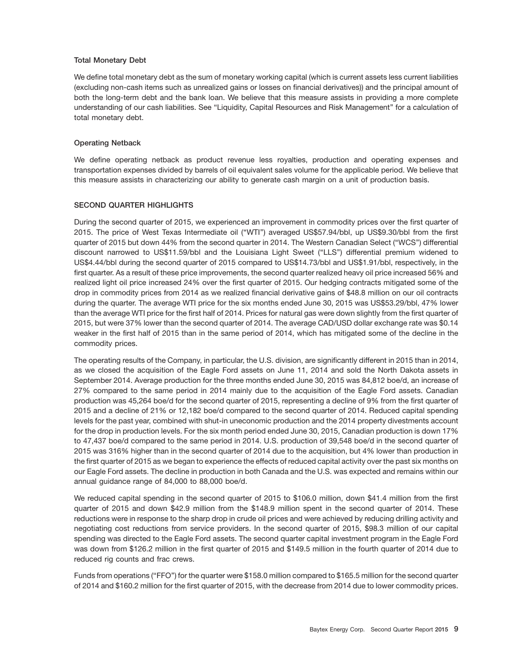#### **Total Monetary Debt**

We define total monetary debt as the sum of monetary working capital (which is current assets less current liabilities (excluding non-cash items such as unrealized gains or losses on financial derivatives)) and the principal amount of both the long-term debt and the bank loan. We believe that this measure assists in providing a more complete understanding of our cash liabilities. See ''Liquidity, Capital Resources and Risk Management'' for a calculation of total monetary debt.

#### **Operating Netback**

We define operating netback as product revenue less royalties, production and operating expenses and transportation expenses divided by barrels of oil equivalent sales volume for the applicable period. We believe that this measure assists in characterizing our ability to generate cash margin on a unit of production basis.

#### **SECOND QUARTER HIGHLIGHTS**

During the second quarter of 2015, we experienced an improvement in commodity prices over the first quarter of 2015. The price of West Texas Intermediate oil (''WTI'') averaged US\$57.94/bbl, up US\$9.30/bbl from the first quarter of 2015 but down 44% from the second quarter in 2014. The Western Canadian Select (''WCS'') differential discount narrowed to US\$11.59/bbl and the Louisiana Light Sweet (''LLS'') differential premium widened to US\$4.44/bbl during the second quarter of 2015 compared to US\$14.73/bbl and US\$1.91/bbl, respectively, in the first quarter. As a result of these price improvements, the second quarter realized heavy oil price increased 56% and realized light oil price increased 24% over the first quarter of 2015. Our hedging contracts mitigated some of the drop in commodity prices from 2014 as we realized financial derivative gains of \$48.8 million on our oil contracts during the quarter. The average WTI price for the six months ended June 30, 2015 was US\$53.29/bbl, 47% lower than the average WTI price for the first half of 2014. Prices for natural gas were down slightly from the first quarter of 2015, but were 37% lower than the second quarter of 2014. The average CAD/USD dollar exchange rate was \$0.14 weaker in the first half of 2015 than in the same period of 2014, which has mitigated some of the decline in the commodity prices.

The operating results of the Company, in particular, the U.S. division, are significantly different in 2015 than in 2014, as we closed the acquisition of the Eagle Ford assets on June 11, 2014 and sold the North Dakota assets in September 2014. Average production for the three months ended June 30, 2015 was 84,812 boe/d, an increase of 27% compared to the same period in 2014 mainly due to the acquisition of the Eagle Ford assets. Canadian production was 45,264 boe/d for the second quarter of 2015, representing a decline of 9% from the first quarter of 2015 and a decline of 21% or 12,182 boe/d compared to the second quarter of 2014. Reduced capital spending levels for the past year, combined with shut-in uneconomic production and the 2014 property divestments account for the drop in production levels. For the six month period ended June 30, 2015, Canadian production is down 17% to 47,437 boe/d compared to the same period in 2014. U.S. production of 39,548 boe/d in the second quarter of 2015 was 316% higher than in the second quarter of 2014 due to the acquisition, but 4% lower than production in the first quarter of 2015 as we began to experience the effects of reduced capital activity over the past six months on our Eagle Ford assets. The decline in production in both Canada and the U.S. was expected and remains within our annual guidance range of 84,000 to 88,000 boe/d.

We reduced capital spending in the second quarter of 2015 to \$106.0 million, down \$41.4 million from the first quarter of 2015 and down \$42.9 million from the \$148.9 million spent in the second quarter of 2014. These reductions were in response to the sharp drop in crude oil prices and were achieved by reducing drilling activity and negotiating cost reductions from service providers. In the second quarter of 2015, \$98.3 million of our capital spending was directed to the Eagle Ford assets. The second quarter capital investment program in the Eagle Ford was down from \$126.2 million in the first quarter of 2015 and \$149.5 million in the fourth quarter of 2014 due to reduced rig counts and frac crews.

Funds from operations (''FFO'') for the quarter were \$158.0 million compared to \$165.5 million for the second quarter of 2014 and \$160.2 million for the first quarter of 2015, with the decrease from 2014 due to lower commodity prices.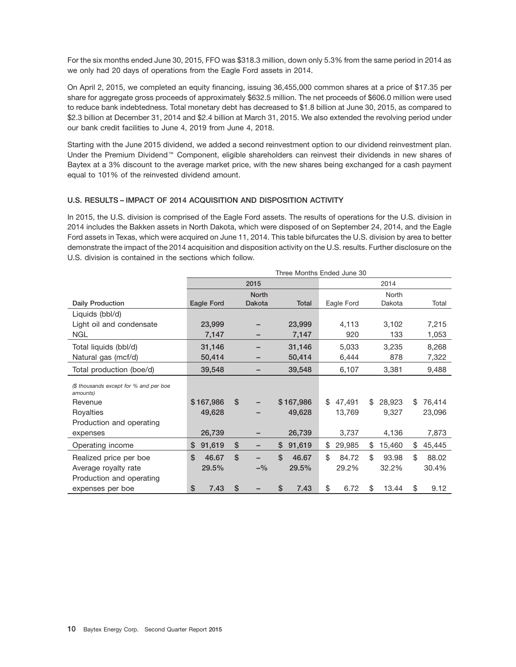For the six months ended June 30, 2015, FFO was \$318.3 million, down only 5.3% from the same period in 2014 as we only had 20 days of operations from the Eagle Ford assets in 2014.

On April 2, 2015, we completed an equity financing, issuing 36,455,000 common shares at a price of \$17.35 per share for aggregate gross proceeds of approximately \$632.5 million. The net proceeds of \$606.0 million were used to reduce bank indebtedness. Total monetary debt has decreased to \$1.8 billion at June 30, 2015, as compared to \$2.3 billion at December 31, 2014 and \$2.4 billion at March 31, 2015. We also extended the revolving period under our bank credit facilities to June 4, 2019 from June 4, 2018.

Starting with the June 2015 dividend, we added a second reinvestment option to our dividend reinvestment plan. Under the Premium Dividend<sup>™</sup> Component, eligible shareholders can reinvest their dividends in new shares of Baytex at a 3% discount to the average market price, with the new shares being exchanged for a cash payment equal to 101% of the reinvested dividend amount.

#### **U.S. RESULTS – IMPACT OF 2014 ACQUISITION AND DISPOSITION ACTIVITY**

In 2015, the U.S. division is comprised of the Eagle Ford assets. The results of operations for the U.S. division in 2014 includes the Bakken assets in North Dakota, which were disposed of on September 24, 2014, and the Eagle Ford assets in Texas, which were acquired on June 11, 2014. This table bifurcates the U.S. division by area to better demonstrate the impact of the 2014 acquisition and disposition activity on the U.S. results. Further disclosure on the U.S. division is contained in the sections which follow.

|                                                    |              | Three Months Ended June 30 |                         |              |              |              |  |  |  |  |
|----------------------------------------------------|--------------|----------------------------|-------------------------|--------------|--------------|--------------|--|--|--|--|
|                                                    |              | 2015                       |                         |              | 2014         |              |  |  |  |  |
|                                                    |              | <b>North</b>               |                         |              | North        |              |  |  |  |  |
| <b>Daily Production</b>                            | Eagle Ford   | <b>Dakota</b>              | Total                   | Eagle Ford   | Dakota       | Total        |  |  |  |  |
| Liquids (bbl/d)                                    |              |                            |                         |              |              |              |  |  |  |  |
| Light oil and condensate                           | 23,999       |                            | 23,999                  | 4,113        | 3,102        | 7,215        |  |  |  |  |
| <b>NGL</b>                                         | 7,147        |                            | 7,147                   | 920          | 133          | 1,053        |  |  |  |  |
| Total liquids (bbl/d)                              | 31,146       |                            | 31,146                  | 5,033        | 3,235        | 8,268        |  |  |  |  |
| Natural gas (mcf/d)                                | 50,414       | -                          | 50,414                  | 6,444        | 878          | 7,322        |  |  |  |  |
| Total production (boe/d)                           | 39,548       |                            | 39,548                  | 6,107        | 3,381        | 9,488        |  |  |  |  |
| (\$ thousands except for % and per boe<br>amounts) |              |                            |                         |              |              |              |  |  |  |  |
| Revenue                                            | \$167,986    | $\mathbf{s}$<br>-          | \$167,986               | \$<br>47,491 | 28,923<br>\$ | 76,414<br>\$ |  |  |  |  |
| Rovalties                                          | 49,628       |                            | 49,628                  | 13,769       | 9,327        | 23,096       |  |  |  |  |
| Production and operating                           |              |                            |                         |              |              |              |  |  |  |  |
| expenses                                           | 26,739       |                            | 26,739                  | 3,737        | 4,136        | 7,873        |  |  |  |  |
| Operating income                                   | \$<br>91,619 | \$                         | \$<br>91,619            | \$<br>29,985 | 15,460<br>\$ | \$<br>45,445 |  |  |  |  |
| Realized price per boe                             | \$<br>46.67  | $\mathfrak{L}$             | $\mathfrak{L}$<br>46.67 | \$<br>84.72  | \$<br>93.98  | \$<br>88.02  |  |  |  |  |
| Average royalty rate                               | 29.5%        | $-$ %                      | 29.5%                   | 29.2%        | 32.2%        | 30.4%        |  |  |  |  |
| Production and operating                           |              |                            |                         |              |              |              |  |  |  |  |
| expenses per boe                                   | \$<br>7.43   | \$                         | \$<br>7.43              | \$<br>6.72   | 13.44<br>\$  | \$<br>9.12   |  |  |  |  |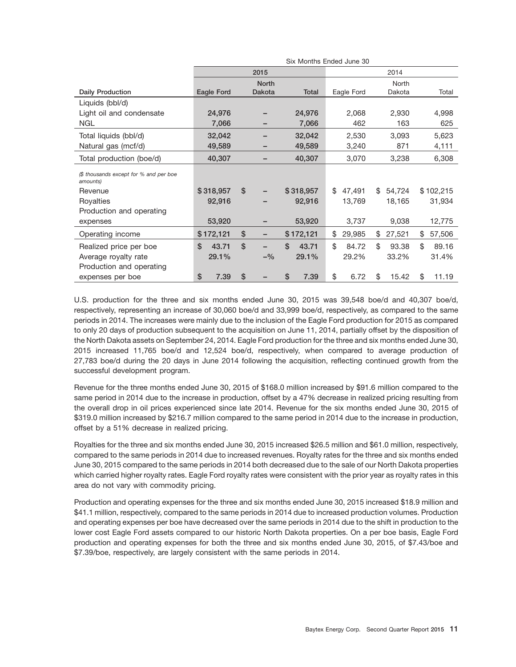|                                                    |             | Six Months Ended June 30 |              |              |              |              |  |  |  |  |
|----------------------------------------------------|-------------|--------------------------|--------------|--------------|--------------|--------------|--|--|--|--|
|                                                    |             | 2015                     |              |              | 2014         |              |  |  |  |  |
|                                                    |             | <b>North</b>             |              |              | North        |              |  |  |  |  |
| <b>Daily Production</b>                            | Eagle Ford  | Dakota                   | <b>Total</b> | Eagle Ford   | Dakota       | Total        |  |  |  |  |
| Liquids (bbl/d)                                    |             |                          |              |              |              |              |  |  |  |  |
| Light oil and condensate                           | 24,976      |                          | 24,976       | 2,068        | 2,930        | 4,998        |  |  |  |  |
| <b>NGL</b>                                         | 7,066       |                          | 7,066        | 462          | 163          | 625          |  |  |  |  |
| Total liquids (bbl/d)                              | 32,042      |                          | 32,042       | 2,530        | 3,093        | 5,623        |  |  |  |  |
| Natural gas (mcf/d)                                | 49,589      |                          | 49,589       | 3,240        | 871          | 4,111        |  |  |  |  |
| Total production (boe/d)                           | 40,307      |                          | 40,307       | 3,070        | 3,238        | 6,308        |  |  |  |  |
| (\$ thousands except for % and per boe<br>amounts) |             |                          |              |              |              |              |  |  |  |  |
| Revenue                                            | \$318,957   | \$                       | \$318,957    | \$<br>47,491 | 54,724<br>\$ | \$102,215    |  |  |  |  |
| Royalties                                          | 92,916      |                          | 92,916       | 13,769       | 18,165       | 31,934       |  |  |  |  |
| Production and operating                           |             |                          |              |              |              |              |  |  |  |  |
| expenses                                           | 53,920      |                          | 53,920       | 3,737        | 9,038        | 12,775       |  |  |  |  |
| Operating income                                   | \$172,121   | \$<br>-                  | \$172,121    | \$<br>29,985 | \$<br>27,521 | \$<br>57,506 |  |  |  |  |
| Realized price per boe                             | \$<br>43.71 | $\mathfrak{L}$           | \$<br>43.71  | \$<br>84.72  | \$<br>93.38  | \$<br>89.16  |  |  |  |  |
| Average royalty rate                               | 29.1%       | $-$ %                    | 29.1%        | 29.2%        | 33.2%        | 31.4%        |  |  |  |  |
| Production and operating                           |             |                          |              |              |              |              |  |  |  |  |
| expenses per boe                                   | \$<br>7.39  | \$                       | 7.39<br>S    | \$<br>6.72   | \$<br>15.42  | \$<br>11.19  |  |  |  |  |

U.S. production for the three and six months ended June 30, 2015 was 39,548 boe/d and 40,307 boe/d, respectively, representing an increase of 30,060 boe/d and 33,999 boe/d, respectively, as compared to the same periods in 2014. The increases were mainly due to the inclusion of the Eagle Ford production for 2015 as compared to only 20 days of production subsequent to the acquisition on June 11, 2014, partially offset by the disposition of the North Dakota assets on September 24, 2014. Eagle Ford production for the three and six months ended June 30, 2015 increased 11,765 boe/d and 12,524 boe/d, respectively, when compared to average production of 27,783 boe/d during the 20 days in June 2014 following the acquisition, reflecting continued growth from the successful development program.

Revenue for the three months ended June 30, 2015 of \$168.0 million increased by \$91.6 million compared to the same period in 2014 due to the increase in production, offset by a 47% decrease in realized pricing resulting from the overall drop in oil prices experienced since late 2014. Revenue for the six months ended June 30, 2015 of \$319.0 million increased by \$216.7 million compared to the same period in 2014 due to the increase in production, offset by a 51% decrease in realized pricing.

Royalties for the three and six months ended June 30, 2015 increased \$26.5 million and \$61.0 million, respectively, compared to the same periods in 2014 due to increased revenues. Royalty rates for the three and six months ended June 30, 2015 compared to the same periods in 2014 both decreased due to the sale of our North Dakota properties which carried higher royalty rates. Eagle Ford royalty rates were consistent with the prior year as royalty rates in this area do not vary with commodity pricing.

Production and operating expenses for the three and six months ended June 30, 2015 increased \$18.9 million and \$41.1 million, respectively, compared to the same periods in 2014 due to increased production volumes. Production and operating expenses per boe have decreased over the same periods in 2014 due to the shift in production to the lower cost Eagle Ford assets compared to our historic North Dakota properties. On a per boe basis, Eagle Ford production and operating expenses for both the three and six months ended June 30, 2015, of \$7.43/boe and \$7.39/boe, respectively, are largely consistent with the same periods in 2014.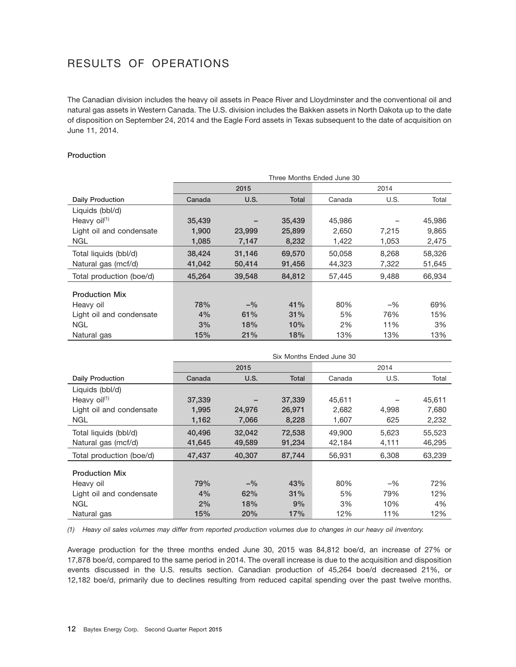# RESULTS OF OPERATIONS

The Canadian division includes the heavy oil assets in Peace River and Lloydminster and the conventional oil and natural gas assets in Western Canada. The U.S. division includes the Bakken assets in North Dakota up to the date of disposition on September 24, 2014 and the Eagle Ford assets in Texas subsequent to the date of acquisition on June 11, 2014.

#### **Production**

|                          | Three Months Ended June 30 |        |              |        |       |        |  |  |  |
|--------------------------|----------------------------|--------|--------------|--------|-------|--------|--|--|--|
|                          |                            | 2015   |              |        | 2014  |        |  |  |  |
| <b>Daily Production</b>  | Canada                     | U.S.   | <b>Total</b> | Canada | U.S.  | Total  |  |  |  |
| Liquids (bbl/d)          |                            |        |              |        |       |        |  |  |  |
| Heavy $\text{oil}^{(1)}$ | 35,439                     |        | 35,439       | 45,986 |       | 45,986 |  |  |  |
| Light oil and condensate | 1,900                      | 23,999 | 25,899       | 2,650  | 7,215 | 9,865  |  |  |  |
| <b>NGL</b>               | 1,085                      | 7.147  | 8,232        | 1,422  | 1.053 | 2,475  |  |  |  |
| Total liquids (bbl/d)    | 38.424                     | 31,146 | 69,570       | 50.058 | 8.268 | 58,326 |  |  |  |
| Natural gas (mcf/d)      | 41,042                     | 50,414 | 91,456       | 44.323 | 7,322 | 51,645 |  |  |  |
| Total production (boe/d) | 45,264                     | 39,548 | 84,812       | 57.445 | 9.488 | 66,934 |  |  |  |
| <b>Production Mix</b>    |                            |        |              |        |       |        |  |  |  |
| Heavy oil                | 78%                        | $-$ %  | 41%          | 80%    | $-$ % | 69%    |  |  |  |
| Light oil and condensate | 4%                         | 61%    | 31%          | 5%     | 76%   | 15%    |  |  |  |
| <b>NGL</b>               | 3%                         | 18%    | 10%          | 2%     | 11%   | 3%     |  |  |  |
| Natural gas              | 15%                        | 21%    | 18%          | 13%    | 13%   | 13%    |  |  |  |

|                          | Six Months Ended June 30 |        |              |        |       |        |  |  |  |
|--------------------------|--------------------------|--------|--------------|--------|-------|--------|--|--|--|
|                          |                          | 2015   |              | 2014   |       |        |  |  |  |
| <b>Daily Production</b>  | Canada                   | U.S.   | <b>Total</b> | Canada | U.S.  | Total  |  |  |  |
| Liquids (bbl/d)          |                          |        |              |        |       |        |  |  |  |
| Heavy oil <sup>(1)</sup> | 37,339                   |        | 37,339       | 45,611 |       | 45,611 |  |  |  |
| Light oil and condensate | 1,995                    | 24,976 | 26,971       | 2,682  | 4,998 | 7,680  |  |  |  |
| NGL                      | 1,162                    | 7,066  | 8,228        | 1,607  | 625   | 2,232  |  |  |  |
| Total liquids (bbl/d)    | 40,496                   | 32,042 | 72,538       | 49,900 | 5,623 | 55,523 |  |  |  |
| Natural gas (mcf/d)      | 41,645                   | 49,589 | 91,234       | 42,184 | 4,111 | 46,295 |  |  |  |
| Total production (boe/d) | 47,437                   | 40,307 | 87,744       | 56,931 | 6,308 | 63,239 |  |  |  |
| <b>Production Mix</b>    |                          |        |              |        |       |        |  |  |  |
| Heavy oil                | 79%                      | $-$ %  | 43%          | 80%    | $-$ % | 72%    |  |  |  |
| Light oil and condensate | 4%                       | 62%    | 31%          | 5%     | 79%   | 12%    |  |  |  |
| <b>NGL</b>               | 2%                       | 18%    | 9%           | 3%     | 10%   | 4%     |  |  |  |
| Natural gas              | 15%                      | 20%    | 17%          | 12%    | 11%   | 12%    |  |  |  |

*(1) Heavy oil sales volumes may differ from reported production volumes due to changes in our heavy oil inventory.*

Average production for the three months ended June 30, 2015 was 84,812 boe/d, an increase of 27% or 17,878 boe/d, compared to the same period in 2014. The overall increase is due to the acquisition and disposition events discussed in the U.S. results section. Canadian production of 45,264 boe/d decreased 21%, or 12,182 boe/d, primarily due to declines resulting from reduced capital spending over the past twelve months.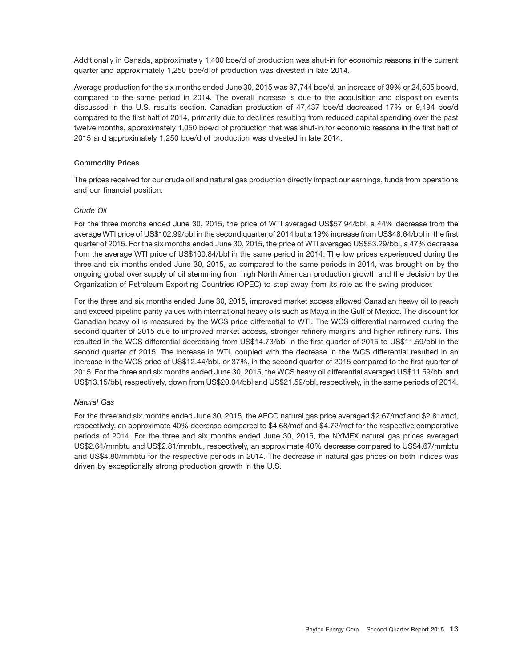Additionally in Canada, approximately 1,400 boe/d of production was shut-in for economic reasons in the current quarter and approximately 1,250 boe/d of production was divested in late 2014.

Average production for the six months ended June 30, 2015 was 87,744 boe/d, an increase of 39% or 24,505 boe/d, compared to the same period in 2014. The overall increase is due to the acquisition and disposition events discussed in the U.S. results section. Canadian production of 47,437 boe/d decreased 17% or 9,494 boe/d compared to the first half of 2014, primarily due to declines resulting from reduced capital spending over the past twelve months, approximately 1,050 boe/d of production that was shut-in for economic reasons in the first half of 2015 and approximately 1,250 boe/d of production was divested in late 2014.

#### **Commodity Prices**

The prices received for our crude oil and natural gas production directly impact our earnings, funds from operations and our financial position.

#### *Crude Oil*

For the three months ended June 30, 2015, the price of WTI averaged US\$57.94/bbl, a 44% decrease from the average WTI price of US\$102.99/bbl in the second quarter of 2014 but a 19% increase from US\$48.64/bbl in the first quarter of 2015. For the six months ended June 30, 2015, the price of WTI averaged US\$53.29/bbl, a 47% decrease from the average WTI price of US\$100.84/bbl in the same period in 2014. The low prices experienced during the three and six months ended June 30, 2015, as compared to the same periods in 2014, was brought on by the ongoing global over supply of oil stemming from high North American production growth and the decision by the Organization of Petroleum Exporting Countries (OPEC) to step away from its role as the swing producer.

For the three and six months ended June 30, 2015, improved market access allowed Canadian heavy oil to reach and exceed pipeline parity values with international heavy oils such as Maya in the Gulf of Mexico. The discount for Canadian heavy oil is measured by the WCS price differential to WTI. The WCS differential narrowed during the second quarter of 2015 due to improved market access, stronger refinery margins and higher refinery runs. This resulted in the WCS differential decreasing from US\$14.73/bbl in the first quarter of 2015 to US\$11.59/bbl in the second quarter of 2015. The increase in WTI, coupled with the decrease in the WCS differential resulted in an increase in the WCS price of US\$12.44/bbl, or 37%, in the second quarter of 2015 compared to the first quarter of 2015. For the three and six months ended June 30, 2015, the WCS heavy oil differential averaged US\$11.59/bbl and US\$13.15/bbl, respectively, down from US\$20.04/bbl and US\$21.59/bbl, respectively, in the same periods of 2014.

#### *Natural Gas*

For the three and six months ended June 30, 2015, the AECO natural gas price averaged \$2.67/mcf and \$2.81/mcf, respectively, an approximate 40% decrease compared to \$4.68/mcf and \$4.72/mcf for the respective comparative periods of 2014. For the three and six months ended June 30, 2015, the NYMEX natural gas prices averaged US\$2.64/mmbtu and US\$2.81/mmbtu, respectively, an approximate 40% decrease compared to US\$4.67/mmbtu and US\$4.80/mmbtu for the respective periods in 2014. The decrease in natural gas prices on both indices was driven by exceptionally strong production growth in the U.S.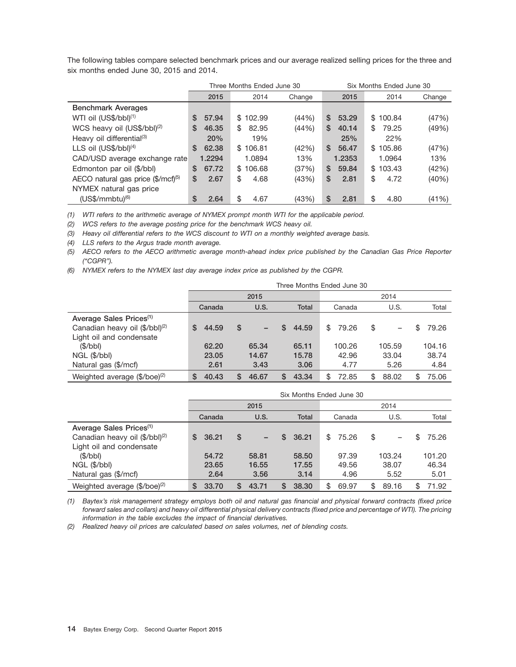The following tables compare selected benchmark prices and our average realized selling prices for the three and six months ended June 30, 2015 and 2014.

|                                                | Three Months Ended June 30 |        |    |          |  | Six Months Ended June 30 |    |        |    |          |        |
|------------------------------------------------|----------------------------|--------|----|----------|--|--------------------------|----|--------|----|----------|--------|
|                                                |                            | 2015   |    | 2014     |  | Change                   |    | 2015   |    | 2014     | Change |
| <b>Benchmark Averages</b>                      |                            |        |    |          |  |                          |    |        |    |          |        |
| $WTI$ oil $(US$/bbI)^{(1)}$                    | S                          | 57.94  |    | \$102.99 |  | (44%)                    | \$ | 53.29  |    | \$100.84 | (47%)  |
| WCS heavy oil (US\$/bbl) <sup>(2)</sup>        | \$                         | 46.35  | \$ | 82.95    |  | (44%)                    | \$ | 40.14  | \$ | 79.25    | (49%)  |
| Heavy oil differential <sup>(3)</sup>          |                            | 20%    |    | 19%      |  |                          |    | 25%    |    | 22%      |        |
| LLS oil $(US$/bbI)(4)$                         | \$                         | 62.38  |    | \$106.81 |  | (42%)                    | \$ | 56.47  |    | \$105.86 | (47%)  |
| CAD/USD average exchange rate                  |                            | 1.2294 |    | 1.0894   |  | 13%                      |    | 1.2353 |    | 1.0964   | 13%    |
| Edmonton par oil (\$/bbl)                      | S                          | 67.72  |    | \$106.68 |  | (37%)                    | \$ | 59.84  |    | \$103.43 | (42%)  |
| AECO natural gas price $(\frac{5}{mcf})^{(5)}$ | \$                         | 2.67   | \$ | 4.68     |  | (43%)                    | \$ | 2.81   | \$ | 4.72     | (40%)  |
| NYMEX natural gas price                        |                            |        |    |          |  |                          |    |        |    |          |        |
| $(USS/mmbtu)^{(6)}$                            | \$                         | 2.64   | \$ | 4.67     |  | (43%)                    | \$ | 2.81   | \$ | 4.80     | (41%)  |

*(1) WTI refers to the arithmetic average of NYMEX prompt month WTI for the applicable period.*

*(2) WCS refers to the average posting price for the benchmark WCS heavy oil.*

*(3) Heavy oil differential refers to the WCS discount to WTI on a monthly weighted average basis.*

*(4) LLS refers to the Argus trade month average.*

*(5) AECO refers to the AECO arithmetic average month-ahead index price published by the Canadian Gas Price Reporter (''CGPR'').*

*<sup>(6)</sup> NYMEX refers to the NYMEX last day average index price as published by the CGPR.*

|                                            |             | Three Months Ended June 30 |              |             |             |             |  |  |  |
|--------------------------------------------|-------------|----------------------------|--------------|-------------|-------------|-------------|--|--|--|
|                                            |             | 2015                       |              |             | 2014        |             |  |  |  |
|                                            | Canada      | U.S.                       | <b>Total</b> | Canada      | U.S.        | Total       |  |  |  |
| Average Sales Prices <sup>(1)</sup>        |             |                            |              |             |             |             |  |  |  |
| Canadian heavy oil (\$/bbl) <sup>(2)</sup> | \$<br>44.59 | S                          | 44.59<br>-   | \$<br>79.26 | \$          | 79.26<br>S  |  |  |  |
| Light oil and condensate                   |             |                            |              |             |             |             |  |  |  |
| (S/bbl)                                    | 62.20       | 65.34                      | 65.11        | 100.26      | 105.59      | 104.16      |  |  |  |
| NGL (\$/bbl)                               | 23.05       | 14.67                      | 15.78        | 42.96       | 33.04       | 38.74       |  |  |  |
| Natural gas (\$/mcf)                       | 2.61        | 3.43                       | 3.06         | 4.77        | 5.26        | 4.84        |  |  |  |
| Weighted average (\$/boe) <sup>(2)</sup>   | S<br>40.43  | 46.67<br>S                 | 43.34<br>S   | \$<br>72.85 | 88.02<br>\$ | 75.06<br>\$ |  |  |  |

|                                            | Six Months Ended June 30 |             |              |             |              |              |  |  |  |  |  |  |  |
|--------------------------------------------|--------------------------|-------------|--------------|-------------|--------------|--------------|--|--|--|--|--|--|--|
|                                            |                          | 2015        |              | 2014        |              |              |  |  |  |  |  |  |  |
|                                            | Canada                   | U.S.        | <b>Total</b> | Canada      | U.S.         | Total        |  |  |  |  |  |  |  |
| Average Sales Prices <sup>(1)</sup>        |                          |             |              |             |              |              |  |  |  |  |  |  |  |
| Canadian heavy oil (\$/bbl) <sup>(2)</sup> | 36.21<br>S               | S<br>-      | 36.21<br>S.  | 75.26<br>\$ | \$           | \$<br>75.26  |  |  |  |  |  |  |  |
| Light oil and condensate                   |                          |             |              |             |              |              |  |  |  |  |  |  |  |
| (S/bbl)                                    | 54.72                    | 58.81       | 58.50        | 97.39       | 103.24       | 101.20       |  |  |  |  |  |  |  |
| NGL (\$/bbl)                               | 23.65                    | 16.55       | 17.55        | 49.56       | 38.07        | 46.34        |  |  |  |  |  |  |  |
| Natural gas (\$/mcf)                       | 2.64                     | 3.56        | 3.14         | 4.96        | 5.52         | 5.01         |  |  |  |  |  |  |  |
| Weighted average (\$/boe) <sup>(2)</sup>   | 33.70<br>S               | 43.71<br>\$ | 38.30<br>S   | \$<br>69.97 | 89.16<br>\$. | 71.92<br>\$. |  |  |  |  |  |  |  |

*(1) Baytex's risk management strategy employs both oil and natural gas financial and physical forward contracts (fixed price forward sales and collars) and heavy oil differential physical delivery contracts (fixed price and percentage of WTI). The pricing information in the table excludes the impact of financial derivatives.*

*(2) Realized heavy oil prices are calculated based on sales volumes, net of blending costs.*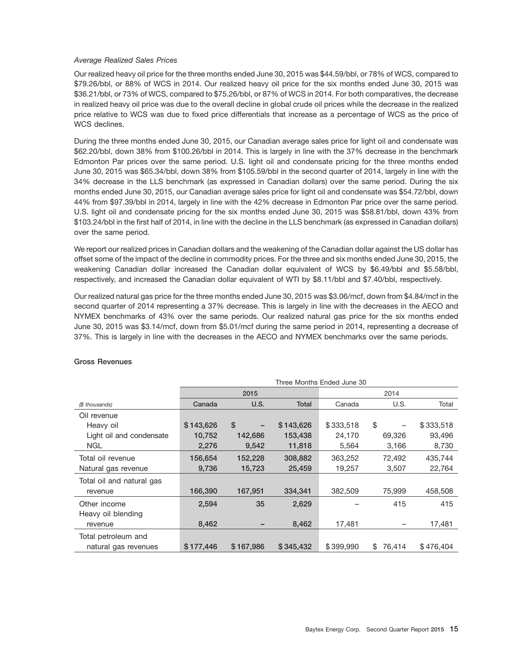#### *Average Realized Sales Prices*

Our realized heavy oil price for the three months ended June 30, 2015 was \$44.59/bbl, or 78% of WCS, compared to \$79.26/bbl, or 88% of WCS in 2014. Our realized heavy oil price for the six months ended June 30, 2015 was \$36.21/bbl, or 73% of WCS, compared to \$75.26/bbl, or 87% of WCS in 2014. For both comparatives, the decrease in realized heavy oil price was due to the overall decline in global crude oil prices while the decrease in the realized price relative to WCS was due to fixed price differentials that increase as a percentage of WCS as the price of WCS declines.

During the three months ended June 30, 2015, our Canadian average sales price for light oil and condensate was \$62.20/bbl, down 38% from \$100.26/bbl in 2014. This is largely in line with the 37% decrease in the benchmark Edmonton Par prices over the same period. U.S. light oil and condensate pricing for the three months ended June 30, 2015 was \$65.34/bbl, down 38% from \$105.59/bbl in the second quarter of 2014, largely in line with the 34% decrease in the LLS benchmark (as expressed in Canadian dollars) over the same period. During the six months ended June 30, 2015, our Canadian average sales price for light oil and condensate was \$54.72/bbl, down 44% from \$97.39/bbl in 2014, largely in line with the 42% decrease in Edmonton Par price over the same period. U.S. light oil and condensate pricing for the six months ended June 30, 2015 was \$58.81/bbl, down 43% from \$103.24/bbl in the first half of 2014, in line with the decline in the LLS benchmark (as expressed in Canadian dollars) over the same period.

We report our realized prices in Canadian dollars and the weakening of the Canadian dollar against the US dollar has offset some of the impact of the decline in commodity prices. For the three and six months ended June 30, 2015, the weakening Canadian dollar increased the Canadian dollar equivalent of WCS by \$6.49/bbl and \$5.58/bbl, respectively, and increased the Canadian dollar equivalent of WTI by \$8.11/bbl and \$7.40/bbl, respectively.

Our realized natural gas price for the three months ended June 30, 2015 was \$3.06/mcf, down from \$4.84/mcf in the second quarter of 2014 representing a 37% decrease. This is largely in line with the decreases in the AECO and NYMEX benchmarks of 43% over the same periods. Our realized natural gas price for the six months ended June 30, 2015 was \$3.14/mcf, down from \$5.01/mcf during the same period in 2014, representing a decrease of 37%. This is largely in line with the decreases in the AECO and NYMEX benchmarks over the same periods.

|                           | Three Months Ended June 30 |           |              |           |              |           |  |  |  |  |  |  |
|---------------------------|----------------------------|-----------|--------------|-----------|--------------|-----------|--|--|--|--|--|--|
|                           |                            | 2015      |              |           | 2014         |           |  |  |  |  |  |  |
| (\$ thousands)            | Canada                     | U.S.      | <b>Total</b> | Canada    | U.S.         | Total     |  |  |  |  |  |  |
| Oil revenue               |                            |           |              |           |              |           |  |  |  |  |  |  |
| Heavy oil                 | \$143,626                  | \$<br>-   | \$143,626    | \$333,518 | \$           | \$333,518 |  |  |  |  |  |  |
| Light oil and condensate  | 10,752                     | 142,686   | 153,438      | 24,170    | 69,326       | 93,496    |  |  |  |  |  |  |
| <b>NGL</b>                | 2,276                      | 9,542     | 11,818       | 5,564     | 3,166        | 8,730     |  |  |  |  |  |  |
| Total oil revenue         | 156,654                    | 152,228   | 308,882      | 363,252   | 72,492       | 435,744   |  |  |  |  |  |  |
| Natural gas revenue       | 9,736                      | 15,723    | 25,459       | 19,257    | 3,507        | 22,764    |  |  |  |  |  |  |
| Total oil and natural gas |                            |           |              |           |              |           |  |  |  |  |  |  |
| revenue                   | 166,390                    | 167,951   | 334,341      | 382,509   | 75,999       | 458,508   |  |  |  |  |  |  |
| Other income              | 2,594                      | 35        | 2,629        |           | 415          | 415       |  |  |  |  |  |  |
| Heavy oil blending        |                            |           |              |           |              |           |  |  |  |  |  |  |
| revenue                   | 8,462                      |           | 8,462        | 17,481    |              | 17,481    |  |  |  |  |  |  |
| Total petroleum and       |                            |           |              |           |              |           |  |  |  |  |  |  |
| natural gas revenues      | \$177.446                  | \$167.986 | \$345.432    | \$399.990 | 76.414<br>\$ | \$476,404 |  |  |  |  |  |  |

#### **Gross Revenues**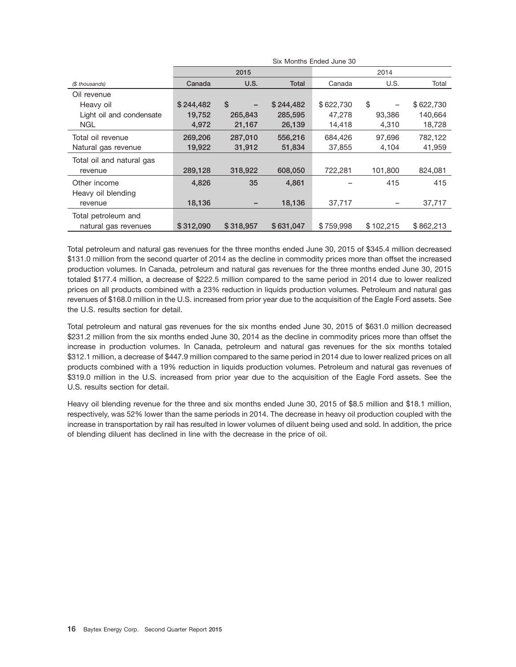|                           | Six Months Ended June 30 |           |              |           |           |           |  |  |  |  |  |  |
|---------------------------|--------------------------|-----------|--------------|-----------|-----------|-----------|--|--|--|--|--|--|
|                           |                          | 2015      |              |           | 2014      |           |  |  |  |  |  |  |
| (\$ thousands)            | Canada                   | U.S.      | <b>Total</b> | Canada    | U.S.      | Total     |  |  |  |  |  |  |
| Oil revenue               |                          |           |              |           |           |           |  |  |  |  |  |  |
| Heavy oil                 | \$244,482                | \$        | \$244,482    | \$622,730 | \$        | \$622,730 |  |  |  |  |  |  |
| Light oil and condensate  | 19,752                   | 265,843   | 285,595      | 47,278    | 93,386    | 140,664   |  |  |  |  |  |  |
| NGL                       | 4,972                    | 21,167    | 26,139       | 14,418    | 4,310     | 18,728    |  |  |  |  |  |  |
| Total oil revenue         | 269,206                  | 287,010   | 556,216      | 684,426   | 97,696    | 782,122   |  |  |  |  |  |  |
| Natural gas revenue       | 19,922                   | 31,912    | 51,834       | 37,855    | 4,104     | 41,959    |  |  |  |  |  |  |
| Total oil and natural gas |                          |           |              |           |           |           |  |  |  |  |  |  |
| revenue                   | 289,128                  | 318,922   | 608,050      | 722,281   | 101,800   | 824,081   |  |  |  |  |  |  |
| Other income              | 4,826                    | 35        | 4,861        |           | 415       | 415       |  |  |  |  |  |  |
| Heavy oil blending        |                          |           |              |           |           |           |  |  |  |  |  |  |
| revenue                   | 18,136                   |           | 18,136       | 37,717    |           | 37,717    |  |  |  |  |  |  |
| Total petroleum and       |                          |           |              |           |           |           |  |  |  |  |  |  |
| natural gas revenues      | \$312,090                | \$318,957 | \$631,047    | \$759,998 | \$102.215 | \$862,213 |  |  |  |  |  |  |

Total petroleum and natural gas revenues for the three months ended June 30, 2015 of \$345.4 million decreased \$131.0 million from the second quarter of 2014 as the decline in commodity prices more than offset the increased production volumes. In Canada, petroleum and natural gas revenues for the three months ended June 30, 2015 totaled \$177.4 million, a decrease of \$222.5 million compared to the same period in 2014 due to lower realized prices on all products combined with a 23% reduction in liquids production volumes. Petroleum and natural gas revenues of \$168.0 million in the U.S. increased from prior year due to the acquisition of the Eagle Ford assets. See the U.S. results section for detail.

Total petroleum and natural gas revenues for the six months ended June 30, 2015 of \$631.0 million decreased \$231.2 million from the six months ended June 30, 2014 as the decline in commodity prices more than offset the increase in production volumes. In Canada, petroleum and natural gas revenues for the six months totaled \$312.1 million, a decrease of \$447.9 million compared to the same period in 2014 due to lower realized prices on all products combined with a 19% reduction in liquids production volumes. Petroleum and natural gas revenues of \$319.0 million in the U.S. increased from prior year due to the acquisition of the Eagle Ford assets. See the U.S. results section for detail.

Heavy oil blending revenue for the three and six months ended June 30, 2015 of \$8.5 million and \$18.1 million, respectively, was 52% lower than the same periods in 2014. The decrease in heavy oil production coupled with the increase in transportation by rail has resulted in lower volumes of diluent being used and sold. In addition, the price of blending diluent has declined in line with the decrease in the price of oil.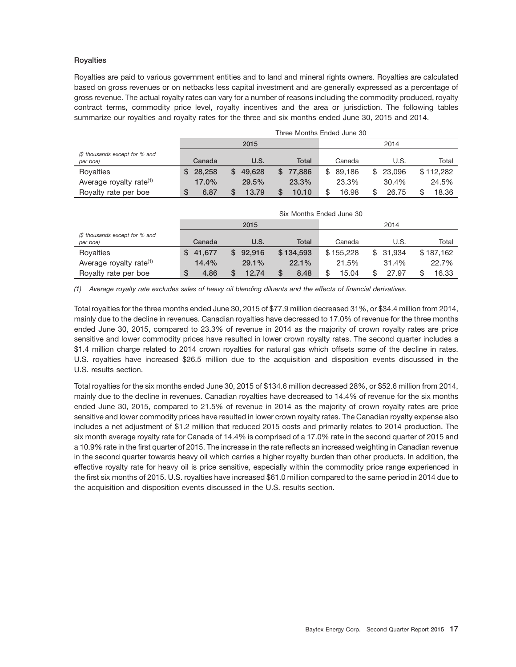#### **Royalties**

Royalties are paid to various government entities and to land and mineral rights owners. Royalties are calculated based on gross revenues or on netbacks less capital investment and are generally expressed as a percentage of gross revenue. The actual royalty rates can vary for a number of reasons including the commodity produced, royalty contract terms, commodity price level, royalty incentives and the area or jurisdiction. The following tables summarize our royalties and royalty rates for the three and six months ended June 30, 2015 and 2014.

|                                            |   | Three Months Ended June 30 |    |        |   |          |    |        |    |          |  |           |  |
|--------------------------------------------|---|----------------------------|----|--------|---|----------|----|--------|----|----------|--|-----------|--|
|                                            |   | 2015                       |    |        |   |          |    | 2014   |    |          |  |           |  |
| (\$ thousands except for % and<br>per boe) |   | Canada                     |    | U.S.   |   | Total    |    | Canada |    | U.S.     |  | Total     |  |
| Royalties                                  | S | 28.258                     | S. | 49.628 |   | \$77,886 | \$ | 89.186 |    | \$23.096 |  | \$112.282 |  |
| Average royalty rate <sup>(1)</sup>        |   | 17.0%                      |    | 29.5%  |   | 23.3%    |    | 23.3%  |    | 30.4%    |  | 24.5%     |  |
| Royalty rate per boe                       | S | 6.87                       |    | 13.79  | S | 10.10    |    | 16.98  | \$ | 26.75    |  | 18.36     |  |

|                                            | Six Months Ended June 30 |  |          |           |       |           |    |          |  |           |  |  |
|--------------------------------------------|--------------------------|--|----------|-----------|-------|-----------|----|----------|--|-----------|--|--|
|                                            |                          |  | 2015     |           |       | 2014      |    |          |  |           |  |  |
| (\$ thousands except for % and<br>per boe) | Canada                   |  | U.S.     |           | Total | Canada    |    | U.S.     |  | Total     |  |  |
| Royalties                                  | 41.677<br>S              |  | \$92.916 | \$134,593 |       | \$155.228 |    | \$31.934 |  | \$187.162 |  |  |
| Average royalty rate <sup>(1)</sup>        | 14.4%                    |  | 29.1%    |           | 22.1% | 21.5%     |    | 31.4%    |  | 22.7%     |  |  |
| Royalty rate per boe                       | 4.86<br>S                |  | 12.74    | S         | 8.48  | 15.04     | \$ | 27.97    |  | 16.33     |  |  |

*(1) Average royalty rate excludes sales of heavy oil blending diluents and the effects of financial derivatives.*

Total royalties for the three months ended June 30, 2015 of \$77.9 million decreased 31%, or \$34.4 million from 2014, mainly due to the decline in revenues. Canadian royalties have decreased to 17.0% of revenue for the three months ended June 30, 2015, compared to 23.3% of revenue in 2014 as the majority of crown royalty rates are price sensitive and lower commodity prices have resulted in lower crown royalty rates. The second quarter includes a \$1.4 million charge related to 2014 crown rovalties for natural gas which offsets some of the decline in rates. U.S. royalties have increased \$26.5 million due to the acquisition and disposition events discussed in the U.S. results section.

Total royalties for the six months ended June 30, 2015 of \$134.6 million decreased 28%, or \$52.6 million from 2014, mainly due to the decline in revenues. Canadian royalties have decreased to 14.4% of revenue for the six months ended June 30, 2015, compared to 21.5% of revenue in 2014 as the majority of crown royalty rates are price sensitive and lower commodity prices have resulted in lower crown royalty rates. The Canadian royalty expense also includes a net adjustment of \$1.2 million that reduced 2015 costs and primarily relates to 2014 production. The six month average royalty rate for Canada of 14.4% is comprised of a 17.0% rate in the second quarter of 2015 and a 10.9% rate in the first quarter of 2015. The increase in the rate reflects an increased weighting in Canadian revenue in the second quarter towards heavy oil which carries a higher royalty burden than other products. In addition, the effective royalty rate for heavy oil is price sensitive, especially within the commodity price range experienced in the first six months of 2015. U.S. royalties have increased \$61.0 million compared to the same period in 2014 due to the acquisition and disposition events discussed in the U.S. results section.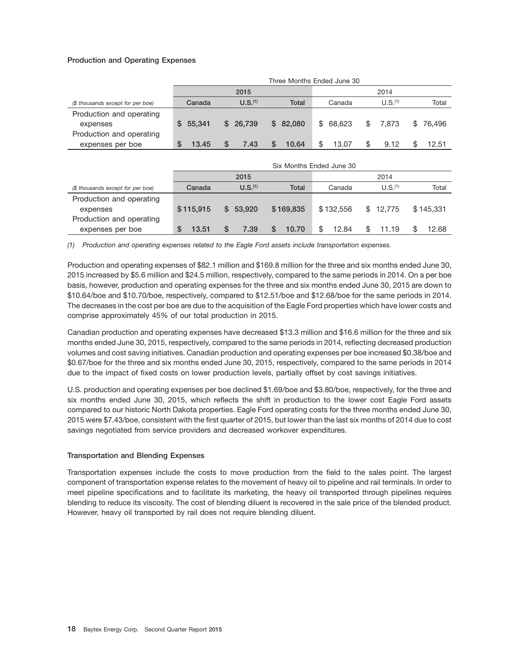#### **Production and Operating Expenses**

|                                   | Three Months Ended June 30 |                     |            |                         |                     |               |  |  |  |  |  |  |
|-----------------------------------|----------------------------|---------------------|------------|-------------------------|---------------------|---------------|--|--|--|--|--|--|
|                                   |                            | 2015                |            | 2014                    |                     |               |  |  |  |  |  |  |
| (\$ thousands except for per boe) | Canada                     | U.S. <sup>(1)</sup> | Total      | Canada                  | U.S. <sup>(1)</sup> | Total         |  |  |  |  |  |  |
| Production and operating          |                            |                     |            |                         |                     |               |  |  |  |  |  |  |
| expenses                          | 55.341<br>S                | \$26.739            | \$82,080   | 68.623<br>$\mathcal{S}$ | 7.873<br>\$         | 76.496<br>SS. |  |  |  |  |  |  |
| Production and operating          |                            |                     |            |                         |                     |               |  |  |  |  |  |  |
| expenses per boe                  | 13.45                      | S<br>7.43           | S<br>10.64 | 13.07                   | 9.12<br>S           | 12.51         |  |  |  |  |  |  |

|                                   | Six Months Ended June 30 |                     |              |           |                     |           |  |  |  |  |  |  |
|-----------------------------------|--------------------------|---------------------|--------------|-----------|---------------------|-----------|--|--|--|--|--|--|
|                                   |                          | 2015                |              | 2014      |                     |           |  |  |  |  |  |  |
| (\$ thousands except for per boe) | Canada                   | U.S. <sup>(1)</sup> | <b>Total</b> | Canada    | U.S. <sup>(1)</sup> | Total     |  |  |  |  |  |  |
| Production and operating          |                          |                     |              |           |                     |           |  |  |  |  |  |  |
| expenses                          | \$115,915                | \$53.920            | \$169,835    | \$132,556 | \$12.775            | \$145.331 |  |  |  |  |  |  |
| Production and operating          |                          |                     |              |           |                     |           |  |  |  |  |  |  |
| expenses per boe                  | 13.51                    | 7.39                | 10.70<br>S   | 12.84     | 11.19               | 12.68     |  |  |  |  |  |  |

*(1) Production and operating expenses related to the Eagle Ford assets include transportation expenses.*

Production and operating expenses of \$82.1 million and \$169.8 million for the three and six months ended June 30, 2015 increased by \$5.6 million and \$24.5 million, respectively, compared to the same periods in 2014. On a per boe basis, however, production and operating expenses for the three and six months ended June 30, 2015 are down to \$10.64/boe and \$10.70/boe, respectively, compared to \$12.51/boe and \$12.68/boe for the same periods in 2014. The decreases in the cost per boe are due to the acquisition of the Eagle Ford properties which have lower costs and comprise approximately 45% of our total production in 2015.

Canadian production and operating expenses have decreased \$13.3 million and \$16.6 million for the three and six months ended June 30, 2015, respectively, compared to the same periods in 2014, reflecting decreased production volumes and cost saving initiatives. Canadian production and operating expenses per boe increased \$0.38/boe and \$0.67/boe for the three and six months ended June 30, 2015, respectively, compared to the same periods in 2014 due to the impact of fixed costs on lower production levels, partially offset by cost savings initiatives.

U.S. production and operating expenses per boe declined \$1.69/boe and \$3.80/boe, respectively, for the three and six months ended June 30, 2015, which reflects the shift in production to the lower cost Eagle Ford assets compared to our historic North Dakota properties. Eagle Ford operating costs for the three months ended June 30, 2015 were \$7.43/boe, consistent with the first quarter of 2015, but lower than the last six months of 2014 due to cost savings negotiated from service providers and decreased workover expenditures.

#### **Transportation and Blending Expenses**

Transportation expenses include the costs to move production from the field to the sales point. The largest component of transportation expense relates to the movement of heavy oil to pipeline and rail terminals. In order to meet pipeline specifications and to facilitate its marketing, the heavy oil transported through pipelines requires blending to reduce its viscosity. The cost of blending diluent is recovered in the sale price of the blended product. However, heavy oil transported by rail does not require blending diluent.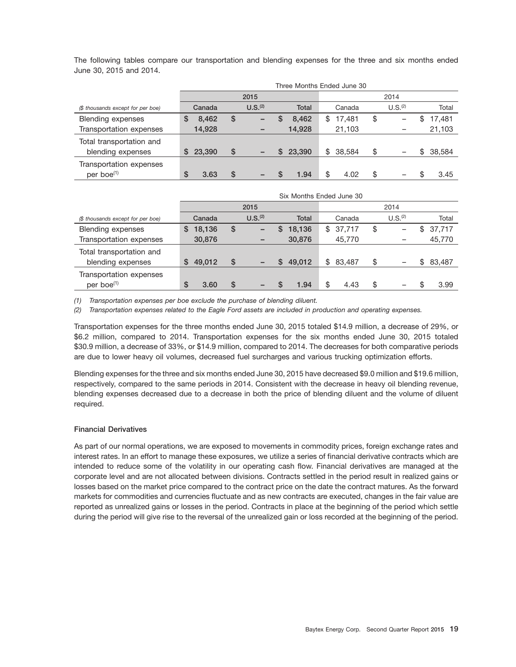The following tables compare our transportation and blending expenses for the three and six months ended June 30, 2015 and 2014.

|                                          |             | Three Months Ended June 30 |                          |  |              |              |    |                     |   |        |  |  |  |
|------------------------------------------|-------------|----------------------------|--------------------------|--|--------------|--------------|----|---------------------|---|--------|--|--|--|
|                                          |             |                            | 2015                     |  |              | 2014         |    |                     |   |        |  |  |  |
| (\$ thousands except for per boe)        | Canada      |                            | U.S. <sup>(2)</sup>      |  | <b>Total</b> | Canada       |    | U.S. <sup>(2)</sup> |   | Total  |  |  |  |
| <b>Blending expenses</b>                 | 8.462<br>S  | S                          | -                        |  | 8.462        | 17.481<br>\$ | \$ |                     |   | 17.481 |  |  |  |
| Transportation expenses                  | 14,928      |                            | -                        |  | 14,928       | 21,103       |    |                     |   | 21,103 |  |  |  |
| Total transportation and                 |             |                            |                          |  |              |              |    |                     |   |        |  |  |  |
| blending expenses                        | 23,390<br>S | \$                         | $\overline{\phantom{0}}$ |  | 23,390       | 38,584<br>\$ | \$ |                     | S | 38,584 |  |  |  |
| Transportation expenses<br>per boe $(1)$ | S<br>3.63   | <b>S</b>                   |                          |  | 1.94         | 4.02         | \$ |                     |   | 3.45   |  |  |  |

|                                   |      | Six Months Ended June 30 |    |                     |    |              |      |        |    |                     |    |        |  |
|-----------------------------------|------|--------------------------|----|---------------------|----|--------------|------|--------|----|---------------------|----|--------|--|
|                                   | 2015 |                          |    |                     |    |              | 2014 |        |    |                     |    |        |  |
| (\$ thousands except for per boe) |      | Canada                   |    | U.S. <sup>(2)</sup> |    | <b>Total</b> |      | Canada |    | U.S. <sup>(2)</sup> |    | Total  |  |
| <b>Blending expenses</b>          | S    | 18,136                   | \$ | -                   | S  | 18,136       | \$   | 37,717 | \$ |                     | \$ | 37,717 |  |
| Transportation expenses           |      | 30,876                   |    | -                   |    | 30,876       |      | 45,770 |    |                     |    | 45,770 |  |
| Total transportation and          |      |                          |    |                     |    |              |      |        |    |                     |    |        |  |
| blending expenses                 | S    | 49,012                   | \$ | -                   | S. | 49,012       | \$   | 83.487 | \$ |                     | \$ | 83,487 |  |
| Transportation expenses           |      |                          |    |                     |    |              |      |        |    |                     |    |        |  |
| per boe <sup>(1)</sup>            |      | 3.60                     | \$ | -                   |    | 1.94         | \$   | 4.43   | \$ |                     |    | 3.99   |  |

*(1) Transportation expenses per boe exclude the purchase of blending diluent.*

*(2) Transportation expenses related to the Eagle Ford assets are included in production and operating expenses.*

Transportation expenses for the three months ended June 30, 2015 totaled \$14.9 million, a decrease of 29%, or \$6.2 million, compared to 2014. Transportation expenses for the six months ended June 30, 2015 totaled \$30.9 million, a decrease of 33%, or \$14.9 million, compared to 2014. The decreases for both comparative periods are due to lower heavy oil volumes, decreased fuel surcharges and various trucking optimization efforts.

Blending expenses for the three and six months ended June 30, 2015 have decreased \$9.0 million and \$19.6 million, respectively, compared to the same periods in 2014. Consistent with the decrease in heavy oil blending revenue, blending expenses decreased due to a decrease in both the price of blending diluent and the volume of diluent required.

#### **Financial Derivatives**

As part of our normal operations, we are exposed to movements in commodity prices, foreign exchange rates and interest rates. In an effort to manage these exposures, we utilize a series of financial derivative contracts which are intended to reduce some of the volatility in our operating cash flow. Financial derivatives are managed at the corporate level and are not allocated between divisions. Contracts settled in the period result in realized gains or losses based on the market price compared to the contract price on the date the contract matures. As the forward markets for commodities and currencies fluctuate and as new contracts are executed, changes in the fair value are reported as unrealized gains or losses in the period. Contracts in place at the beginning of the period which settle during the period will give rise to the reversal of the unrealized gain or loss recorded at the beginning of the period.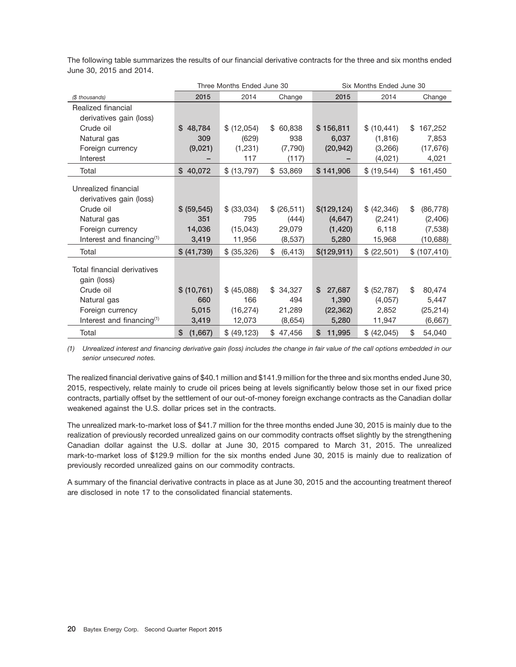|                                                 |               | Three Months Ended June 30 |                | Six Months Ended June 30 |              |                 |  |  |
|-------------------------------------------------|---------------|----------------------------|----------------|--------------------------|--------------|-----------------|--|--|
| (\$ thousands)                                  | 2015          | 2014                       | Change         | 2015                     | 2014         | Change          |  |  |
| Realized financial                              |               |                            |                |                          |              |                 |  |  |
| derivatives gain (loss)                         |               |                            |                |                          |              |                 |  |  |
| Crude oil                                       | \$48,784      | \$ (12,054)                | \$60,838       | \$156,811                | \$ (10, 441) | 167,252<br>\$   |  |  |
| Natural gas                                     | 309           | (629)                      | 938            | 6,037                    | (1, 816)     | 7,853           |  |  |
| Foreign currency                                | (9,021)       | (1, 231)                   | (7,790)        | (20, 942)                | (3,266)      | (17, 676)       |  |  |
| Interest                                        |               | 117                        | (117)          |                          | (4,021)      | 4,021           |  |  |
| Total                                           | \$40,072      | \$ (13,797)                | \$53,869       | \$141,906                | \$ (19, 544) | \$<br>161,450   |  |  |
| Unrealized financial<br>derivatives gain (loss) |               |                            |                |                          |              |                 |  |  |
| Crude oil                                       | \$ (59, 545)  | \$ (33,034)                | \$ (26, 511)   | \$(129, 124)             | \$ (42,346)  | \$<br>(86, 778) |  |  |
| Natural gas                                     | 351           | 795                        | (444)          | (4,647)                  | (2,241)      | (2,406)         |  |  |
| Foreign currency                                | 14,036        | (15,043)                   | 29,079         | (1,420)                  | 6,118        | (7, 538)        |  |  |
| Interest and financing $(1)$                    | 3,419         | 11,956                     | (8,537)        | 5,280                    | 15,968       | (10, 688)       |  |  |
| Total                                           | \$ (41,739)   | \$ (35,326)                | \$<br>(6, 413) | \$(129, 911)             | \$ (22,501)  | \$ (107, 410)   |  |  |
| Total financial derivatives<br>gain (loss)      |               |                            |                |                          |              |                 |  |  |
| Crude oil                                       | \$(10, 761)   | \$ (45,088)                | \$34,327       | 27,687<br>\$             | \$ (52, 787) | \$<br>80,474    |  |  |
| Natural gas                                     | 660           | 166                        | 494            | 1,390                    | (4,057)      | 5,447           |  |  |
| Foreign currency                                | 5,015         | (16, 274)                  | 21,289         | (22, 362)                | 2,852        | (25, 214)       |  |  |
| Interest and financing $(1)$                    | 3,419         | 12,073                     | (8,654)        | 5,280                    | 11,947       | (6,667)         |  |  |
| Total                                           | \$<br>(1,667) | \$ (49, 123)               | \$47,456       | \$<br>11,995             | \$ (42,045)  | \$<br>54,040    |  |  |

The following table summarizes the results of our financial derivative contracts for the three and six months ended June 30, 2015 and 2014.

*(1) Unrealized interest and financing derivative gain (loss) includes the change in fair value of the call options embedded in our senior unsecured notes.*

The realized financial derivative gains of \$40.1 million and \$141.9 million for the three and six months ended June 30, 2015, respectively, relate mainly to crude oil prices being at levels significantly below those set in our fixed price contracts, partially offset by the settlement of our out-of-money foreign exchange contracts as the Canadian dollar weakened against the U.S. dollar prices set in the contracts.

The unrealized mark-to-market loss of \$41.7 million for the three months ended June 30, 2015 is mainly due to the realization of previously recorded unrealized gains on our commodity contracts offset slightly by the strengthening Canadian dollar against the U.S. dollar at June 30, 2015 compared to March 31, 2015. The unrealized mark-to-market loss of \$129.9 million for the six months ended June 30, 2015 is mainly due to realization of previously recorded unrealized gains on our commodity contracts.

A summary of the financial derivative contracts in place as at June 30, 2015 and the accounting treatment thereof are disclosed in note 17 to the consolidated financial statements.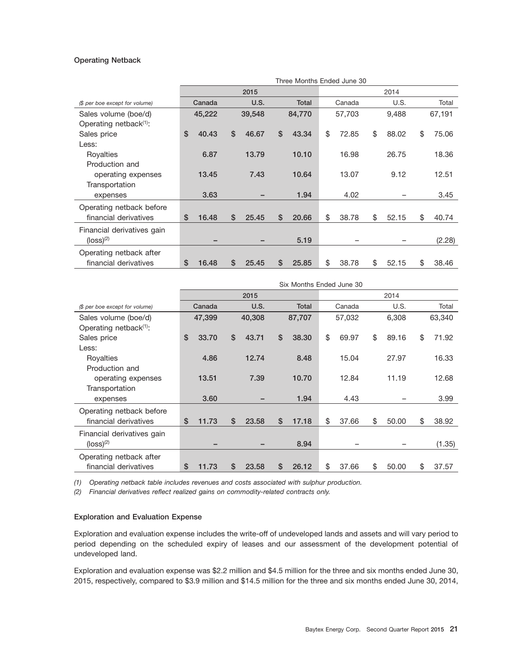#### **Operating Netback**

|                                    |              | Three Months Ended June 30 |    |        |    |        |    |        |    |       |    |        |  |
|------------------------------------|--------------|----------------------------|----|--------|----|--------|----|--------|----|-------|----|--------|--|
|                                    |              |                            |    | 2015   |    |        |    |        |    | 2014  |    |        |  |
| (\$ per boe except for volume)     |              | Canada                     |    | U.S.   |    | Total  |    | Canada |    | U.S.  |    | Total  |  |
| Sales volume (boe/d)               |              | 45,222                     |    | 39,548 |    | 84,770 |    | 57,703 |    | 9,488 |    | 67,191 |  |
| Operating netback <sup>(1)</sup> : |              |                            |    |        |    |        |    |        |    |       |    |        |  |
| Sales price                        | $\mathbf{s}$ | 40.43                      | \$ | 46.67  | \$ | 43.34  | \$ | 72.85  | \$ | 88.02 | \$ | 75.06  |  |
| Less:                              |              |                            |    |        |    |        |    |        |    |       |    |        |  |
| Royalties                          |              | 6.87                       |    | 13.79  |    | 10.10  |    | 16.98  |    | 26.75 |    | 18.36  |  |
| Production and                     |              |                            |    |        |    |        |    |        |    |       |    |        |  |
| operating expenses                 |              | 13.45                      |    | 7.43   |    | 10.64  |    | 13.07  |    | 9.12  |    | 12.51  |  |
| Transportation                     |              |                            |    |        |    |        |    |        |    |       |    |        |  |
| expenses                           |              | 3.63                       |    |        |    | 1.94   |    | 4.02   |    |       |    | 3.45   |  |
| Operating netback before           |              |                            |    |        |    |        |    |        |    |       |    |        |  |
| financial derivatives              | \$           | 16.48                      | \$ | 25.45  | \$ | 20.66  | \$ | 38.78  | \$ | 52.15 | \$ | 40.74  |  |
| Financial derivatives gain         |              |                            |    |        |    |        |    |        |    |       |    |        |  |
| $(logs)^{(2)}$                     |              |                            |    |        |    | 5.19   |    |        |    |       |    | (2.28) |  |
| Operating netback after            |              |                            |    |        |    |        |    |        |    |       |    |        |  |
| financial derivatives              | S            | 16.48                      | \$ | 25.45  | \$ | 25.85  | \$ | 38.78  | \$ | 52.15 | \$ | 38.46  |  |

|                                    | Six Months Ended June 30 |        |    |        |    |        |     |        |    |       |    |        |
|------------------------------------|--------------------------|--------|----|--------|----|--------|-----|--------|----|-------|----|--------|
|                                    | 2015                     |        |    |        |    |        |     |        |    | 2014  |    |        |
| (\$ per boe except for volume)     |                          | Canada |    | U.S.   |    | Total  |     | Canada |    | U.S.  |    | Total  |
| Sales volume (boe/d)               |                          | 47,399 |    | 40,308 |    | 87,707 |     | 57,032 |    | 6,308 |    | 63,340 |
| Operating netback <sup>(1)</sup> : |                          |        |    |        |    |        |     |        |    |       |    |        |
| Sales price                        | \$                       | 33.70  | \$ | 43.71  | \$ | 38.30  | \$  | 69.97  | \$ | 89.16 | \$ | 71.92  |
| Less:                              |                          |        |    |        |    |        |     |        |    |       |    |        |
| Royalties                          |                          | 4.86   |    | 12.74  |    | 8.48   |     | 15.04  |    | 27.97 |    | 16.33  |
| Production and                     |                          |        |    |        |    |        |     |        |    |       |    |        |
| operating expenses                 |                          | 13.51  |    | 7.39   |    | 10.70  |     | 12.84  |    | 11.19 |    | 12.68  |
| Transportation                     |                          |        |    |        |    |        |     |        |    |       |    |        |
| expenses                           |                          | 3.60   |    |        |    | 1.94   |     | 4.43   |    |       |    | 3.99   |
| Operating netback before           |                          |        |    |        |    |        |     |        |    |       |    |        |
| financial derivatives              | \$                       | 11.73  | \$ | 23.58  | \$ | 17.18  | \$  | 37.66  | \$ | 50.00 | \$ | 38.92  |
| Financial derivatives gain         |                          |        |    |        |    |        |     |        |    |       |    |        |
| $(logs)^{(2)}$                     |                          | -      |    |        |    | 8.94   |     |        |    |       |    | (1.35) |
| Operating netback after            |                          |        |    |        |    |        |     |        |    |       |    |        |
| financial derivatives              | S                        | 11.73  | S  | 23.58  | \$ | 26.12  | \$. | 37.66  | \$ | 50.00 | \$ | 37.57  |

*(1) Operating netback table includes revenues and costs associated with sulphur production.*

*(2) Financial derivatives reflect realized gains on commodity-related contracts only.*

#### **Exploration and Evaluation Expense**

Exploration and evaluation expense includes the write-off of undeveloped lands and assets and will vary period to period depending on the scheduled expiry of leases and our assessment of the development potential of undeveloped land.

Exploration and evaluation expense was \$2.2 million and \$4.5 million for the three and six months ended June 30, 2015, respectively, compared to \$3.9 million and \$14.5 million for the three and six months ended June 30, 2014,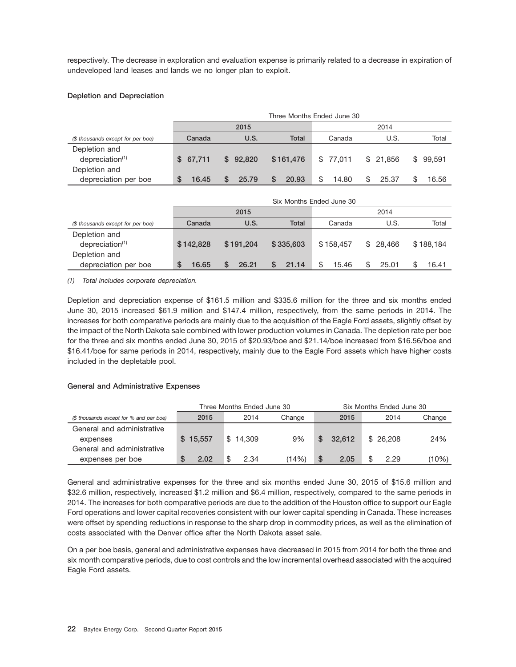respectively. The decrease in exploration and evaluation expense is primarily related to a decrease in expiration of undeveloped land leases and lands we no longer plan to exploit.

#### **Depletion and Depreciation**

|                                   |          | Three Months Ended June 30 |            |          |             |               |  |  |  |  |  |
|-----------------------------------|----------|----------------------------|------------|----------|-------------|---------------|--|--|--|--|--|
|                                   |          | 2015                       |            | 2014     |             |               |  |  |  |  |  |
| (\$ thousands except for per boe) | Canada   | U.S.                       | Total      | Canada   | U.S.        | Total         |  |  |  |  |  |
| Depletion and                     |          |                            |            |          |             |               |  |  |  |  |  |
| depreciation <sup>(1)</sup>       | \$67.711 | \$92.820                   | \$161,476  | \$77.011 | \$ 21,856   | 99.591<br>\$. |  |  |  |  |  |
| Depletion and                     |          |                            |            |          |             |               |  |  |  |  |  |
| depreciation per boe              | 16.45    | 25.79                      | 20.93<br>S | 14.80    | 25.37<br>\$ | 16.56         |  |  |  |  |  |

|                                       | Six Months Ended June 30 |           |           |           |          |           |  |  |  |  |
|---------------------------------------|--------------------------|-----------|-----------|-----------|----------|-----------|--|--|--|--|
|                                       |                          | 2015      |           | 2014      |          |           |  |  |  |  |
| (\$ thousands except for per boe)     | Canada                   | U.S.      | Total     | Canada    | U.S.     | Total     |  |  |  |  |
| Depletion and<br>depreciation $(1)$   | \$142,828                | \$191.204 | \$335,603 | \$158.457 | \$28,466 | \$188.184 |  |  |  |  |
| Depletion and<br>depreciation per boe | 16.65                    | 26.21     | 21.14     | 15.46     | 25.01    | 16.41     |  |  |  |  |

*(1) Total includes corporate depreciation.*

Depletion and depreciation expense of \$161.5 million and \$335.6 million for the three and six months ended June 30, 2015 increased \$61.9 million and \$147.4 million, respectively, from the same periods in 2014. The increases for both comparative periods are mainly due to the acquisition of the Eagle Ford assets, slightly offset by the impact of the North Dakota sale combined with lower production volumes in Canada. The depletion rate per boe for the three and six months ended June 30, 2015 of \$20.93/boe and \$21.14/boe increased from \$16.56/boe and \$16.41/boe for same periods in 2014, respectively, mainly due to the Eagle Ford assets which have higher costs included in the depletable pool.

#### **General and Administrative Expenses**

|                                         |          | Three Months Ended June 30 |        | Six Months Ended June 30 |          |        |  |  |
|-----------------------------------------|----------|----------------------------|--------|--------------------------|----------|--------|--|--|
| (\$ thousands except for % and per boe) | 2015     | 2014                       | Change | 2015                     | 2014     | Change |  |  |
| General and administrative              |          |                            |        |                          |          |        |  |  |
| expenses                                | \$15.557 | \$14.309                   | 9%     | 32.612<br>S.             | \$26.208 | 24%    |  |  |
| General and administrative              |          |                            |        |                          |          |        |  |  |
| expenses per boe                        | 2.02     | 2.34                       | (14%)  | 2.05                     | 2.29     | (10%)  |  |  |

General and administrative expenses for the three and six months ended June 30, 2015 of \$15.6 million and \$32.6 million, respectively, increased \$1.2 million and \$6.4 million, respectively, compared to the same periods in 2014. The increases for both comparative periods are due to the addition of the Houston office to support our Eagle Ford operations and lower capital recoveries consistent with our lower capital spending in Canada. These increases were offset by spending reductions in response to the sharp drop in commodity prices, as well as the elimination of costs associated with the Denver office after the North Dakota asset sale.

On a per boe basis, general and administrative expenses have decreased in 2015 from 2014 for both the three and six month comparative periods, due to cost controls and the low incremental overhead associated with the acquired Eagle Ford assets.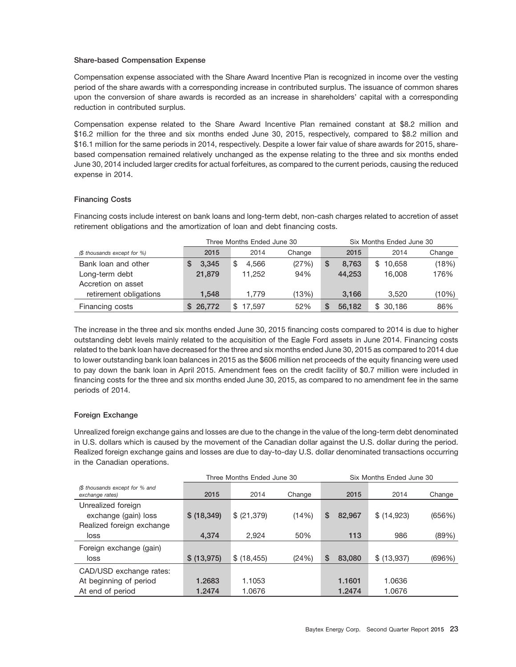#### **Share-based Compensation Expense**

Compensation expense associated with the Share Award Incentive Plan is recognized in income over the vesting period of the share awards with a corresponding increase in contributed surplus. The issuance of common shares upon the conversion of share awards is recorded as an increase in shareholders' capital with a corresponding reduction in contributed surplus.

Compensation expense related to the Share Award Incentive Plan remained constant at \$8.2 million and \$16.2 million for the three and six months ended June 30, 2015, respectively, compared to \$8.2 million and \$16.1 million for the same periods in 2014, respectively. Despite a lower fair value of share awards for 2015, sharebased compensation remained relatively unchanged as the expense relating to the three and six months ended June 30, 2014 included larger credits for actual forfeitures, as compared to the current periods, causing the reduced expense in 2014.

#### **Financing Costs**

Financing costs include interest on bank loans and long-term debt, non-cash charges related to accretion of asset retirement obligations and the amortization of loan and debt financing costs.

|                             |            | Three Months Ended June 30 |        | Six Months Ended June 30 |              |        |  |  |
|-----------------------------|------------|----------------------------|--------|--------------------------|--------------|--------|--|--|
| (\$ thousands except for %) | 2015       | 2014                       | Change | 2015                     | 2014         | Change |  |  |
| Bank loan and other         | 3.345<br>S | 4.566<br>S                 | (27%)  | 8.763                    | 10.658<br>\$ | (18%)  |  |  |
| Long-term debt              | 21,879     | 11.252                     | 94%    | 44.253                   | 16,008       | 176%   |  |  |
| Accretion on asset          |            |                            |        |                          |              |        |  |  |
| retirement obligations      | 1.548      | 1.779                      | (13%)  | 3.166                    | 3.520        | (10%)  |  |  |
| Financing costs             | 26,772     | 17.597                     | 52%    | 56.182<br>S              | \$30.186     | 86%    |  |  |

The increase in the three and six months ended June 30, 2015 financing costs compared to 2014 is due to higher outstanding debt levels mainly related to the acquisition of the Eagle Ford assets in June 2014. Financing costs related to the bank loan have decreased for the three and six months ended June 30, 2015 as compared to 2014 due to lower outstanding bank loan balances in 2015 as the \$606 million net proceeds of the equity financing were used to pay down the bank loan in April 2015. Amendment fees on the credit facility of \$0.7 million were included in financing costs for the three and six months ended June 30, 2015, as compared to no amendment fee in the same periods of 2014.

#### **Foreign Exchange**

Unrealized foreign exchange gains and losses are due to the change in the value of the long-term debt denominated in U.S. dollars which is caused by the movement of the Canadian dollar against the U.S. dollar during the period. Realized foreign exchange gains and losses are due to day-to-day U.S. dollar denominated transactions occurring in the Canadian operations.

|                                                   |              | Three Months Ended June 30 |        | Six Months Ended June 30 |             |        |  |  |
|---------------------------------------------------|--------------|----------------------------|--------|--------------------------|-------------|--------|--|--|
| (\$ thousands except for % and<br>exchange rates) | 2015         | 2014                       | Change | 2015                     | 2014        | Change |  |  |
| Unrealized foreign                                |              |                            |        |                          |             |        |  |  |
| exchange (gain) loss                              | \$ (18, 349) | \$ (21, 379)               | (14%)  | <b>S</b><br>82,967       | \$ (14,923) | (656%) |  |  |
| Realized foreign exchange                         |              |                            |        |                          |             |        |  |  |
| loss                                              | 4,374        | 2.924                      | 50%    | 113                      | 986         | (89%)  |  |  |
| Foreign exchange (gain)                           |              |                            |        |                          |             |        |  |  |
| loss                                              | \$ (13, 975) | \$ (18, 455)               | (24%)  | \$<br>83,080             | \$ (13,937) | (696%) |  |  |
| CAD/USD exchange rates:                           |              |                            |        |                          |             |        |  |  |
| At beginning of period                            | 1.2683       | 1.1053                     |        | 1.1601                   | 1.0636      |        |  |  |
| At end of period                                  | 1.2474       | 1.0676                     |        | 1.2474                   | 1.0676      |        |  |  |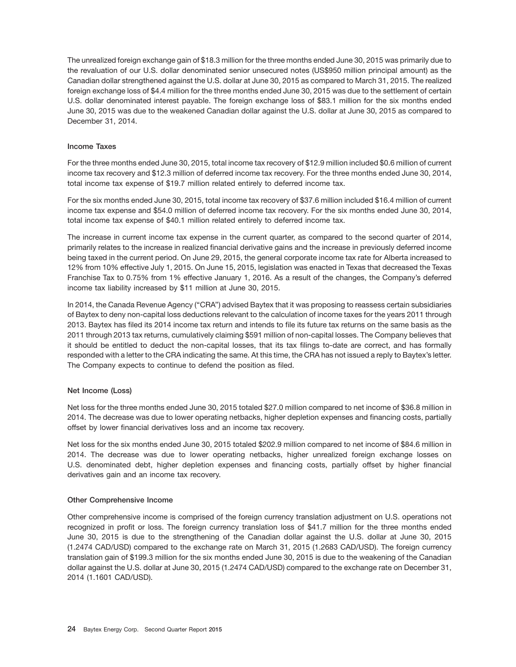The unrealized foreign exchange gain of \$18.3 million for the three months ended June 30, 2015 was primarily due to the revaluation of our U.S. dollar denominated senior unsecured notes (US\$950 million principal amount) as the Canadian dollar strengthened against the U.S. dollar at June 30, 2015 as compared to March 31, 2015. The realized foreign exchange loss of \$4.4 million for the three months ended June 30, 2015 was due to the settlement of certain U.S. dollar denominated interest payable. The foreign exchange loss of \$83.1 million for the six months ended June 30, 2015 was due to the weakened Canadian dollar against the U.S. dollar at June 30, 2015 as compared to December 31, 2014.

#### **Income Taxes**

For the three months ended June 30, 2015, total income tax recovery of \$12.9 million included \$0.6 million of current income tax recovery and \$12.3 million of deferred income tax recovery. For the three months ended June 30, 2014, total income tax expense of \$19.7 million related entirely to deferred income tax.

For the six months ended June 30, 2015, total income tax recovery of \$37.6 million included \$16.4 million of current income tax expense and \$54.0 million of deferred income tax recovery. For the six months ended June 30, 2014, total income tax expense of \$40.1 million related entirely to deferred income tax.

The increase in current income tax expense in the current quarter, as compared to the second quarter of 2014, primarily relates to the increase in realized financial derivative gains and the increase in previously deferred income being taxed in the current period. On June 29, 2015, the general corporate income tax rate for Alberta increased to 12% from 10% effective July 1, 2015. On June 15, 2015, legislation was enacted in Texas that decreased the Texas Franchise Tax to 0.75% from 1% effective January 1, 2016. As a result of the changes, the Company's deferred income tax liability increased by \$11 million at June 30, 2015.

In 2014, the Canada Revenue Agency ("CRA") advised Baytex that it was proposing to reassess certain subsidiaries of Baytex to deny non-capital loss deductions relevant to the calculation of income taxes for the years 2011 through 2013. Baytex has filed its 2014 income tax return and intends to file its future tax returns on the same basis as the 2011 through 2013 tax returns, cumulatively claiming \$591 million of non-capital losses. The Company believes that it should be entitled to deduct the non-capital losses, that its tax filings to-date are correct, and has formally responded with a letter to the CRA indicating the same. At this time, the CRA has not issued a reply to Baytex's letter. The Company expects to continue to defend the position as filed.

#### **Net Income (Loss)**

Net loss for the three months ended June 30, 2015 totaled \$27.0 million compared to net income of \$36.8 million in 2014. The decrease was due to lower operating netbacks, higher depletion expenses and financing costs, partially offset by lower financial derivatives loss and an income tax recovery.

Net loss for the six months ended June 30, 2015 totaled \$202.9 million compared to net income of \$84.6 million in 2014. The decrease was due to lower operating netbacks, higher unrealized foreign exchange losses on U.S. denominated debt, higher depletion expenses and financing costs, partially offset by higher financial derivatives gain and an income tax recovery.

#### **Other Comprehensive Income**

Other comprehensive income is comprised of the foreign currency translation adjustment on U.S. operations not recognized in profit or loss. The foreign currency translation loss of \$41.7 million for the three months ended June 30, 2015 is due to the strengthening of the Canadian dollar against the U.S. dollar at June 30, 2015 (1.2474 CAD/USD) compared to the exchange rate on March 31, 2015 (1.2683 CAD/USD). The foreign currency translation gain of \$199.3 million for the six months ended June 30, 2015 is due to the weakening of the Canadian dollar against the U.S. dollar at June 30, 2015 (1.2474 CAD/USD) compared to the exchange rate on December 31, 2014 (1.1601 CAD/USD).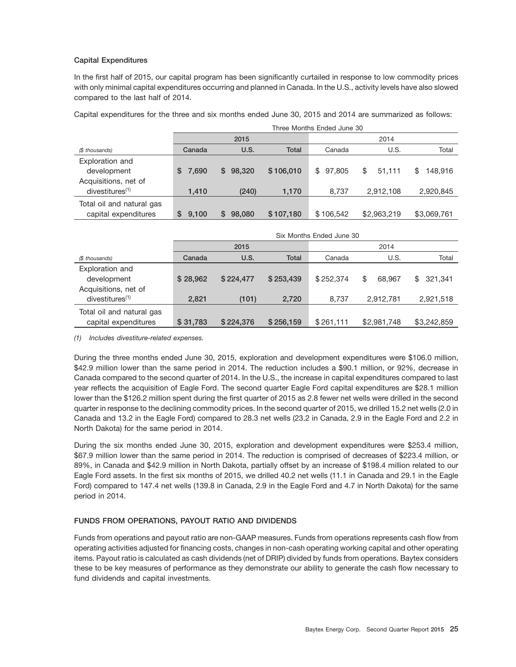#### **Capital Expenditures**

In the first half of 2015, our capital program has been significantly curtailed in response to low commodity prices with only minimal capital expenditures occurring and planned in Canada. In the U.S., activity levels have also slowed compared to the last half of 2014.

Capital expenditures for the three and six months ended June 30, 2015 and 2014 are summarized as follows:

|                                                        | Three Months Ended June 30 |              |              |              |              |              |  |  |  |  |
|--------------------------------------------------------|----------------------------|--------------|--------------|--------------|--------------|--------------|--|--|--|--|
|                                                        |                            | 2015         |              |              | 2014         |              |  |  |  |  |
| (\$ thousands)                                         | Canada                     | U.S.         | <b>Total</b> | Canada       | U.S.         | Total        |  |  |  |  |
| Exploration and<br>development<br>Acquisitions, net of | 7.690<br>S                 | 98,320<br>S. | \$106,010    | 97.805<br>\$ | \$<br>51.111 | 148.916<br>S |  |  |  |  |
| divestitures <sup>(1)</sup>                            | 1.410                      | (240)        | 1,170        | 8,737        | 2,912,108    | 2,920,845    |  |  |  |  |
| Total oil and natural gas<br>capital expenditures      | S<br>9,100                 | 98,080<br>S. | \$107,180    | \$106.542    | \$2,963,219  | \$3,069,761  |  |  |  |  |

|                             | Six Months Ended June 30 |           |              |           |              |               |  |  |  |  |
|-----------------------------|--------------------------|-----------|--------------|-----------|--------------|---------------|--|--|--|--|
|                             |                          | 2015      |              | 2014      |              |               |  |  |  |  |
| (\$ thousands)              | Canada                   | U.S.      | <b>Total</b> | Canada    | U.S.         | Total         |  |  |  |  |
| Exploration and             |                          |           |              |           |              |               |  |  |  |  |
| development                 | \$28,962                 | \$224,477 | \$253,439    | \$252.374 | \$<br>68.967 | 321.341<br>\$ |  |  |  |  |
| Acquisitions, net of        |                          |           |              |           |              |               |  |  |  |  |
| divestitures <sup>(1)</sup> | 2.821                    | (101)     | 2.720        | 8.737     | 2,912,781    | 2,921,518     |  |  |  |  |
| Total oil and natural gas   |                          |           |              |           |              |               |  |  |  |  |
| capital expenditures        | \$31,783                 | \$224,376 | \$256,159    | \$261,111 | \$2,981,748  | \$3,242,859   |  |  |  |  |

*(1) Includes divestiture-related expenses.*

During the three months ended June 30, 2015, exploration and development expenditures were \$106.0 million, \$42.9 million lower than the same period in 2014. The reduction includes a \$90.1 million, or 92%, decrease in Canada compared to the second quarter of 2014. In the U.S., the increase in capital expenditures compared to last year reflects the acquisition of Eagle Ford. The second quarter Eagle Ford capital expenditures are \$28.1 million lower than the \$126.2 million spent during the first quarter of 2015 as 2.8 fewer net wells were drilled in the second quarter in response to the declining commodity prices. In the second quarter of 2015, we drilled 15.2 net wells (2.0 in Canada and 13.2 in the Eagle Ford) compared to 28.3 net wells (23.2 in Canada, 2.9 in the Eagle Ford and 2.2 in North Dakota) for the same period in 2014.

During the six months ended June 30, 2015, exploration and development expenditures were \$253.4 million, \$67.9 million lower than the same period in 2014. The reduction is comprised of decreases of \$223.4 million, or 89%, in Canada and \$42.9 million in North Dakota, partially offset by an increase of \$198.4 million related to our Eagle Ford assets. In the first six months of 2015, we drilled 40.2 net wells (11.1 in Canada and 29.1 in the Eagle Ford) compared to 147.4 net wells (139.8 in Canada, 2.9 in the Eagle Ford and 4.7 in North Dakota) for the same period in 2014.

### **FUNDS FROM OPERATIONS, PAYOUT RATIO AND DIVIDENDS**

Funds from operations and payout ratio are non-GAAP measures. Funds from operations represents cash flow from operating activities adjusted for financing costs, changes in non-cash operating working capital and other operating items. Payout ratio is calculated as cash dividends (net of DRIP) divided by funds from operations. Baytex considers these to be key measures of performance as they demonstrate our ability to generate the cash flow necessary to fund dividends and capital investments.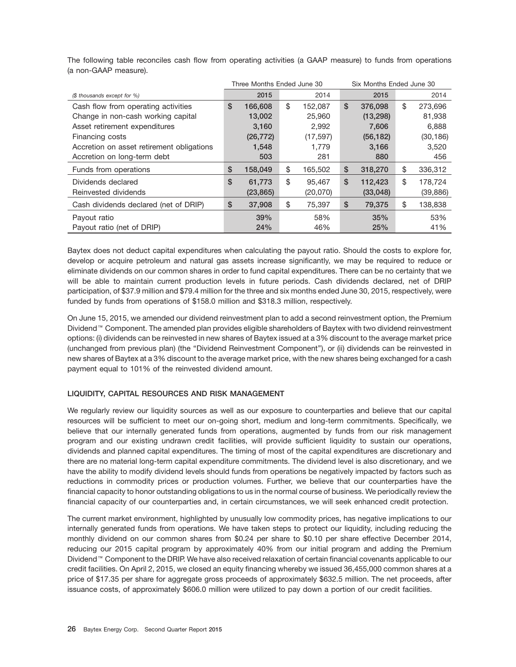|                                           | Three Months Ended June 30 |               | Six Months Ended June 30 |    |           |  |
|-------------------------------------------|----------------------------|---------------|--------------------------|----|-----------|--|
| (\$ thousands except for %)               | 2015                       | 2014          | 2015                     |    | 2014      |  |
| Cash flow from operating activities       | \$<br>166,608              | \$<br>152,087 | \$<br>376,098            | \$ | 273,696   |  |
| Change in non-cash working capital        | 13,002                     | 25,960        | (13, 298)                |    | 81,938    |  |
| Asset retirement expenditures             | 3,160                      | 2.992         | 7.606                    |    | 6,888     |  |
| Financing costs                           | (26, 772)                  | (17, 597)     | (56, 182)                |    | (30, 186) |  |
| Accretion on asset retirement obligations | 1,548                      | 1,779         | 3,166                    |    | 3,520     |  |
| Accretion on long-term debt               | 503                        | 281           | 880                      |    | 456       |  |
| Funds from operations                     | \$<br>158,049              | \$<br>165,502 | \$<br>318,270            | \$ | 336,312   |  |
| Dividends declared                        | \$<br>61,773               | \$<br>95.467  | \$<br>112,423            | \$ | 178,724   |  |
| Reinvested dividends                      | (23, 865)                  | (20,070)      | (33,048)                 |    | (39, 886) |  |
| Cash dividends declared (net of DRIP)     | \$<br>37,908               | \$<br>75,397  | \$<br>79,375             | \$ | 138,838   |  |
| Payout ratio                              | 39%                        | 58%           | 35%                      |    | 53%       |  |
| Payout ratio (net of DRIP)                | 24%                        | 46%           | 25%                      |    | 41%       |  |

The following table reconciles cash flow from operating activities (a GAAP measure) to funds from operations (a non-GAAP measure).

Baytex does not deduct capital expenditures when calculating the payout ratio. Should the costs to explore for, develop or acquire petroleum and natural gas assets increase significantly, we may be required to reduce or eliminate dividends on our common shares in order to fund capital expenditures. There can be no certainty that we will be able to maintain current production levels in future periods. Cash dividends declared, net of DRIP participation, of \$37.9 million and \$79.4 million for the three and six months ended June 30, 2015, respectively, were funded by funds from operations of \$158.0 million and \$318.3 million, respectively.

On June 15, 2015, we amended our dividend reinvestment plan to add a second reinvestment option, the Premium Dividend™ Component. The amended plan provides eligible shareholders of Baytex with two dividend reinvestment options: (i) dividends can be reinvested in new shares of Baytex issued at a 3% discount to the average market price (unchanged from previous plan) (the ''Dividend Reinvestment Component''), or (ii) dividends can be reinvested in new shares of Baytex at a 3% discount to the average market price, with the new shares being exchanged for a cash payment equal to 101% of the reinvested dividend amount.

### **LIQUIDITY, CAPITAL RESOURCES AND RISK MANAGEMENT**

We regularly review our liquidity sources as well as our exposure to counterparties and believe that our capital resources will be sufficient to meet our on-going short, medium and long-term commitments. Specifically, we believe that our internally generated funds from operations, augmented by funds from our risk management program and our existing undrawn credit facilities, will provide sufficient liquidity to sustain our operations, dividends and planned capital expenditures. The timing of most of the capital expenditures are discretionary and there are no material long-term capital expenditure commitments. The dividend level is also discretionary, and we have the ability to modify dividend levels should funds from operations be negatively impacted by factors such as reductions in commodity prices or production volumes. Further, we believe that our counterparties have the financial capacity to honor outstanding obligations to us in the normal course of business. We periodically review the financial capacity of our counterparties and, in certain circumstances, we will seek enhanced credit protection.

The current market environment, highlighted by unusually low commodity prices, has negative implications to our internally generated funds from operations. We have taken steps to protect our liquidity, including reducing the monthly dividend on our common shares from \$0.24 per share to \$0.10 per share effective December 2014, reducing our 2015 capital program by approximately 40% from our initial program and adding the Premium Dividend™ Component to the DRIP. We have also received relaxation of certain financial covenants applicable to our credit facilities. On April 2, 2015, we closed an equity financing whereby we issued 36,455,000 common shares at a price of \$17.35 per share for aggregate gross proceeds of approximately \$632.5 million. The net proceeds, after issuance costs, of approximately \$606.0 million were utilized to pay down a portion of our credit facilities.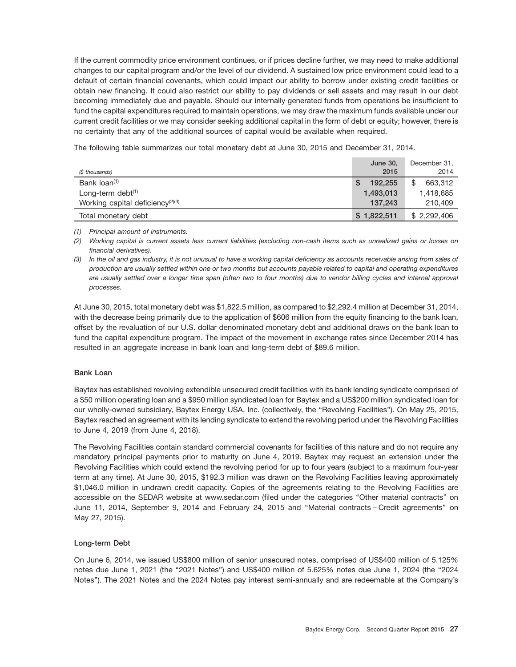If the current commodity price environment continues, or if prices decline further, we may need to make additional changes to our capital program and/or the level of our dividend. A sustained low price environment could lead to a default of certain financial covenants, which could impact our ability to borrow under existing credit facilities or obtain new financing. It could also restrict our ability to pay dividends or sell assets and may result in our debt becoming immediately due and payable. Should our internally generated funds from operations be insufficient to fund the capital expenditures required to maintain operations, we may draw the maximum funds available under our current credit facilities or we may consider seeking additional capital in the form of debt or equity; however, there is no certainty that any of the additional sources of capital would be available when required.

The following table summarizes our total monetary debt at June 30, 2015 and December 31, 2014.

|                                              | June 30,    | December 31,  |
|----------------------------------------------|-------------|---------------|
| (\$ thousands)                               | 2015        | 2014          |
| Bank loan <sup>(1)</sup>                     | 192.255     | \$<br>663,312 |
| Long-term debt $(1)$                         | 1,493,013   | 1,418,685     |
| Working capital deficiency <sup>(2)(3)</sup> | 137.243     | 210,409       |
| Total monetary debt                          | \$1,822,511 | \$2.292.406   |

*(1) Principal amount of instruments.*

*(2) Working capital is current assets less current liabilities (excluding non-cash items such as unrealized gains or losses on financial derivatives).*

*(3) In the oil and gas industry, it is not unusual to have a working capital deficiency as accounts receivable arising from sales of production are usually settled within one or two months but accounts payable related to capital and operating expenditures are usually settled over a longer time span (often two to four months) due to vendor billing cycles and internal approval processes.*

At June 30, 2015, total monetary debt was \$1,822.5 million, as compared to \$2,292.4 million at December 31, 2014, with the decrease being primarily due to the application of \$606 million from the equity financing to the bank loan, offset by the revaluation of our U.S. dollar denominated monetary debt and additional draws on the bank loan to fund the capital expenditure program. The impact of the movement in exchange rates since December 2014 has resulted in an aggregate increase in bank loan and long-term debt of \$89.6 million.

#### **Bank Loan**

Baytex has established revolving extendible unsecured credit facilities with its bank lending syndicate comprised of a \$50 million operating loan and a \$950 million syndicated loan for Baytex and a US\$200 million syndicated loan for our wholly-owned subsidiary, Baytex Energy USA, Inc. (collectively, the ''Revolving Facilities''). On May 25, 2015, Baytex reached an agreement with its lending syndicate to extend the revolving period under the Revolving Facilities to June 4, 2019 (from June 4, 2018).

The Revolving Facilities contain standard commercial covenants for facilities of this nature and do not require any mandatory principal payments prior to maturity on June 4, 2019. Baytex may request an extension under the Revolving Facilities which could extend the revolving period for up to four years (subject to a maximum four-year term at any time). At June 30, 2015, \$192.3 million was drawn on the Revolving Facilities leaving approximately \$1,046.0 million in undrawn credit capacity. Copies of the agreements relating to the Revolving Facilities are accessible on the SEDAR website at www.sedar.com (filed under the categories ''Other material contracts'' on June 11, 2014, September 9, 2014 and February 24, 2015 and ''Material contracts – Credit agreements'' on May 27, 2015).

#### **Long-term Debt**

On June 6, 2014, we issued US\$800 million of senior unsecured notes, comprised of US\$400 million of 5.125% notes due June 1, 2021 (the "2021 Notes") and US\$400 million of 5.625% notes due June 1, 2024 (the "2024 Notes''). The 2021 Notes and the 2024 Notes pay interest semi-annually and are redeemable at the Company's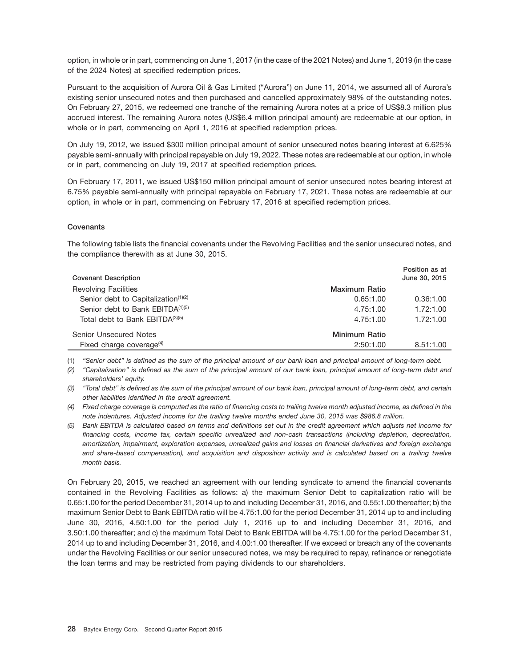option, in whole or in part, commencing on June 1, 2017 (in the case of the 2021 Notes) and June 1, 2019 (in the case of the 2024 Notes) at specified redemption prices.

Pursuant to the acquisition of Aurora Oil & Gas Limited (''Aurora'') on June 11, 2014, we assumed all of Aurora's existing senior unsecured notes and then purchased and cancelled approximately 98% of the outstanding notes. On February 27, 2015, we redeemed one tranche of the remaining Aurora notes at a price of US\$8.3 million plus accrued interest. The remaining Aurora notes (US\$6.4 million principal amount) are redeemable at our option, in whole or in part, commencing on April 1, 2016 at specified redemption prices.

On July 19, 2012, we issued \$300 million principal amount of senior unsecured notes bearing interest at 6.625% payable semi-annually with principal repayable on July 19, 2022. These notes are redeemable at our option, in whole or in part, commencing on July 19, 2017 at specified redemption prices.

On February 17, 2011, we issued US\$150 million principal amount of senior unsecured notes bearing interest at 6.75% payable semi-annually with principal repayable on February 17, 2021. These notes are redeemable at our option, in whole or in part, commencing on February 17, 2016 at specified redemption prices.

#### **Covenants**

The following table lists the financial covenants under the Revolving Facilities and the senior unsecured notes, and the compliance therewith as at June 30, 2015.

|                                                 |                      | Position as at |
|-------------------------------------------------|----------------------|----------------|
| <b>Covenant Description</b>                     |                      | June 30, 2015  |
| <b>Revolving Facilities</b>                     | <b>Maximum Ratio</b> |                |
| Senior debt to Capitalization <sup>(1)(2)</sup> | 0.65:1.00            | 0.36:1.00      |
| Senior debt to Bank EBITDA <sup>(1)(5)</sup>    | 4.75:1.00            | 1.72:1.00      |
| Total debt to Bank EBITDA(3)(5)                 | 4.75:1.00            | 1.72:1.00      |
| <b>Senior Unsecured Notes</b>                   | Minimum Ratio        |                |
| Fixed charge coverage $(4)$                     | 2:50:1.00            | 8.51:1.00      |

(1) *''Senior debt'' is defined as the sum of the principal amount of our bank loan and principal amount of long-term debt.*

*(2) ''Capitalization'' is defined as the sum of the principal amount of our bank loan, principal amount of long-term debt and shareholders' equity.*

*(3) ''Total debt'' is defined as the sum of the principal amount of our bank loan, principal amount of long-term debt, and certain other liabilities identified in the credit agreement.*

*(4) Fixed charge coverage is computed as the ratio of financing costs to trailing twelve month adjusted income, as defined in the note indentures. Adjusted income for the trailing twelve months ended June 30, 2015 was \$986.8 million.*

*(5) Bank EBITDA is calculated based on terms and definitions set out in the credit agreement which adjusts net income for financing costs, income tax, certain specific unrealized and non-cash transactions (including depletion, depreciation, amortization, impairment, exploration expenses, unrealized gains and losses on financial derivatives and foreign exchange and share-based compensation), and acquisition and disposition activity and is calculated based on a trailing twelve month basis.*

On February 20, 2015, we reached an agreement with our lending syndicate to amend the financial covenants contained in the Revolving Facilities as follows: a) the maximum Senior Debt to capitalization ratio will be 0.65:1.00 for the period December 31, 2014 up to and including December 31, 2016, and 0.55:1.00 thereafter; b) the maximum Senior Debt to Bank EBITDA ratio will be 4.75:1.00 for the period December 31, 2014 up to and including June 30, 2016, 4.50:1.00 for the period July 1, 2016 up to and including December 31, 2016, and 3.50:1.00 thereafter; and c) the maximum Total Debt to Bank EBITDA will be 4.75:1.00 for the period December 31, 2014 up to and including December 31, 2016, and 4.00:1.00 thereafter. If we exceed or breach any of the covenants under the Revolving Facilities or our senior unsecured notes, we may be required to repay, refinance or renegotiate the loan terms and may be restricted from paying dividends to our shareholders.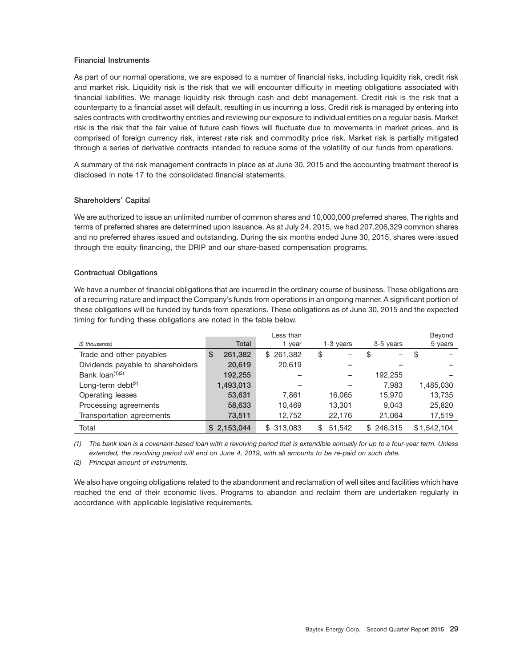#### **Financial Instruments**

As part of our normal operations, we are exposed to a number of financial risks, including liquidity risk, credit risk and market risk. Liquidity risk is the risk that we will encounter difficulty in meeting obligations associated with financial liabilities. We manage liquidity risk through cash and debt management. Credit risk is the risk that a counterparty to a financial asset will default, resulting in us incurring a loss. Credit risk is managed by entering into sales contracts with creditworthy entities and reviewing our exposure to individual entities on a regular basis. Market risk is the risk that the fair value of future cash flows will fluctuate due to movements in market prices, and is comprised of foreign currency risk, interest rate risk and commodity price risk. Market risk is partially mitigated through a series of derivative contracts intended to reduce some of the volatility of our funds from operations.

A summary of the risk management contracts in place as at June 30, 2015 and the accounting treatment thereof is disclosed in note 17 to the consolidated financial statements.

#### **Shareholders' Capital**

We are authorized to issue an unlimited number of common shares and 10,000,000 preferred shares. The rights and terms of preferred shares are determined upon issuance. As at July 24, 2015, we had 207,206,329 common shares and no preferred shares issued and outstanding. During the six months ended June 30, 2015, shares were issued through the equity financing, the DRIP and our share-based compensation programs.

#### **Contractual Obligations**

We have a number of financial obligations that are incurred in the ordinary course of business. These obligations are of a recurring nature and impact the Company's funds from operations in an ongoing manner. A significant portion of these obligations will be funded by funds from operations. These obligations as of June 30, 2015 and the expected timing for funding these obligations are noted in the table below.

|                                   |               | Less than     |             |                | Beyond      |
|-----------------------------------|---------------|---------------|-------------|----------------|-------------|
| (\$ thousands)                    | Total         | 1 year        | 1-3 years   | 3-5 years      | 5 years     |
| Trade and other payables          | 261,382<br>\$ | \$261,382     | \$          | \$<br>-        | \$          |
| Dividends payable to shareholders | 20,619        | 20,619        |             |                |             |
| Bank $\text{Ioan}^{(1)(2)}$       | 192,255       |               |             | 192.255        |             |
| Long-term debt $(2)$              | 1,493,013     |               |             | 7.983          | 1,485,030   |
| Operating leases                  | 53,631        | 7.861         | 16.065      | 15.970         | 13,735      |
| Processing agreements             | 58,633        | 10,469        | 13,301      | 9.043          | 25,820      |
| Transportation agreements         | 73,511        | 12,752        | 22,176      | 21,064         | 17,519      |
| Total                             | \$2,153,044   | 313,083<br>\$ | 51,542<br>S | 246,315<br>\$. | \$1,542,104 |

*(1) The bank loan is a covenant-based loan with a revolving period that is extendible annually for up to a four-year term. Unless extended, the revolving period will end on June 4, 2019, with all amounts to be re-paid on such date.*

*(2) Principal amount of instruments.*

We also have ongoing obligations related to the abandonment and reclamation of well sites and facilities which have reached the end of their economic lives. Programs to abandon and reclaim them are undertaken regularly in accordance with applicable legislative requirements.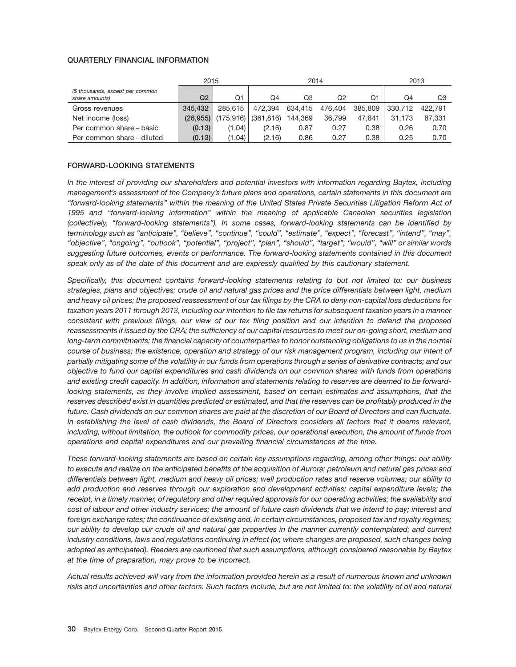#### **QUARTERLY FINANCIAL INFORMATION**

|                                                    | 2015           |         |                       | 2014    | 2013    |         |         |         |
|----------------------------------------------------|----------------|---------|-----------------------|---------|---------|---------|---------|---------|
| (\$ thousands, except per common<br>share amounts) | Q <sub>2</sub> | Q1      | O4                    | Q3      | Q2      | Q1      | Q4      | Q3      |
| Gross revenues                                     | 345,432        | 285.615 | 472,394               | 634,415 | 476,404 | 385,809 | 330.712 | 422.791 |
| Net income (loss)                                  | (26.955)       |         | $(175,916)$ (361,816) | 144,369 | 36.799  | 47.841  | 31.173  | 87.331  |
| Per common share – basic                           | (0.13)         | (1.04)  | (2.16)                | 0.87    | 0.27    | 0.38    | 0.26    | 0.70    |
| Per common share – diluted                         | (0.13)         | (1.04)  | (2.16)                | 0.86    | 0.27    | 0.38    | 0.25    | 0.70    |

#### **FORWARD-LOOKING STATEMENTS**

*In the interest of providing our shareholders and potential investors with information regarding Baytex, including management's assessment of the Company's future plans and operations, certain statements in this document are ''forward-looking statements'' within the meaning of the United States Private Securities Litigation Reform Act of 1995 and ''forward-looking information'' within the meaning of applicable Canadian securities legislation (collectively, ''forward-looking statements''). In some cases, forward-looking statements can be identified by terminology such as ''anticipate'', ''believe'', ''continue'', ''could'', ''estimate'', ''expect'', ''forecast'', ''intend'', ''may'', ''objective'', ''ongoing'', ''outlook'', ''potential'', ''project'', ''plan'', ''should'', ''target'', ''would'', ''will'' or similar words suggesting future outcomes, events or performance. The forward-looking statements contained in this document speak only as of the date of this document and are expressly qualified by this cautionary statement.*

*Specifically, this document contains forward-looking statements relating to but not limited to: our business strategies, plans and objectives; crude oil and natural gas prices and the price differentials between light, medium and heavy oil prices; the proposed reassessment of our tax filings by the CRA to deny non-capital loss deductions for taxation years 2011 through 2013, including our intention to file tax returns for subsequent taxation years in a manner consistent with previous filings, our view of our tax filing position and our intention to defend the proposed reassessments if issued by the CRA; the sufficiency of our capital resources to meet our on-going short, medium and long-term commitments; the financial capacity of counterparties to honor outstanding obligations to us in the normal course of business; the existence, operation and strategy of our risk management program, including our intent of partially mitigating some of the volatility in our funds from operations through a series of derivative contracts; and our objective to fund our capital expenditures and cash dividends on our common shares with funds from operations and existing credit capacity. In addition, information and statements relating to reserves are deemed to be forwardlooking statements, as they involve implied assessment, based on certain estimates and assumptions, that the reserves described exist in quantities predicted or estimated, and that the reserves can be profitably produced in the future. Cash dividends on our common shares are paid at the discretion of our Board of Directors and can fluctuate. In establishing the level of cash dividends, the Board of Directors considers all factors that it deems relevant, including, without limitation, the outlook for commodity prices, our operational execution, the amount of funds from operations and capital expenditures and our prevailing financial circumstances at the time.*

*These forward-looking statements are based on certain key assumptions regarding, among other things: our ability to execute and realize on the anticipated benefits of the acquisition of Aurora; petroleum and natural gas prices and differentials between light, medium and heavy oil prices; well production rates and reserve volumes; our ability to add production and reserves through our exploration and development activities; capital expenditure levels; the receipt, in a timely manner, of regulatory and other required approvals for our operating activities; the availability and cost of labour and other industry services; the amount of future cash dividends that we intend to pay; interest and foreign exchange rates; the continuance of existing and, in certain circumstances, proposed tax and royalty regimes; our ability to develop our crude oil and natural gas properties in the manner currently contemplated; and current industry conditions, laws and regulations continuing in effect (or, where changes are proposed, such changes being adopted as anticipated). Readers are cautioned that such assumptions, although considered reasonable by Baytex at the time of preparation, may prove to be incorrect.*

*Actual results achieved will vary from the information provided herein as a result of numerous known and unknown risks and uncertainties and other factors. Such factors include, but are not limited to: the volatility of oil and natural*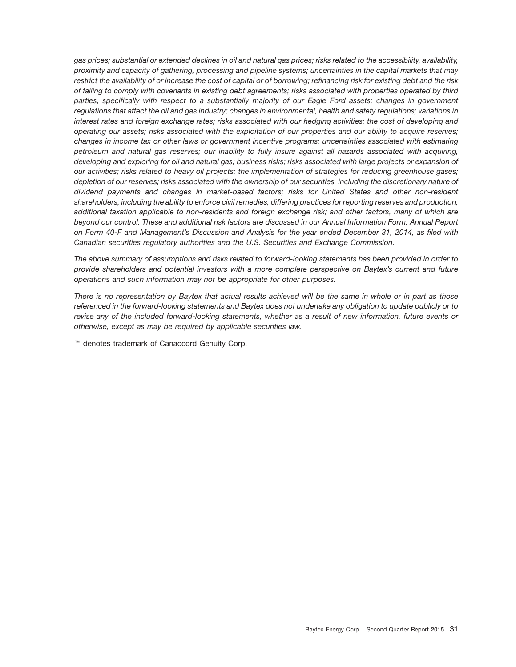*gas prices; substantial or extended declines in oil and natural gas prices; risks related to the accessibility, availability, proximity and capacity of gathering, processing and pipeline systems; uncertainties in the capital markets that may restrict the availability of or increase the cost of capital or of borrowing; refinancing risk for existing debt and the risk of failing to comply with covenants in existing debt agreements; risks associated with properties operated by third parties, specifically with respect to a substantially majority of our Eagle Ford assets; changes in government regulations that affect the oil and gas industry; changes in environmental, health and safety regulations; variations in interest rates and foreign exchange rates; risks associated with our hedging activities; the cost of developing and operating our assets; risks associated with the exploitation of our properties and our ability to acquire reserves; changes in income tax or other laws or government incentive programs; uncertainties associated with estimating petroleum and natural gas reserves; our inability to fully insure against all hazards associated with acquiring, developing and exploring for oil and natural gas; business risks; risks associated with large projects or expansion of our activities; risks related to heavy oil projects; the implementation of strategies for reducing greenhouse gases; depletion of our reserves; risks associated with the ownership of our securities, including the discretionary nature of dividend payments and changes in market-based factors; risks for United States and other non-resident shareholders, including the ability to enforce civil remedies, differing practices for reporting reserves and production, additional taxation applicable to non-residents and foreign exchange risk; and other factors, many of which are beyond our control. These and additional risk factors are discussed in our Annual Information Form, Annual Report on Form 40-F and Management's Discussion and Analysis for the year ended December 31, 2014, as filed with Canadian securities regulatory authorities and the U.S. Securities and Exchange Commission.*

*The above summary of assumptions and risks related to forward-looking statements has been provided in order to provide shareholders and potential investors with a more complete perspective on Baytex's current and future operations and such information may not be appropriate for other purposes.*

*There is no representation by Baytex that actual results achieved will be the same in whole or in part as those referenced in the forward-looking statements and Baytex does not undertake any obligation to update publicly or to revise any of the included forward-looking statements, whether as a result of new information, future events or otherwise, except as may be required by applicable securities law.*

denotes trademark of Canaccord Genuity Corp.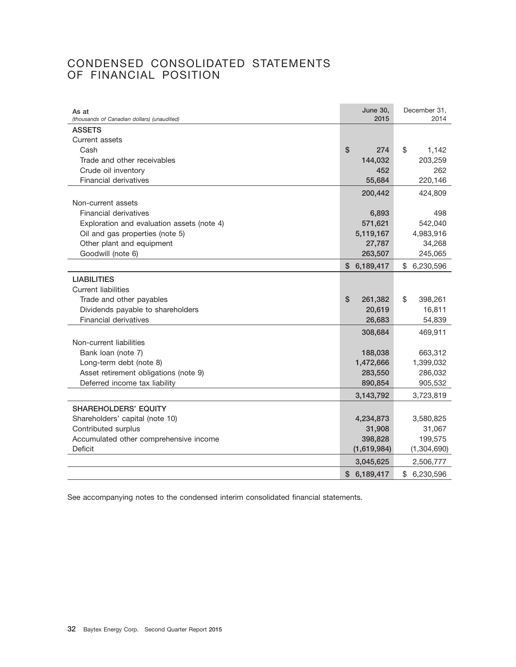# CONDENSED CONSOLIDATED STATEMENTS OF FINANCIAL POSITION

| As at<br>(thousands of Canadian dollars) (unaudited) | <b>June 30,</b><br>2015 | December 31,<br>2014 |
|------------------------------------------------------|-------------------------|----------------------|
| <b>ASSETS</b>                                        |                         |                      |
| Current assets                                       |                         |                      |
| Cash                                                 | \$<br>274               | \$<br>1,142          |
| Trade and other receivables                          | 144,032                 | 203,259              |
| Crude oil inventory                                  | 452                     | 262                  |
| <b>Financial derivatives</b>                         | 55,684                  | 220,146              |
|                                                      | 200,442                 | 424,809              |
| Non-current assets                                   |                         |                      |
| <b>Financial derivatives</b>                         | 6,893                   | 498                  |
| Exploration and evaluation assets (note 4)           | 571,621                 | 542,040              |
| Oil and gas properties (note 5)                      | 5,119,167               | 4,983,916            |
| Other plant and equipment                            | 27,787                  | 34,268               |
| Goodwill (note 6)                                    | 263,507                 | 245,065              |
|                                                      | \$6,189,417             | 6,230,596<br>\$      |
| <b>LIABILITIES</b>                                   |                         |                      |
| <b>Current liabilities</b>                           |                         |                      |
| Trade and other payables                             | \$<br>261,382           | \$<br>398,261        |
| Dividends payable to shareholders                    | 20,619                  | 16,811               |
| <b>Financial derivatives</b>                         | 26,683                  | 54,839               |
|                                                      | 308,684                 | 469,911              |
| Non-current liabilities                              |                         |                      |
| Bank loan (note 7)                                   | 188,038                 | 663,312              |
| Long-term debt (note 8)                              | 1,472,666               | 1,399,032            |
| Asset retirement obligations (note 9)                | 283,550                 | 286,032              |
| Deferred income tax liability                        | 890,854                 | 905,532              |
|                                                      | 3,143,792               | 3,723,819            |
| <b>SHAREHOLDERS' EQUITY</b>                          |                         |                      |
| Shareholders' capital (note 10)                      | 4,234,873               | 3,580,825            |
| Contributed surplus                                  | 31,908                  | 31,067               |
| Accumulated other comprehensive income               | 398,828                 | 199,575              |
| <b>Deficit</b>                                       | (1,619,984)             | (1,304,690)          |
|                                                      | 3,045,625               | 2,506,777            |
|                                                      | 6,189,417<br>\$         | 6,230,596<br>\$      |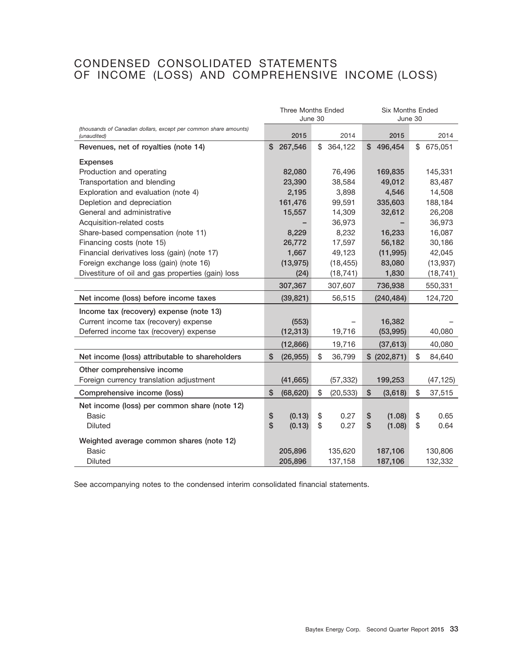# CONDENSED CONSOLIDATED STATEMENTS OF INCOME (LOSS) AND COMPREHENSIVE INCOME (LOSS)

|                                                                                 |                 | <b>Three Months Ended</b><br>June 30 |           |               | <b>Six Months Ended</b><br>June 30 |           |  |
|---------------------------------------------------------------------------------|-----------------|--------------------------------------|-----------|---------------|------------------------------------|-----------|--|
| (thousands of Canadian dollars, except per common share amounts)<br>(unaudited) |                 | 2015                                 | 2014      | 2015          |                                    | 2014      |  |
| Revenues, net of royalties (note 14)                                            | \$<br>267,546   | \$                                   | 364,122   | 496,454<br>\$ | \$                                 | 675,051   |  |
| <b>Expenses</b>                                                                 |                 |                                      |           |               |                                    |           |  |
| Production and operating                                                        | 82,080          |                                      | 76,496    | 169,835       |                                    | 145,331   |  |
| Transportation and blending                                                     | 23,390          |                                      | 38,584    | 49,012        |                                    | 83,487    |  |
| Exploration and evaluation (note 4)                                             | 2,195           |                                      | 3,898     | 4,546         |                                    | 14,508    |  |
| Depletion and depreciation                                                      | 161,476         |                                      | 99,591    | 335,603       |                                    | 188,184   |  |
| General and administrative                                                      | 15,557          |                                      | 14,309    | 32,612        |                                    | 26,208    |  |
| Acquisition-related costs                                                       |                 |                                      | 36,973    |               |                                    | 36,973    |  |
| Share-based compensation (note 11)                                              | 8,229           |                                      | 8,232     | 16,233        |                                    | 16,087    |  |
| Financing costs (note 15)                                                       | 26,772          |                                      | 17,597    | 56,182        |                                    | 30,186    |  |
| Financial derivatives loss (gain) (note 17)                                     | 1,667           |                                      | 49,123    | (11, 995)     |                                    | 42,045    |  |
| Foreign exchange loss (gain) (note 16)                                          | (13, 975)       |                                      | (18, 455) | 83,080        |                                    | (13, 937) |  |
| Divestiture of oil and gas properties (gain) loss                               |                 | (24)                                 | (18, 741) | 1,830         |                                    | (18, 741) |  |
|                                                                                 | 307,367         |                                      | 307,607   | 736,938       |                                    | 550,331   |  |
| Net income (loss) before income taxes                                           | (39, 821)       |                                      | 56,515    | (240, 484)    |                                    | 124,720   |  |
| Income tax (recovery) expense (note 13)                                         |                 |                                      |           |               |                                    |           |  |
| Current income tax (recovery) expense                                           |                 | (553)                                |           | 16,382        |                                    |           |  |
| Deferred income tax (recovery) expense                                          | (12, 313)       |                                      | 19,716    | (53, 995)     |                                    | 40,080    |  |
|                                                                                 | (12, 866)       |                                      | 19,716    | (37, 613)     |                                    | 40,080    |  |
| Net income (loss) attributable to shareholders                                  | \$<br>(26, 955) | \$                                   | 36,799    | \$ (202, 871) | \$                                 | 84,640    |  |
| Other comprehensive income                                                      |                 |                                      |           |               |                                    |           |  |
| Foreign currency translation adjustment                                         | (41, 665)       |                                      | (57, 332) | 199,253       |                                    | (47, 125) |  |
| Comprehensive income (loss)                                                     | \$<br>(68, 620) | \$                                   | (20, 533) | \$<br>(3,618) | \$                                 | 37,515    |  |
| Net income (loss) per common share (note 12)                                    |                 |                                      |           |               |                                    |           |  |
| <b>Basic</b>                                                                    | \$              | \$<br>(0.13)                         | 0.27      | \$<br>(1.08)  | \$                                 | 0.65      |  |
| <b>Diluted</b>                                                                  | \$              | \$<br>(0.13)                         | 0.27      | \$<br>(1.08)  | \$                                 | 0.64      |  |
| Weighted average common shares (note 12)                                        |                 |                                      |           |               |                                    |           |  |
| Basic                                                                           | 205,896         |                                      | 135.620   | 187,106       |                                    | 130,806   |  |
| <b>Diluted</b>                                                                  | 205,896         |                                      | 137,158   | 187,106       |                                    | 132,332   |  |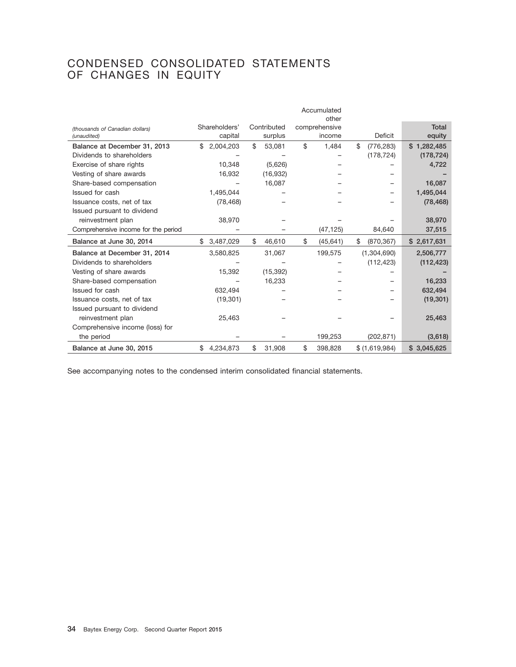# CONDENSED CONSOLIDATED STATEMENTS OF CHANGES IN EQUITY

|                                     |                 |              | Accumulated     |                  |              |
|-------------------------------------|-----------------|--------------|-----------------|------------------|--------------|
|                                     |                 |              | other           |                  |              |
| (thousands of Canadian dollars)     | Shareholders'   | Contributed  | comprehensive   |                  | <b>Total</b> |
| (unaudited)                         | capital         | surplus      | income          | Deficit          | equity       |
| Balance at December 31, 2013        | \$<br>2,004,203 | \$<br>53,081 | \$<br>1,484     | \$<br>(776, 283) | \$1,282,485  |
| Dividends to shareholders           |                 |              |                 | (178, 724)       | (178, 724)   |
| Exercise of share rights            | 10,348          | (5,626)      |                 |                  | 4,722        |
| Vesting of share awards             | 16,932          | (16,932)     |                 |                  |              |
| Share-based compensation            |                 | 16,087       |                 |                  | 16,087       |
| Issued for cash                     | 1,495,044       |              |                 |                  | 1,495,044    |
| Issuance costs, net of tax          | (78, 468)       |              |                 |                  | (78, 468)    |
| Issued pursuant to dividend         |                 |              |                 |                  |              |
| reinvestment plan                   | 38,970          |              |                 |                  | 38,970       |
| Comprehensive income for the period |                 |              | (47, 125)       | 84,640           | 37,515       |
| Balance at June 30, 2014            | 3,487,029<br>\$ | \$<br>46,610 | \$<br>(45, 641) | \$<br>(870, 367) | \$2,617,631  |
| Balance at December 31, 2014        | 3,580,825       | 31,067       | 199,575         | (1,304,690)      | 2,506,777    |
| Dividends to shareholders           |                 |              |                 | (112, 423)       | (112, 423)   |
| Vesting of share awards             | 15,392          | (15, 392)    |                 |                  |              |
| Share-based compensation            |                 | 16,233       |                 |                  | 16,233       |
| Issued for cash                     | 632,494         |              |                 |                  | 632,494      |
| Issuance costs, net of tax          | (19, 301)       |              |                 |                  | (19, 301)    |
| Issued pursuant to dividend         |                 |              |                 |                  |              |
| reinvestment plan                   | 25,463          |              |                 |                  | 25,463       |
| Comprehensive income (loss) for     |                 |              |                 |                  |              |
| the period                          |                 |              | 199,253         | (202, 871)       | (3,618)      |
| Balance at June 30, 2015            | \$<br>4,234,873 | \$<br>31,908 | \$<br>398,828   | \$(1,619,984)    | \$3,045,625  |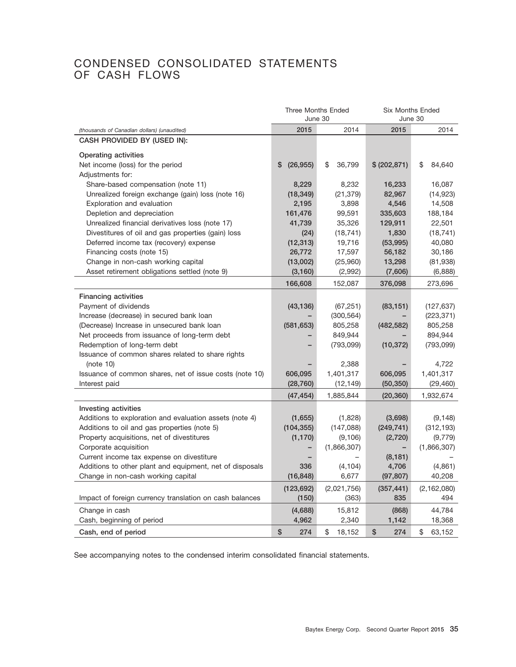# CONDENSED CONSOLIDATED STATEMENTS OF CASH FLOWS

|                                                          | <b>Three Months Ended</b><br><b>Six Months Ended</b><br>June 30 |              | June 30       |               |
|----------------------------------------------------------|-----------------------------------------------------------------|--------------|---------------|---------------|
| (thousands of Canadian dollars) (unaudited)              | 2015                                                            | 2014         | 2015          | 2014          |
| CASH PROVIDED BY (USED IN):                              |                                                                 |              |               |               |
|                                                          |                                                                 |              |               |               |
| Operating activities                                     |                                                                 |              |               |               |
| Net income (loss) for the period                         | \$<br>(26, 955)                                                 | \$<br>36,799 | \$ (202, 871) | \$<br>84,640  |
| Adjustments for:                                         |                                                                 |              |               |               |
| Share-based compensation (note 11)                       | 8,229                                                           | 8,232        | 16,233        | 16,087        |
| Unrealized foreign exchange (gain) loss (note 16)        | (18, 349)                                                       | (21, 379)    | 82,967        | (14, 923)     |
| Exploration and evaluation                               | 2,195                                                           | 3,898        | 4,546         | 14,508        |
| Depletion and depreciation                               | 161,476                                                         | 99,591       | 335,603       | 188,184       |
| Unrealized financial derivatives loss (note 17)          | 41,739                                                          | 35,326       | 129,911       | 22,501        |
| Divestitures of oil and gas properties (gain) loss       | (24)                                                            | (18, 741)    | 1,830         | (18, 741)     |
| Deferred income tax (recovery) expense                   | (12, 313)                                                       | 19,716       | (53, 995)     | 40,080        |
| Financing costs (note 15)                                | 26,772                                                          | 17,597       | 56,182        | 30,186        |
| Change in non-cash working capital                       | (13,002)                                                        | (25,960)     | 13,298        | (81,938)      |
| Asset retirement obligations settled (note 9)            | (3, 160)                                                        | (2,992)      | (7,606)       | (6,888)       |
|                                                          | 166,608                                                         | 152,087      | 376,098       | 273,696       |
| <b>Financing activities</b>                              |                                                                 |              |               |               |
| Payment of dividends                                     | (43, 136)                                                       | (67, 251)    | (83, 151)     | (127, 637)    |
| Increase (decrease) in secured bank loan                 |                                                                 | (300, 564)   |               | (223, 371)    |
| (Decrease) Increase in unsecured bank loan               | (581, 653)                                                      | 805,258      | (482, 582)    | 805,258       |
| Net proceeds from issuance of long-term debt             |                                                                 | 849,944      |               | 894,944       |
| Redemption of long-term debt                             |                                                                 | (793,099)    | (10, 372)     | (793,099)     |
| Issuance of common shares related to share rights        |                                                                 |              |               |               |
| (note 10)                                                |                                                                 | 2,388        |               | 4,722         |
| Issuance of common shares, net of issue costs (note 10)  | 606,095                                                         | 1,401,317    | 606,095       | 1,401,317     |
| Interest paid                                            | (28, 760)                                                       | (12, 149)    | (50, 350)     | (29, 460)     |
|                                                          | (47, 454)                                                       | 1,885,844    | (20, 360)     | 1,932,674     |
| Investing activities                                     |                                                                 |              |               |               |
| Additions to exploration and evaluation assets (note 4)  | (1,655)                                                         | (1,828)      | (3,698)       | (9, 148)      |
| Additions to oil and gas properties (note 5)             | (104, 355)                                                      | (147,088)    | (249, 741)    | (312, 193)    |
| Property acquisitions, net of divestitures               | (1, 170)                                                        | (9, 106)     | (2,720)       | (9, 779)      |
| Corporate acquisition                                    |                                                                 | (1,866,307)  |               | (1,866,307)   |
| Current income tax expense on divestiture                |                                                                 |              | (8, 181)      |               |
| Additions to other plant and equipment, net of disposals | 336                                                             | (4, 104)     | 4,706         | (4,861)       |
| Change in non-cash working capital                       | (16, 848)                                                       | 6,677        | (97, 807)     | 40,208        |
|                                                          |                                                                 |              |               |               |
|                                                          | (123, 692)                                                      | (2,021,756)  | (357, 441)    | (2, 162, 080) |
| Impact of foreign currency translation on cash balances  | (150)                                                           | (363)        | 835           | 494           |
| Change in cash                                           | (4,688)                                                         | 15,812       | (868)         | 44,784        |
| Cash, beginning of period                                | 4,962                                                           | 2,340        | 1,142         | 18,368        |
| Cash, end of period                                      | \$<br>274                                                       | \$<br>18,152 | \$<br>274     | \$<br>63,152  |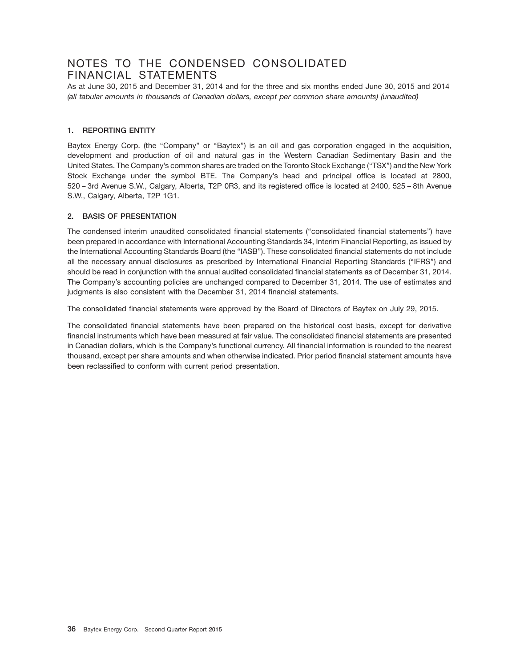# NOTES TO THE CONDENSED CONSOLIDATED FINANCIAL STATEMENTS

As at June 30, 2015 and December 31, 2014 and for the three and six months ended June 30, 2015 and 2014 *(all tabular amounts in thousands of Canadian dollars, except per common share amounts) (unaudited)*

#### **1. REPORTING ENTITY**

Baytex Energy Corp. (the "Company" or "Baytex") is an oil and gas corporation engaged in the acquisition, development and production of oil and natural gas in the Western Canadian Sedimentary Basin and the United States. The Company's common shares are traded on the Toronto Stock Exchange (''TSX'') and the New York Stock Exchange under the symbol BTE. The Company's head and principal office is located at 2800, 520 – 3rd Avenue S.W., Calgary, Alberta, T2P 0R3, and its registered office is located at 2400, 525 – 8th Avenue S.W., Calgary, Alberta, T2P 1G1.

#### **2. BASIS OF PRESENTATION**

The condensed interim unaudited consolidated financial statements (''consolidated financial statements'') have been prepared in accordance with International Accounting Standards 34, Interim Financial Reporting, as issued by the International Accounting Standards Board (the ''IASB''). These consolidated financial statements do not include all the necessary annual disclosures as prescribed by International Financial Reporting Standards (''IFRS'') and should be read in conjunction with the annual audited consolidated financial statements as of December 31, 2014. The Company's accounting policies are unchanged compared to December 31, 2014. The use of estimates and judgments is also consistent with the December 31, 2014 financial statements.

The consolidated financial statements were approved by the Board of Directors of Baytex on July 29, 2015.

The consolidated financial statements have been prepared on the historical cost basis, except for derivative financial instruments which have been measured at fair value. The consolidated financial statements are presented in Canadian dollars, which is the Company's functional currency. All financial information is rounded to the nearest thousand, except per share amounts and when otherwise indicated. Prior period financial statement amounts have been reclassified to conform with current period presentation.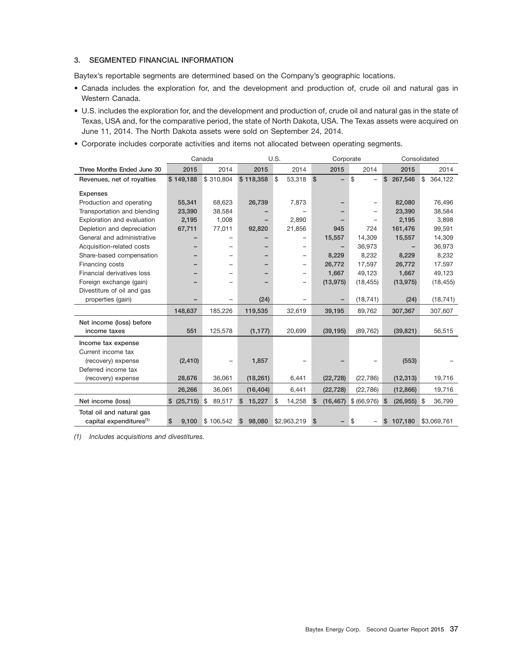#### **3. SEGMENTED FINANCIAL INFORMATION**

Baytex's reportable segments are determined based on the Company's geographic locations.

- Canada includes the exploration for, and the development and production of, crude oil and natural gas in Western Canada.
- U.S. includes the exploration for, and the development and production of, crude oil and natural gas in the state of Texas, USA and, for the comparative period, the state of North Dakota, USA. The Texas assets were acquired on June 11, 2014. The North Dakota assets were sold on September 24, 2014.
- Corporate includes corporate activities and items not allocated between operating segments.

|                                     |                 | Canada      |              | U.S.         | Corporate    |                                |                           | Consolidated  |
|-------------------------------------|-----------------|-------------|--------------|--------------|--------------|--------------------------------|---------------------------|---------------|
| Three Months Ended June 30          | 2015            | 2014        | 2015         | 2014         | 2015         | 2014                           | 2015                      | 2014          |
| Revenues, net of royalties          | \$149,188       | \$310,804   | \$118,358    | \$<br>53,318 | $\mathbb{S}$ | \$<br>$\overline{\phantom{0}}$ | \$<br>267,546             | \$<br>364,122 |
| <b>Expenses</b>                     |                 |             |              |              |              |                                |                           |               |
| Production and operating            | 55,341          | 68,623      | 26,739       | 7,873        |              | $\overline{\phantom{a}}$       | 82.080                    | 76,496        |
| Transportation and blending         | 23,390          | 38,584      |              |              |              |                                | 23,390                    | 38,584        |
| Exploration and evaluation          | 2,195           | 1,008       |              | 2,890        |              |                                | 2,195                     | 3,898         |
| Depletion and depreciation          | 67,711          | 77,011      | 92,820       | 21,856       | 945          | 724                            | 161,476                   | 99,591        |
| General and administrative          |                 |             |              |              |              | 14,309                         | 15,557                    | 14,309        |
|                                     |                 |             |              |              | 15,557       |                                |                           |               |
| Acquisition-related costs           |                 |             |              |              |              | 36,973                         |                           | 36,973        |
| Share-based compensation            |                 |             |              |              | 8,229        | 8,232                          | 8,229                     | 8,232         |
| Financing costs                     |                 |             |              |              | 26,772       | 17,597                         | 26,772                    | 17,597        |
| Financial derivatives loss          |                 |             |              |              | 1,667        | 49,123                         | 1,667                     | 49,123        |
| Foreign exchange (gain)             |                 |             |              |              | (13, 975)    | (18, 455)                      | (13, 975)                 | (18, 455)     |
| Divestiture of oil and gas          |                 |             |              |              |              |                                |                           |               |
| properties (gain)                   |                 |             | (24)         |              |              | (18, 741)                      | (24)                      | (18, 741)     |
|                                     | 148,637         | 185,226     | 119,535      | 32,619       | 39,195       | 89,762                         | 307,367                   | 307,607       |
| Net income (loss) before            |                 |             |              |              |              |                                |                           |               |
| income taxes                        | 551             | 125,578     | (1, 177)     | 20,699       | (39, 195)    | (89, 762)                      | (39, 821)                 | 56,515        |
| Income tax expense                  |                 |             |              |              |              |                                |                           |               |
| Current income tax                  |                 |             |              |              |              |                                |                           |               |
| (recovery) expense                  | (2, 410)        |             | 1,857        |              |              |                                | (553)                     |               |
| Deferred income tax                 |                 |             |              |              |              |                                |                           |               |
| (recovery) expense                  | 28,676          | 36,061      | (18, 261)    | 6,441        | (22, 728)    | (22, 786)                      | (12, 313)                 | 19,716        |
|                                     | 26,266          | 36,061      | (16, 404)    | 6,441        | (22, 728)    | (22, 786)                      | (12, 866)                 | 19,716        |
| Net income (loss)                   | (25, 715)<br>\$ | 5<br>89,517 | 15,227<br>\$ | \$<br>14,258 | (16, 467)    | \$ (66,976)                    | $\mathbf{s}$<br>(26, 955) | \$<br>36,799  |
|                                     |                 |             |              |              |              |                                |                           |               |
| Total oil and natural gas           |                 |             |              |              |              |                                |                           |               |
| capital expenditures <sup>(1)</sup> | \$<br>9.100     | \$106.542   | 98,080<br>S  | \$2,963,219  | <b>S</b>     | \$                             | 107,180<br>\$             | \$3,069,761   |

*(1) Includes acquisitions and divestitures.*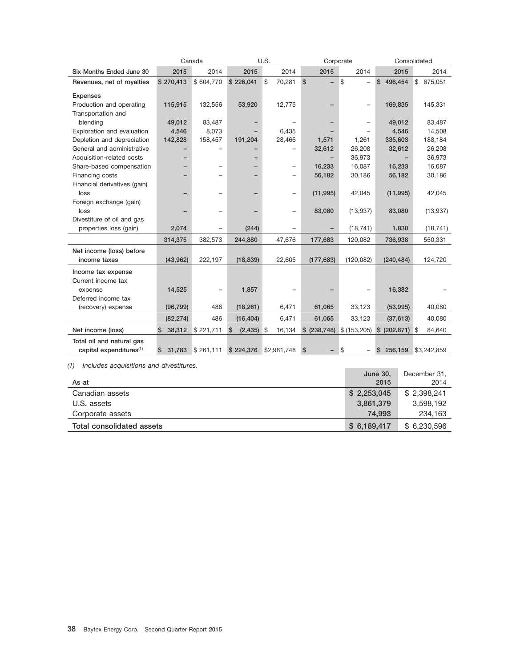| 2015<br>\$270,413<br>115,915<br>49,012<br>4,546<br>142,828 | 2014<br>\$604,770<br>132,556<br>83,487<br>8,073<br>158,457 | 2015<br>\$226,041<br>53,920<br>191,204 | <b>S</b>  | 2014<br>70,281<br>12,775<br>6,435<br>28,466<br>$\overline{\phantom{m}}$ | $\mathbb{S}$<br>32,612<br>16,233<br>56,182<br>(11, 995) | 2015<br>$\overline{\phantom{0}}$<br>1,571 | 2014<br><b>S</b><br>$\overline{\phantom{0}}$<br>$\overline{\phantom{0}}$<br>1,261<br>26,208<br>36,973<br>16,087<br>30,186<br>42,045 | 2015<br>496,454<br>\$<br>169,835<br>49,012<br>4,546<br>335,603<br>32,612<br>16,233<br>56,182<br>(11, 995) | 2014<br>\$675,051<br>145,331<br>83,487<br>14,508<br>188,184<br>26,208<br>36,973<br>16,087<br>30,186<br>42,045 |
|------------------------------------------------------------|------------------------------------------------------------|----------------------------------------|-----------|-------------------------------------------------------------------------|---------------------------------------------------------|-------------------------------------------|-------------------------------------------------------------------------------------------------------------------------------------|-----------------------------------------------------------------------------------------------------------|---------------------------------------------------------------------------------------------------------------|
|                                                            |                                                            |                                        |           |                                                                         |                                                         |                                           |                                                                                                                                     |                                                                                                           |                                                                                                               |
|                                                            |                                                            |                                        |           |                                                                         |                                                         |                                           |                                                                                                                                     |                                                                                                           |                                                                                                               |
|                                                            |                                                            |                                        |           |                                                                         |                                                         |                                           |                                                                                                                                     |                                                                                                           |                                                                                                               |
|                                                            |                                                            |                                        |           |                                                                         |                                                         |                                           |                                                                                                                                     |                                                                                                           |                                                                                                               |
|                                                            |                                                            |                                        |           |                                                                         |                                                         |                                           |                                                                                                                                     |                                                                                                           |                                                                                                               |
|                                                            |                                                            |                                        |           |                                                                         |                                                         |                                           |                                                                                                                                     |                                                                                                           |                                                                                                               |
|                                                            |                                                            |                                        |           |                                                                         |                                                         |                                           |                                                                                                                                     |                                                                                                           |                                                                                                               |
|                                                            |                                                            |                                        |           |                                                                         |                                                         |                                           |                                                                                                                                     |                                                                                                           |                                                                                                               |
|                                                            |                                                            |                                        |           |                                                                         |                                                         |                                           |                                                                                                                                     |                                                                                                           |                                                                                                               |
|                                                            |                                                            |                                        |           |                                                                         |                                                         |                                           |                                                                                                                                     |                                                                                                           |                                                                                                               |
|                                                            |                                                            |                                        |           |                                                                         |                                                         |                                           |                                                                                                                                     |                                                                                                           |                                                                                                               |
|                                                            |                                                            |                                        |           |                                                                         |                                                         |                                           |                                                                                                                                     |                                                                                                           |                                                                                                               |
|                                                            |                                                            |                                        |           |                                                                         |                                                         |                                           |                                                                                                                                     |                                                                                                           |                                                                                                               |
|                                                            |                                                            |                                        |           |                                                                         |                                                         |                                           |                                                                                                                                     |                                                                                                           |                                                                                                               |
|                                                            |                                                            |                                        |           |                                                                         |                                                         |                                           |                                                                                                                                     |                                                                                                           |                                                                                                               |
|                                                            |                                                            |                                        |           |                                                                         | 83,080                                                  |                                           | (13,937)                                                                                                                            | 83,080                                                                                                    | (13, 937)                                                                                                     |
|                                                            |                                                            |                                        |           |                                                                         |                                                         |                                           |                                                                                                                                     |                                                                                                           |                                                                                                               |
| 2,074                                                      |                                                            | (244)                                  |           |                                                                         |                                                         |                                           | (18, 741)                                                                                                                           | 1,830                                                                                                     | (18, 741)                                                                                                     |
| 314,375                                                    | 382,573                                                    | 244,880                                |           | 47,676                                                                  | 177,683                                                 |                                           | 120,082                                                                                                                             | 736,938                                                                                                   | 550,331                                                                                                       |
|                                                            |                                                            |                                        |           |                                                                         |                                                         |                                           |                                                                                                                                     |                                                                                                           |                                                                                                               |
| (43,962)                                                   | 222,197                                                    | (18, 839)                              |           | 22,605                                                                  | (177, 683)                                              |                                           | (120, 082)                                                                                                                          | (240, 484)                                                                                                | 124,720                                                                                                       |
|                                                            |                                                            |                                        |           |                                                                         |                                                         |                                           |                                                                                                                                     |                                                                                                           |                                                                                                               |
|                                                            |                                                            |                                        |           |                                                                         |                                                         |                                           |                                                                                                                                     |                                                                                                           |                                                                                                               |
| 14,525                                                     |                                                            | 1,857                                  |           |                                                                         |                                                         |                                           |                                                                                                                                     | 16,382                                                                                                    |                                                                                                               |
|                                                            |                                                            |                                        |           |                                                                         |                                                         |                                           |                                                                                                                                     |                                                                                                           |                                                                                                               |
|                                                            | 486                                                        | (18, 261)                              |           | 6,471                                                                   |                                                         |                                           | 33,123                                                                                                                              | (53, 995)                                                                                                 | 40,080                                                                                                        |
|                                                            | 486                                                        | (16, 404)                              |           | 6,471                                                                   |                                                         |                                           | 33,123                                                                                                                              | (37, 613)                                                                                                 | 40,080                                                                                                        |
|                                                            |                                                            | \$                                     |           | 16,134                                                                  |                                                         |                                           |                                                                                                                                     |                                                                                                           | 84,640                                                                                                        |
|                                                            |                                                            |                                        |           |                                                                         |                                                         |                                           |                                                                                                                                     |                                                                                                           |                                                                                                               |
|                                                            |                                                            |                                        |           |                                                                         |                                                         |                                           |                                                                                                                                     |                                                                                                           | \$3,242,859                                                                                                   |
|                                                            | (96, 799)<br>(82, 274)<br>38,312                           |                                        | \$221,711 | $(2,435)$ \$                                                            |                                                         |                                           | 61,065<br>61,065<br>\$ (238, 748)                                                                                                   | \$(153,205)                                                                                               | \$ (202,871) \$<br>31,783 \$261,111<br>\$224,376<br>\$2,981,748<br>\$<br>$\sqrt{3}$<br>\$<br>256,159          |

|                           | June 30,    | December 31,<br>2014 |
|---------------------------|-------------|----------------------|
| As at                     | 2015        |                      |
| Canadian assets           | \$2,253,045 | \$2.398.241          |
| U.S. assets               | 3,861,379   | 3.598.192            |
| Corporate assets          | 74.993      | 234,163              |
| Total consolidated assets | \$6,189,417 | \$6,230,596          |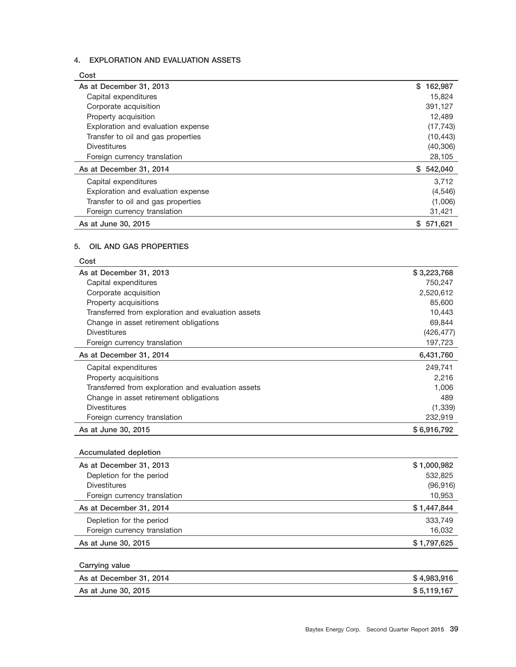## **4. EXPLORATION AND EVALUATION ASSETS**

| Cost                               |               |
|------------------------------------|---------------|
| As at December 31, 2013            | 162,987<br>S. |
| Capital expenditures               | 15,824        |
| Corporate acquisition              | 391.127       |
| Property acquisition               | 12,489        |
| Exploration and evaluation expense | (17, 743)     |
| Transfer to oil and gas properties | (10, 443)     |
| <b>Divestitures</b>                | (40, 306)     |
| Foreign currency translation       | 28,105        |
| As at December 31, 2014            | \$542,040     |
| Capital expenditures               | 3,712         |
| Exploration and evaluation expense | (4, 546)      |
| Transfer to oil and gas properties | (1,006)       |
| Foreign currency translation       | 31,421        |
| As at June 30, 2015                | \$571.621     |

#### **5. OIL AND GAS PROPERTIES**

| Cost                                               |             |
|----------------------------------------------------|-------------|
| As at December 31, 2013                            | \$3,223,768 |
| Capital expenditures                               | 750.247     |
| Corporate acquisition                              | 2,520,612   |
| Property acquisitions                              | 85,600      |
| Transferred from exploration and evaluation assets | 10.443      |
| Change in asset retirement obligations             | 69.844      |
| <b>Divestitures</b>                                | (426, 477)  |
| Foreign currency translation                       | 197,723     |
| As at December 31, 2014                            | 6,431,760   |
| Capital expenditures                               | 249,741     |
| Property acquisitions                              | 2,216       |
| Transferred from exploration and evaluation assets | 1,006       |
| Change in asset retirement obligations             | 489         |
| <b>Divestitures</b>                                | (1, 339)    |
| Foreign currency translation                       | 232,919     |
| As at June 30, 2015                                | \$6,916,792 |

| Accumulated depletion        |             |
|------------------------------|-------------|
| As at December 31, 2013      | \$1,000,982 |
| Depletion for the period     | 532,825     |
| <b>Divestitures</b>          | (96, 916)   |
| Foreign currency translation | 10,953      |
| As at December 31, 2014      | \$1,447,844 |
| Depletion for the period     | 333,749     |
| Foreign currency translation | 16,032      |
| As at June 30, 2015          | \$1,797,625 |

| Carrying value          |             |
|-------------------------|-------------|
| As at December 31, 2014 | \$4,983,916 |
| As at June 30, 2015     | \$5,119,167 |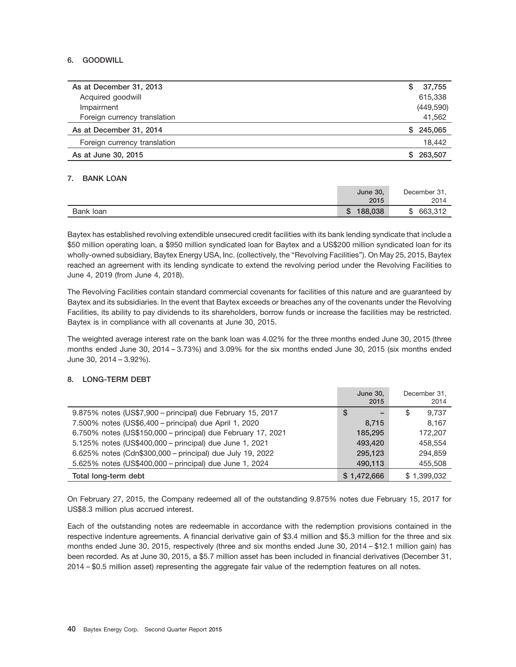#### **6. GOODWILL**

| As at December 31, 2013      | S   | 37,755     |
|------------------------------|-----|------------|
| Acquired goodwill            |     | 615,338    |
| Impairment                   |     | (449, 590) |
| Foreign currency translation |     | 41,562     |
| As at December 31, 2014      | SS. | 245,065    |
| Foreign currency translation |     | 18,442     |
| As at June 30, 2015          |     | 263,507    |
|                              |     |            |

#### **7. BANK LOAN**

|           | <b>June 30,</b><br>2015 | December 31,<br>2014 |
|-----------|-------------------------|----------------------|
| Bank loan | 188,038<br>J            | 663,312<br>¢<br>Œ    |

Baytex has established revolving extendible unsecured credit facilities with its bank lending syndicate that include a \$50 million operating loan, a \$950 million syndicated loan for Baytex and a US\$200 million syndicated loan for its wholly-owned subsidiary, Baytex Energy USA, Inc. (collectively, the "Revolving Facilities"). On May 25, 2015, Baytex reached an agreement with its lending syndicate to extend the revolving period under the Revolving Facilities to June 4, 2019 (from June 4, 2018).

The Revolving Facilities contain standard commercial covenants for facilities of this nature and are guaranteed by Baytex and its subsidiaries. In the event that Baytex exceeds or breaches any of the covenants under the Revolving Facilities, its ability to pay dividends to its shareholders, borrow funds or increase the facilities may be restricted. Baytex is in compliance with all covenants at June 30, 2015.

The weighted average interest rate on the bank loan was 4.02% for the three months ended June 30, 2015 (three months ended June 30, 2014 – 3.73%) and 3.09% for the six months ended June 30, 2015 (six months ended June 30, 2014 – 3.92%).

#### **8. LONG-TERM DEBT**

|                                                              | June 30,    | December 31, |
|--------------------------------------------------------------|-------------|--------------|
|                                                              | 2015        | 2014         |
| 9.875% notes (US\$7,900 - principal) due February 15, 2017   | S           | 9.737<br>S   |
| 7.500% notes (US\$6,400 - principal) due April 1, 2020       | 8.715       | 8.167        |
| 6.750% notes (US\$150,000 - principal) due February 17, 2021 | 185.295     | 172.207      |
| 5.125% notes (US\$400,000 - principal) due June 1, 2021      | 493,420     | 458.554      |
| 6.625% notes (Cdn\$300,000 - principal) due July 19, 2022    | 295.123     | 294.859      |
| 5.625% notes (US\$400,000 - principal) due June 1, 2024      | 490.113     | 455,508      |
| Total long-term debt                                         | \$1,472,666 | \$1,399,032  |

On February 27, 2015, the Company redeemed all of the outstanding 9.875% notes due February 15, 2017 for US\$8.3 million plus accrued interest.

Each of the outstanding notes are redeemable in accordance with the redemption provisions contained in the respective indenture agreements. A financial derivative gain of \$3.4 million and \$5.3 million for the three and six months ended June 30, 2015, respectively (three and six months ended June 30, 2014 – \$12.1 million gain) has been recorded. As at June 30, 2015, a \$5.7 million asset has been included in financial derivatives (December 31, 2014 – \$0.5 million asset) representing the aggregate fair value of the redemption features on all notes.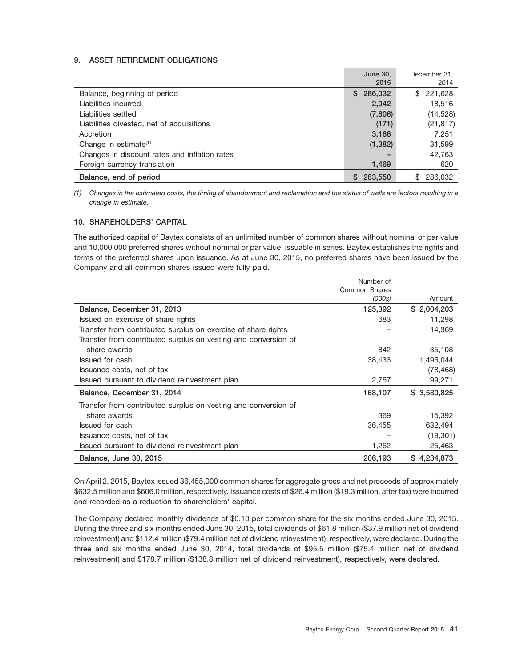#### **9. ASSET RETIREMENT OBLIGATIONS**

|                                               | <b>June 30,</b> | December 31.   |
|-----------------------------------------------|-----------------|----------------|
|                                               | 2015            | 2014           |
| Balance, beginning of period                  | 286,032<br>S    | \$221,628      |
| Liabilities incurred                          | 2,042           | 18,516         |
| Liabilities settled                           | (7,606)         | (14, 528)      |
| Liabilities divested, net of acquisitions     | (171)           | (21, 817)      |
| Accretion                                     | 3,166           | 7,251          |
| Change in estimate <sup>(1)</sup>             | (1,382)         | 31,599         |
| Changes in discount rates and inflation rates |                 | 42,763         |
| Foreign currency translation                  | 1,469           | 620            |
| Balance, end of period                        | 283,550<br>S    | 286.032<br>\$. |

*(1) Changes in the estimated costs, the timing of abandonment and reclamation and the status of wells are factors resulting in a change in estimate.*

#### **10. SHAREHOLDERS' CAPITAL**

The authorized capital of Baytex consists of an unlimited number of common shares without nominal or par value and 10,000,000 preferred shares without nominal or par value, issuable in series. Baytex establishes the rights and terms of the preferred shares upon issuance. As at June 30, 2015, no preferred shares have been issued by the Company and all common shares issued were fully paid.

|                                                                | Number of     |              |
|----------------------------------------------------------------|---------------|--------------|
|                                                                | Common Shares |              |
|                                                                | (000s)        | Amount       |
| Balance, December 31, 2013                                     | 125,392       | \$2,004,203  |
| Issued on exercise of share rights                             | 683           | 11,298       |
| Transfer from contributed surplus on exercise of share rights  |               | 14,369       |
| Transfer from contributed surplus on vesting and conversion of |               |              |
| share awards                                                   | 842           | 35,108       |
| Issued for cash                                                | 38,433        | 1,495,044    |
| Issuance costs, net of tax                                     |               | (78, 468)    |
| Issued pursuant to dividend reinvestment plan                  | 2,757         | 99,271       |
| Balance, December 31, 2014                                     | 168,107       | \$ 3,580,825 |
| Transfer from contributed surplus on vesting and conversion of |               |              |
| share awards                                                   | 369           | 15,392       |
| Issued for cash                                                | 36,455        | 632,494      |
| Issuance costs, net of tax                                     |               | (19, 301)    |
| Issued pursuant to dividend reinvestment plan                  | 1,262         | 25,463       |
| Balance, June 30, 2015                                         | 206,193       | \$4,234,873  |

On April 2, 2015, Baytex issued 36,455,000 common shares for aggregate gross and net proceeds of approximately \$632.5 million and \$606.0 million, respectively. Issuance costs of \$26.4 million (\$19.3 million, after tax) were incurred and recorded as a reduction to shareholders' capital.

The Company declared monthly dividends of \$0.10 per common share for the six months ended June 30, 2015. During the three and six months ended June 30, 2015, total dividends of \$61.8 million (\$37.9 million net of dividend reinvestment) and \$112.4 million (\$79.4 million net of dividend reinvestment), respectively, were declared. During the three and six months ended June 30, 2014, total dividends of \$95.5 million (\$75.4 million net of dividend reinvestment) and \$178.7 million (\$138.8 million net of dividend reinvestment), respectively, were declared.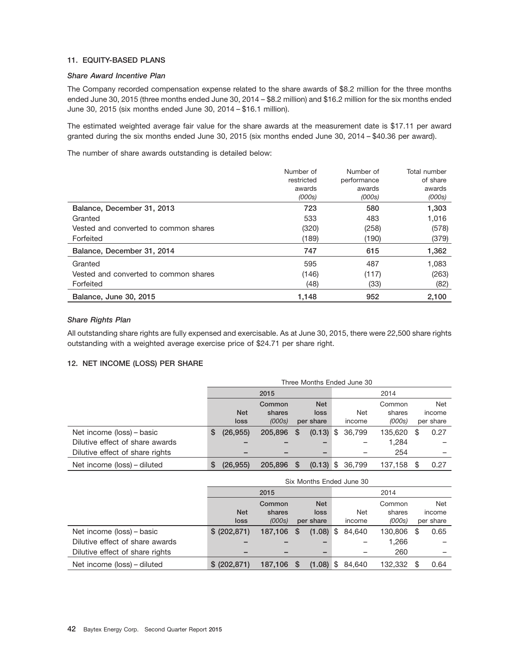#### **11. EQUITY-BASED PLANS**

#### *Share Award Incentive Plan*

The Company recorded compensation expense related to the share awards of \$8.2 million for the three months ended June 30, 2015 (three months ended June 30, 2014 – \$8.2 million) and \$16.2 million for the six months ended June 30, 2015 (six months ended June 30, 2014 – \$16.1 million).

The estimated weighted average fair value for the share awards at the measurement date is \$17.11 per award granted during the six months ended June 30, 2015 (six months ended June 30, 2014 – \$40.36 per award).

The number of share awards outstanding is detailed below:

|                                       | Number of<br>restricted<br>awards<br>(000s) | Number of<br>performance<br>awards<br>(000s) | Total number<br>of share<br>awards<br>(000s) |
|---------------------------------------|---------------------------------------------|----------------------------------------------|----------------------------------------------|
| Balance, December 31, 2013            | 723                                         | 580                                          | 1,303                                        |
| Granted                               | 533                                         | 483                                          | 1.016                                        |
| Vested and converted to common shares | (320)                                       | (258)                                        | (578)                                        |
| Forfeited                             | (189)                                       | (190)                                        | (379)                                        |
| Balance, December 31, 2014            | 747                                         | 615                                          | 1,362                                        |
| Granted                               | 595                                         | 487                                          | 1,083                                        |
| Vested and converted to common shares | (146)                                       | (117)                                        | (263)                                        |
| Forfeited                             | (48)                                        | (33)                                         | (82)                                         |
| Balance, June 30, 2015                | 1,148                                       | 952                                          | 2,100                                        |

#### *Share Rights Plan*

All outstanding share rights are fully expensed and exercisable. As at June 30, 2015, there were 22,500 share rights outstanding with a weighted average exercise price of \$24.71 per share right.

#### **12. NET INCOME (LOSS) PER SHARE**

|                                 | Three Months Ended June 30 |            |         |    |             |      |            |         |     |            |
|---------------------------------|----------------------------|------------|---------|----|-------------|------|------------|---------|-----|------------|
|                                 | 2015                       |            |         |    |             | 2014 |            |         |     |            |
|                                 |                            |            | Common  |    | <b>Net</b>  |      |            | Common  |     | <b>Net</b> |
|                                 |                            | <b>Net</b> | shares  |    | loss        |      | <b>Net</b> | shares  |     | income     |
|                                 |                            | loss       | (000s)  |    | per share   |      | income     | (000s)  |     | per share  |
| Net income (loss) – basic       | \$                         | (26, 955)  | 205,896 | -S | $(0.13)$ \$ |      | 36.799     | 135,620 | \$. | 0.27       |
| Dilutive effect of share awards |                            |            |         |    |             |      |            | 1,284   |     |            |
| Dilutive effect of share rights |                            |            | -       |    |             |      |            | 254     |     |            |
| Net income (loss) – diluted     | S                          | (26, 955)  | 205,896 | -S | $(0.13)$ \$ |      | 36.799     | 137,158 | S   | 0.27       |

|                                 | Six Months Ended June 30 |         |      |             |        |         |   |            |
|---------------------------------|--------------------------|---------|------|-------------|--------|---------|---|------------|
|                                 | 2015                     |         |      | 2014        |        |         |   |            |
|                                 |                          | Common  |      | <b>Net</b>  |        | Common  |   | <b>Net</b> |
|                                 | <b>Net</b>               | shares  |      | loss        | Net    | shares  |   | income     |
|                                 | loss                     | (000s)  |      | per share   | income | (000s)  |   | per share  |
| Net income (loss) – basic       | \$ (202, 871)            | 187,106 | - \$ | $(1.08)$ \$ | 84.640 | 130,806 | S | 0.65       |
| Dilutive effect of share awards |                          |         |      |             |        | 1.266   |   |            |
| Dilutive effect of share rights |                          |         |      |             |        | 260     |   |            |
| Net income (loss) – diluted     | \$ (202.871)             | 187,106 | - \$ | $(1.08)$ \$ | 84.640 | 132.332 |   | 0.64       |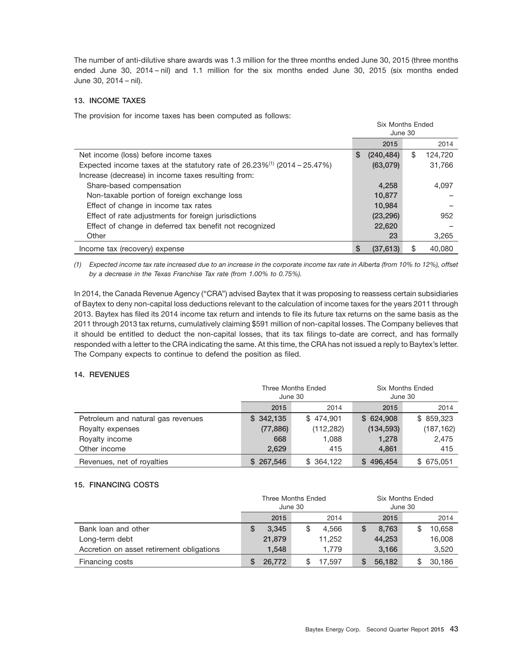The number of anti-dilutive share awards was 1.3 million for the three months ended June 30, 2015 (three months ended June 30, 2014 – nil) and 1.1 million for the six months ended June 30, 2015 (six months ended June 30, 2014 – nil).

#### **13. INCOME TAXES**

The provision for income taxes has been computed as follows:

|                                                                              |   | Six Months Ended<br>June 30 |               |
|------------------------------------------------------------------------------|---|-----------------------------|---------------|
|                                                                              |   | 2015                        | 2014          |
| Net income (loss) before income taxes                                        | S | (240, 484)                  | \$<br>124,720 |
| Expected income taxes at the statutory rate of $26.23\%/10}$ (2014 – 25.47%) |   | (63,079)                    | 31,766        |
| Increase (decrease) in income taxes resulting from:                          |   |                             |               |
| Share-based compensation                                                     |   | 4,258                       | 4.097         |
| Non-taxable portion of foreign exchange loss                                 |   | 10,877                      |               |
| Effect of change in income tax rates                                         |   | 10,984                      |               |
| Effect of rate adjustments for foreign jurisdictions                         |   | (23, 296)                   | 952           |
| Effect of change in deferred tax benefit not recognized                      |   | 22,620                      |               |
| Other                                                                        |   | 23                          | 3,265         |
| Income tax (recovery) expense                                                | S | (37, 613)                   | \$<br>40,080  |

*(1) Expected income tax rate increased due to an increase in the corporate income tax rate in Alberta (from 10% to 12%), offset by a decrease in the Texas Franchise Tax rate (from 1.00% to 0.75%).*

In 2014, the Canada Revenue Agency ("CRA") advised Baytex that it was proposing to reassess certain subsidiaries of Baytex to deny non-capital loss deductions relevant to the calculation of income taxes for the years 2011 through 2013. Baytex has filed its 2014 income tax return and intends to file its future tax returns on the same basis as the 2011 through 2013 tax returns, cumulatively claiming \$591 million of non-capital losses. The Company believes that it should be entitled to deduct the non-capital losses, that its tax filings to-date are correct, and has formally responded with a letter to the CRA indicating the same. At this time, the CRA has not issued a reply to Baytex's letter. The Company expects to continue to defend the position as filed.

### **14. REVENUES**

|                                    |           | <b>Three Months Ended</b> | <b>Six Months Ended</b> |            |  |  |
|------------------------------------|-----------|---------------------------|-------------------------|------------|--|--|
|                                    |           | June 30                   | June 30                 |            |  |  |
|                                    | 2015      | 2014                      | 2015                    | 2014       |  |  |
| Petroleum and natural gas revenues | \$342,135 | \$474.901                 | \$624.908               | \$859,323  |  |  |
| Royalty expenses                   | (77, 886) | (112, 282)                | (134, 593)              | (187, 162) |  |  |
| Royalty income                     | 668       | 1,088                     | 1,278                   | 2,475      |  |  |
| Other income                       | 2.629     | 415                       | 4.861                   | 415        |  |  |
| Revenues, net of royalties         | \$267,546 | \$364,122                 | \$496.454               | \$ 675,051 |  |  |

#### **15. FINANCING COSTS**

|                                           |        | <b>Three Months Ended</b><br>June 30 | <b>Six Months Ended</b><br>June 30 |        |  |  |
|-------------------------------------------|--------|--------------------------------------|------------------------------------|--------|--|--|
|                                           | 2015   | 2014                                 | 2015                               | 2014   |  |  |
| Bank loan and other                       | 3.345  | 4.566                                | 8.763<br>\$                        | 10,658 |  |  |
| Long-term debt                            | 21,879 | 11.252                               | 44,253                             | 16,008 |  |  |
| Accretion on asset retirement obligations | 1.548  | 1.779                                | 3.166                              | 3,520  |  |  |
| Financing costs                           | 26,772 | 17.597                               | 56,182                             | 30,186 |  |  |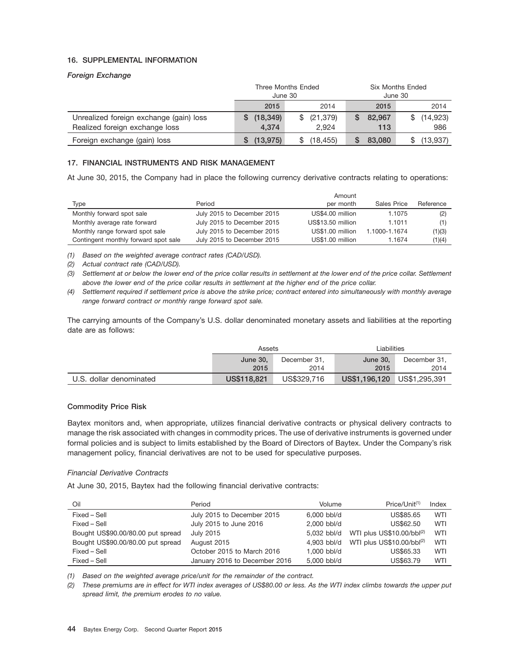#### **16. SUPPLEMENTAL INFORMATION**

#### *Foreign Exchange*

|                                         |           | Three Months Ended | <b>Six Months Ended</b> |                  |  |  |
|-----------------------------------------|-----------|--------------------|-------------------------|------------------|--|--|
|                                         |           | June 30            | June 30                 |                  |  |  |
|                                         | 2015      | 2014               | 2015                    | 2014             |  |  |
| Unrealized foreign exchange (gain) loss | (18, 349) | (21, 379)<br>\$    | 82.967                  | (14, 923)<br>\$. |  |  |
| Realized foreign exchange loss          | 4.374     | 2.924              | 113                     | 986              |  |  |
| Foreign exchange (gain) loss            | (13, 975) | (18, 455)          | 83,080                  | (13,937)         |  |  |

#### **17. FINANCIAL INSTRUMENTS AND RISK MANAGEMENT**

At June 30, 2015, the Company had in place the following currency derivative contracts relating to operations:

|                                      |                            | Amount            |                    |           |
|--------------------------------------|----------------------------|-------------------|--------------------|-----------|
| Type                                 | Period                     | per month         | <b>Sales Price</b> | Reference |
| Monthly forward spot sale            | July 2015 to December 2015 | US\$4.00 million  | 1.1075             | (2)       |
| Monthly average rate forward         | July 2015 to December 2015 | US\$13.50 million | 1.1011             |           |
| Monthly range forward spot sale      | July 2015 to December 2015 | US\$1.00 million  | 1.1000-1.1674      | (1)(3)    |
| Contingent monthly forward spot sale | July 2015 to December 2015 | US\$1.00 million  | 1.1674             | (1)(4)    |

*(1) Based on the weighted average contract rates (CAD/USD).*

*(2) Actual contract rate (CAD/USD).*

*(3) Settlement at or below the lower end of the price collar results in settlement at the lower end of the price collar. Settlement above the lower end of the price collar results in settlement at the higher end of the price collar.*

*(4) Settlement required if settlement price is above the strike price; contract entered into simultaneously with monthly average range forward contract or monthly range forward spot sale.*

The carrying amounts of the Company's U.S. dollar denominated monetary assets and liabilities at the reporting date are as follows:

|                         | Assets      |              | Liabilities   |               |
|-------------------------|-------------|--------------|---------------|---------------|
|                         | June 30,    | December 31. | June 30,      | December 31.  |
|                         | 2015        | 2014         | 2015          | 2014          |
| U.S. dollar denominated | US\$118,821 | US\$329.716  | US\$1,196,120 | US\$1,295,391 |

#### **Commodity Price Risk**

Baytex monitors and, when appropriate, utilizes financial derivative contracts or physical delivery contracts to manage the risk associated with changes in commodity prices. The use of derivative instruments is governed under formal policies and is subject to limits established by the Board of Directors of Baytex. Under the Company's risk management policy, financial derivatives are not to be used for speculative purposes.

#### *Financial Derivative Contracts*

At June 30, 2015, Baytex had the following financial derivative contracts:

| Oil                               | Period                        | Volume      | $Price/Unit^{(1)}$            | Index |
|-----------------------------------|-------------------------------|-------------|-------------------------------|-------|
| Fixed - Sell                      | July 2015 to December 2015    | 6,000 bbl/d | US\$85.65                     | WTI   |
| Fixed – Sell                      | July 2015 to June 2016        | 2.000 bbl/d | US\$62.50                     | WTI   |
| Bought US\$90.00/80.00 put spread | <b>July 2015</b>              | 5.032 bbl/d | WTI plus $US$10.00/bbl^{(2)}$ | WTI   |
| Bought US\$90.00/80.00 put spread | August 2015                   | 4.903 bbl/d | WTI plus $US$10.00/bbl^{(2)}$ | WTI   |
| Fixed - Sell                      | October 2015 to March 2016    | 1,000 bbl/d | US\$65.33                     | WTI   |
| Fixed - Sell                      | January 2016 to December 2016 | 5.000 bbl/d | US\$63.79                     | WTI   |

*(1) Based on the weighted average price/unit for the remainder of the contract.*

*(2) These premiums are in effect for WTI index averages of US\$80.00 or less. As the WTI index climbs towards the upper put spread limit, the premium erodes to no value.*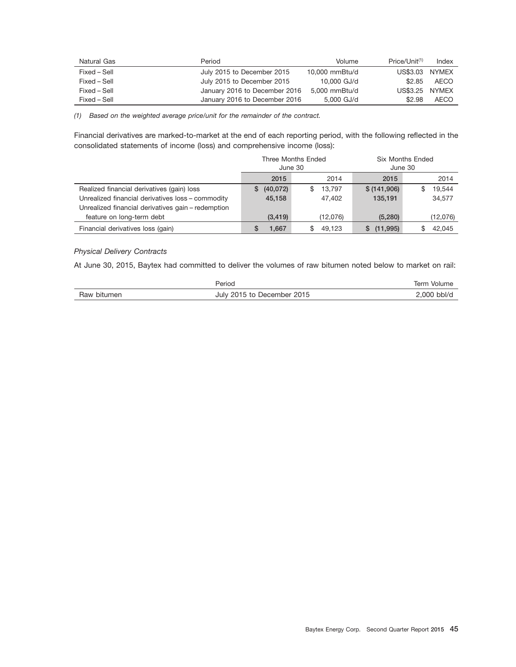| Natural Gas  | Period                        | Volume         | Price/Unit <sup>(1)</sup> | Index |
|--------------|-------------------------------|----------------|---------------------------|-------|
| Fixed – Sell | July 2015 to December 2015    | 10,000 mmBtu/d | US\$3.03 NYMEX            |       |
| Fixed – Sell | July 2015 to December 2015    | 10,000 GJ/d    | \$2.85                    | AECO  |
| Fixed – Sell | January 2016 to December 2016 | 5,000 mmBtu/d  | US\$3.25 NYMEX            |       |
| Fixed – Sell | January 2016 to December 2016 | 5.000 GJ/d     | \$2.98                    | AECO  |

*(1) Based on the weighted average price/unit for the remainder of the contract.*

Financial derivatives are marked-to-market at the end of each reporting period, with the following reflected in the consolidated statements of income (loss) and comprehensive income (loss):

|                                                    |                | Three Months Ended<br>June 30 | <b>Six Months Ended</b><br>June 30 |          |  |
|----------------------------------------------------|----------------|-------------------------------|------------------------------------|----------|--|
|                                                    |                | 2014                          |                                    |          |  |
|                                                    | 2015           |                               | 2015                               | 2014     |  |
| Realized financial derivatives (gain) loss         | (40, 072)<br>S | 13,797<br>\$                  | \$(141,906)                        | 19,544   |  |
| Unrealized financial derivatives loss - commodity  | 45,158         | 47.402                        | 135,191                            | 34,577   |  |
| Unrealized financial derivatives gain - redemption |                |                               |                                    |          |  |
| feature on long-term debt                          | (3, 419)       | (12,076)                      | (5,280)                            | (12,076) |  |
| Financial derivatives loss (gain)                  | .,667          | 49.123<br>S                   | (11, 995)                          | 42.045   |  |

#### *Physical Delivery Contracts*

At June 30, 2015, Baytex had committed to deliver the volumes of raw bitumen noted below to market on rail:

|                | Period                        | lerm<br>Volume |
|----------------|-------------------------------|----------------|
| Raw<br>bitumen | December 2015<br>July 2015 to | 2,000 bbl/d    |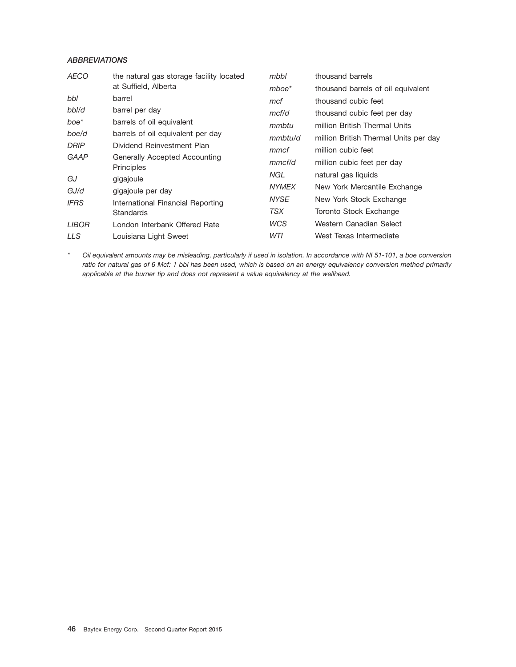## *ABBREVIATIONS*

| AECO         | the natural gas storage facility located    | mbbl         | thousand barrels                      |
|--------------|---------------------------------------------|--------------|---------------------------------------|
|              | at Suffield, Alberta                        | $m$ boe $*$  | thousand barrels of oil equivalent    |
| bbl          | barrel                                      | mcf          | thousand cubic feet                   |
| bbl/d        | barrel per day                              | mcf/d        | thousand cubic feet per day           |
| boe*         | barrels of oil equivalent                   | mmbtu        | million British Thermal Units         |
| boe/d        | barrels of oil equivalent per day           | mmbtu/d      | million British Thermal Units per day |
| DRIP         | Dividend Reinvestment Plan                  | mmcf         | million cubic feet                    |
| GAAP         | Generally Accepted Accounting<br>Principles | mmc f/d      | million cubic feet per day            |
| GJ           | gigajoule                                   | NGL          | natural gas liquids                   |
| GJ/d         | gigajoule per day                           | <b>NYMEX</b> | New York Mercantile Exchange          |
| <b>IFRS</b>  | International Financial Reporting           | <b>NYSE</b>  | New York Stock Exchange               |
| Standards    |                                             | <b>TSX</b>   | Toronto Stock Exchange                |
| <i>LIBOR</i> | London Interbank Offered Rate               | <b>WCS</b>   | Western Canadian Select               |
| <b>LLS</b>   | Louisiana Light Sweet                       | WTI          | West Texas Intermediate               |

*\* Oil equivalent amounts may be misleading, particularly if used in isolation. In accordance with NI 51-101, a boe conversion ratio for natural gas of 6 Mcf: 1 bbl has been used, which is based on an energy equivalency conversion method primarily applicable at the burner tip and does not represent a value equivalency at the wellhead.*